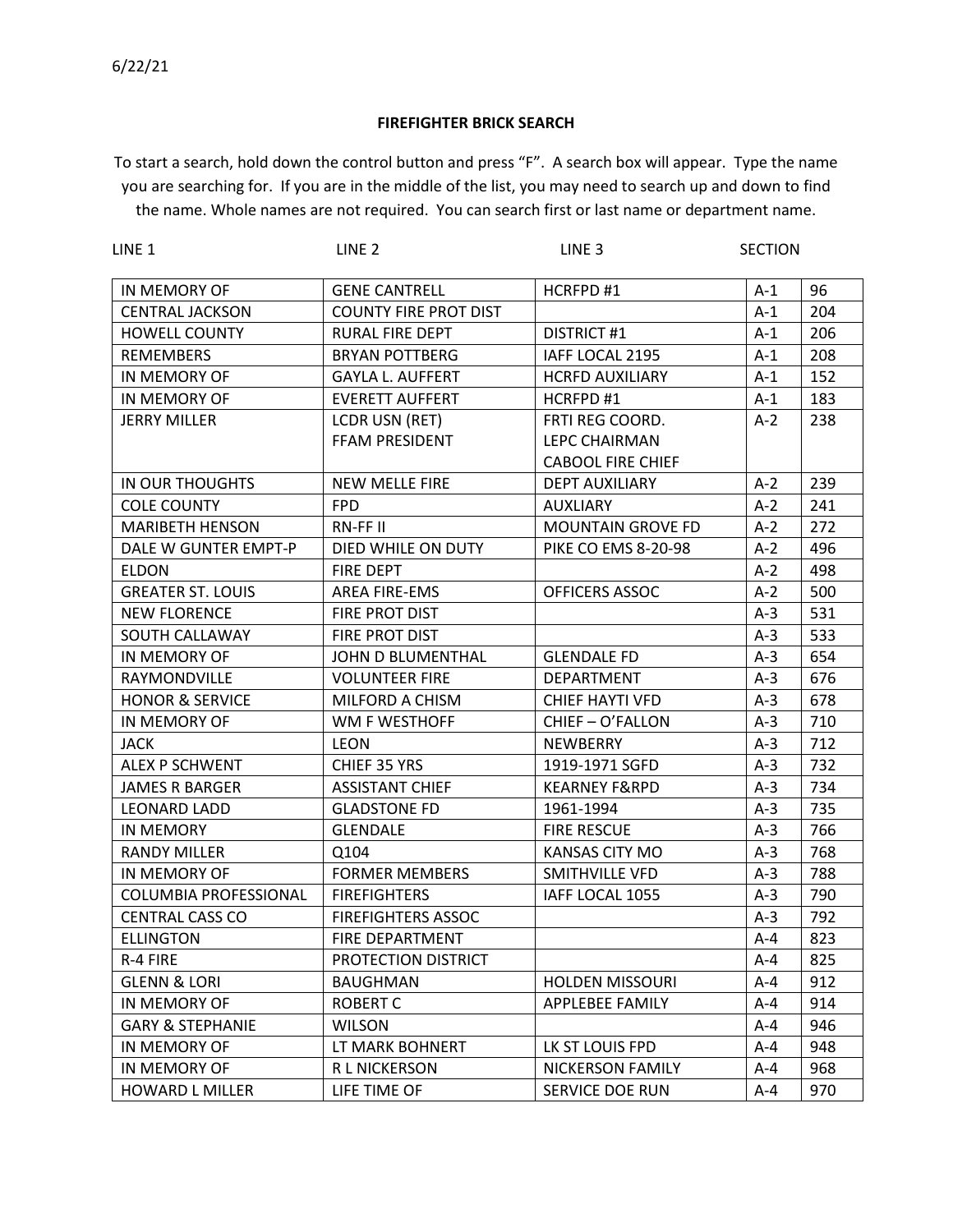## **FIREFIGHTER BRICK SEARCH**

To start a search, hold down the control button and press "F". A search box will appear. Type the name you are searching for. If you are in the middle of the list, you may need to search up and down to find the name. Whole names are not required. You can search first or last name or department name.

| LINE <sub>1</sub>            | LINE <sub>2</sub>            | LINE <sub>3</sub>        | <b>SECTION</b> |     |
|------------------------------|------------------------------|--------------------------|----------------|-----|
| IN MEMORY OF                 | <b>GENE CANTRELL</b>         | HCRFPD#1                 | $A-1$          | 96  |
| <b>CENTRAL JACKSON</b>       | <b>COUNTY FIRE PROT DIST</b> |                          | $A-1$          | 204 |
| <b>HOWELL COUNTY</b>         | <b>RURAL FIRE DEPT</b>       | <b>DISTRICT #1</b>       | $A-1$          | 206 |
| <b>REMEMBERS</b>             | <b>BRYAN POTTBERG</b>        | IAFF LOCAL 2195          | $A-1$          | 208 |
| IN MEMORY OF                 | <b>GAYLA L. AUFFERT</b>      | <b>HCRFD AUXILIARY</b>   | $A-1$          | 152 |
| IN MEMORY OF                 | <b>EVERETT AUFFERT</b>       | HCRFPD#1                 | $A-1$          | 183 |
| <b>JERRY MILLER</b>          | <b>LCDR USN (RET)</b>        | FRTI REG COORD.          | $A-2$          | 238 |
|                              | FFAM PRESIDENT               | <b>LEPC CHAIRMAN</b>     |                |     |
|                              |                              | <b>CABOOL FIRE CHIEF</b> |                |     |
| IN OUR THOUGHTS              | <b>NEW MELLE FIRE</b>        | <b>DEPT AUXILIARY</b>    | $A-2$          | 239 |
| <b>COLE COUNTY</b>           | <b>FPD</b>                   | <b>AUXLIARY</b>          | $A-2$          | 241 |
| <b>MARIBETH HENSON</b>       | RN-FF II                     | <b>MOUNTAIN GROVE FD</b> | $A-2$          | 272 |
| DALE W GUNTER EMPT-P         | DIED WHILE ON DUTY           | PIKE CO EMS 8-20-98      | $A-2$          | 496 |
| <b>ELDON</b>                 | <b>FIRE DEPT</b>             |                          | $A-2$          | 498 |
| <b>GREATER ST. LOUIS</b>     | AREA FIRE-EMS                | OFFICERS ASSOC           | $A-2$          | 500 |
| <b>NEW FLORENCE</b>          | FIRE PROT DIST               |                          | $A-3$          | 531 |
| SOUTH CALLAWAY               | FIRE PROT DIST               |                          | $A-3$          | 533 |
| IN MEMORY OF                 | <b>JOHN D BLUMENTHAL</b>     | <b>GLENDALE FD</b>       | $A-3$          | 654 |
| RAYMONDVILLE                 | <b>VOLUNTEER FIRE</b>        | DEPARTMENT               | $A-3$          | 676 |
| <b>HONOR &amp; SERVICE</b>   | MILFORD A CHISM              | <b>CHIEF HAYTI VFD</b>   | $A-3$          | 678 |
| IN MEMORY OF                 | WM F WESTHOFF                | CHIEF - O'FALLON         | $A-3$          | 710 |
| <b>JACK</b>                  | <b>LEON</b>                  | NEWBERRY                 | $A-3$          | 712 |
| <b>ALEX P SCHWENT</b>        | CHIEF 35 YRS                 | 1919-1971 SGFD           | $A-3$          | 732 |
| <b>JAMES R BARGER</b>        | <b>ASSISTANT CHIEF</b>       | <b>KEARNEY F&amp;RPD</b> | $A-3$          | 734 |
| <b>LEONARD LADD</b>          | <b>GLADSTONE FD</b>          | 1961-1994                | $A-3$          | 735 |
| <b>IN MEMORY</b>             | <b>GLENDALE</b>              | <b>FIRE RESCUE</b>       | $A-3$          | 766 |
| <b>RANDY MILLER</b>          | Q104                         | KANSAS CITY MO           | $A-3$          | 768 |
| IN MEMORY OF                 | <b>FORMER MEMBERS</b>        | SMITHVILLE VFD           | $A-3$          | 788 |
| <b>COLUMBIA PROFESSIONAL</b> | <b>FIREFIGHTERS</b>          | IAFF LOCAL 1055          | $A-3$          | 790 |
| <b>CENTRAL CASS CO</b>       | <b>FIREFIGHTERS ASSOC</b>    |                          | $A-3$          | 792 |
| <b>ELLINGTON</b>             | FIRE DEPARTMENT              |                          | $A-4$          | 823 |
| R-4 FIRE                     | PROTECTION DISTRICT          |                          | A-4            | 825 |
| <b>GLENN &amp; LORI</b>      | <b>BAUGHMAN</b>              | <b>HOLDEN MISSOURI</b>   | A-4            | 912 |
| IN MEMORY OF                 | <b>ROBERT C</b>              | <b>APPLEBEE FAMILY</b>   | A-4            | 914 |
| <b>GARY &amp; STEPHANIE</b>  | <b>WILSON</b>                |                          | A-4            | 946 |
| IN MEMORY OF                 | LT MARK BOHNERT              | LK ST LOUIS FPD          | A-4            | 948 |
| IN MEMORY OF                 | R L NICKERSON                | NICKERSON FAMILY         | A-4            | 968 |
| <b>HOWARD L MILLER</b>       | LIFE TIME OF                 | SERVICE DOE RUN          | A-4            | 970 |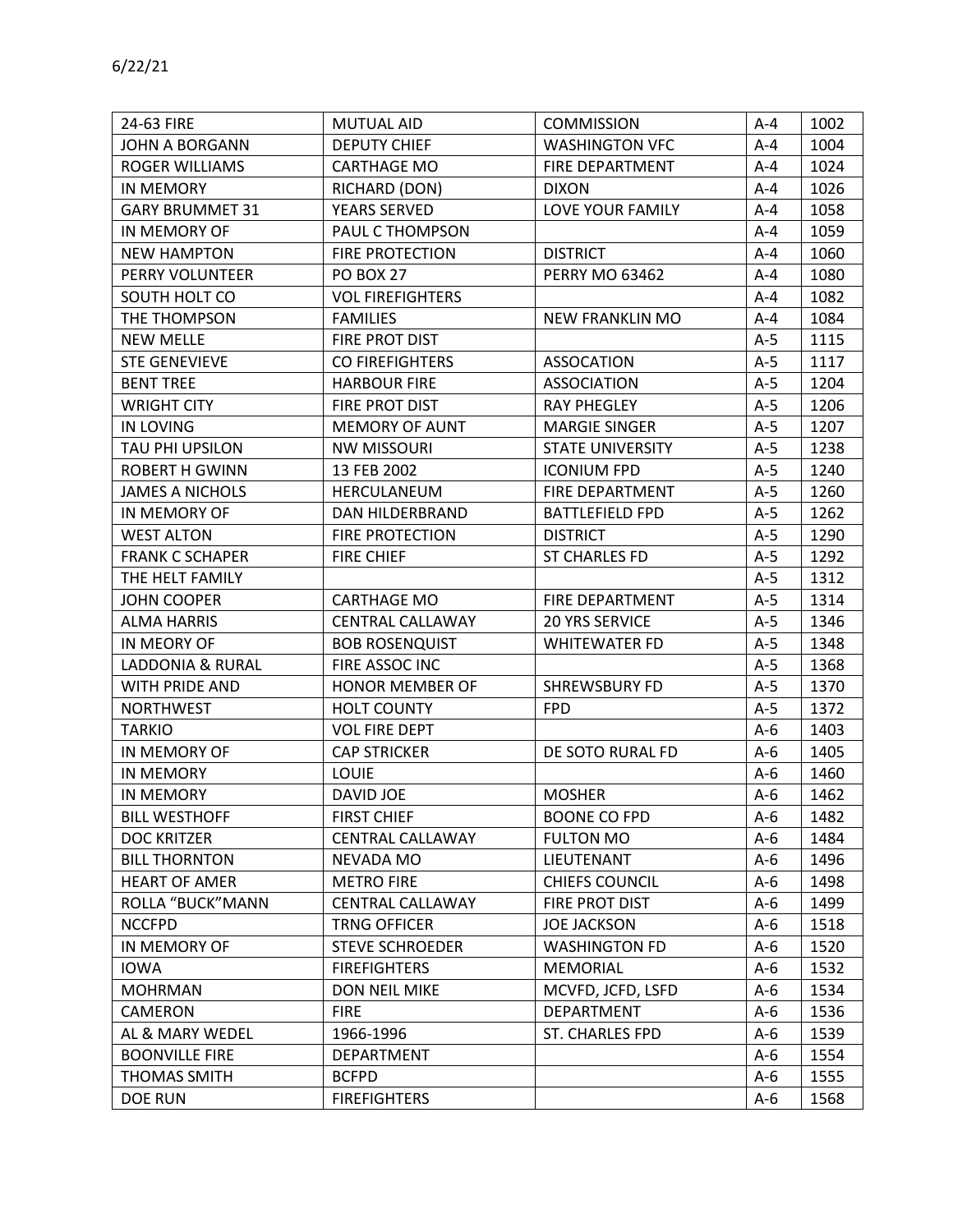| 24-63 FIRE               | MUTUAL AID              | <b>COMMISSION</b>       | $A - 4$ | 1002 |
|--------------------------|-------------------------|-------------------------|---------|------|
| <b>JOHN A BORGANN</b>    | <b>DEPUTY CHIEF</b>     | <b>WASHINGTON VFC</b>   | A-4     | 1004 |
| ROGER WILLIAMS           | <b>CARTHAGE MO</b>      | FIRE DEPARTMENT         | A-4     | 1024 |
| <b>IN MEMORY</b>         | RICHARD (DON)           | <b>DIXON</b>            | $A - 4$ | 1026 |
| <b>GARY BRUMMET 31</b>   | <b>YEARS SERVED</b>     | LOVE YOUR FAMILY        | A-4     | 1058 |
| IN MEMORY OF             | PAUL C THOMPSON         |                         | $A - 4$ | 1059 |
| <b>NEW HAMPTON</b>       | <b>FIRE PROTECTION</b>  | <b>DISTRICT</b>         | A-4     | 1060 |
| PERRY VOLUNTEER          | <b>PO BOX 27</b>        | <b>PERRY MO 63462</b>   | A-4     | 1080 |
| SOUTH HOLT CO            | <b>VOL FIREFIGHTERS</b> |                         | $A - 4$ | 1082 |
| THE THOMPSON             | <b>FAMILIES</b>         | NEW FRANKLIN MO         | A-4     | 1084 |
| <b>NEW MELLE</b>         | FIRE PROT DIST          |                         | $A-5$   | 1115 |
| <b>STE GENEVIEVE</b>     | CO FIREFIGHTERS         | <b>ASSOCATION</b>       | $A-5$   | 1117 |
| <b>BENT TREE</b>         | <b>HARBOUR FIRE</b>     | ASSOCIATION             | A-5     | 1204 |
| <b>WRIGHT CITY</b>       | FIRE PROT DIST          | <b>RAY PHEGLEY</b>      | $A-5$   | 1206 |
| IN LOVING                | <b>MEMORY OF AUNT</b>   | <b>MARGIE SINGER</b>    | $A-5$   | 1207 |
| TAU PHI UPSILON          | <b>NW MISSOURI</b>      | <b>STATE UNIVERSITY</b> | $A-5$   | 1238 |
| <b>ROBERT H GWINN</b>    | 13 FEB 2002             | <b>ICONIUM FPD</b>      | A-5     | 1240 |
| <b>JAMES A NICHOLS</b>   | HERCULANEUM             | <b>FIRE DEPARTMENT</b>  | $A-5$   | 1260 |
| IN MEMORY OF             | DAN HILDERBRAND         | <b>BATTLEFIELD FPD</b>  | $A-5$   | 1262 |
| <b>WEST ALTON</b>        | <b>FIRE PROTECTION</b>  | <b>DISTRICT</b>         | $A-5$   | 1290 |
| <b>FRANK C SCHAPER</b>   | <b>FIRE CHIEF</b>       | <b>ST CHARLES FD</b>    | $A-5$   | 1292 |
| THE HELT FAMILY          |                         |                         | $A-5$   | 1312 |
| <b>JOHN COOPER</b>       | <b>CARTHAGE MO</b>      | FIRE DEPARTMENT         | A-5     | 1314 |
| ALMA HARRIS              | <b>CENTRAL CALLAWAY</b> | <b>20 YRS SERVICE</b>   | $A-5$   | 1346 |
| IN MEORY OF              | <b>BOB ROSENQUIST</b>   | <b>WHITEWATER FD</b>    | $A-5$   | 1348 |
| LADDONIA & RURAL         | FIRE ASSOC INC          |                         | $A-5$   | 1368 |
| WITH PRIDE AND           | <b>HONOR MEMBER OF</b>  | SHREWSBURY FD           | $A-5$   | 1370 |
| <b>NORTHWEST</b>         | <b>HOLT COUNTY</b>      | <b>FPD</b>              | $A-5$   | 1372 |
| <b>TARKIO</b>            | <b>VOL FIRE DEPT</b>    |                         | A-6     | 1403 |
| IN MEMORY OF             | <b>CAP STRICKER</b>     | DE SOTO RURAL FD        | $A-6$   | 1405 |
| <b>IN MEMORY</b>         | <b>LOUIE</b>            |                         | A-6     | 1460 |
| <b>IN MEMORY</b>         | DAVID JOE               | <b>MOSHER</b>           | A-6     | 1462 |
| <b>BILL WESTHOFF</b>     | <b>FIRST CHIEF</b>      | <b>BOONE CO FPD</b>     | $A-6$   | 1482 |
| <b>DOC KRITZER</b>       | <b>CENTRAL CALLAWAY</b> | <b>FULTON MO</b>        | $A-6$   | 1484 |
| <b>BILL THORNTON</b>     | NEVADA MO               | LIEUTENANT              | $A-6$   | 1496 |
| <b>HEART OF AMER</b>     | <b>METRO FIRE</b>       | <b>CHIEFS COUNCIL</b>   | A-6     | 1498 |
| <b>ROLLA "BUCK" MANN</b> | <b>CENTRAL CALLAWAY</b> | FIRE PROT DIST          | A-6     | 1499 |
| <b>NCCFPD</b>            | <b>TRNG OFFICER</b>     | <b>JOE JACKSON</b>      | A-6     | 1518 |
| IN MEMORY OF             | <b>STEVE SCHROEDER</b>  | <b>WASHINGTON FD</b>    | A-6     | 1520 |
| <b>IOWA</b>              | <b>FIREFIGHTERS</b>     | <b>MEMORIAL</b>         | A-6     | 1532 |
| <b>MOHRMAN</b>           | DON NEIL MIKE           | MCVFD, JCFD, LSFD       | A-6     | 1534 |
| CAMERON                  | <b>FIRE</b>             | DEPARTMENT              | A-6     | 1536 |
| AL & MARY WEDEL          | 1966-1996               | ST. CHARLES FPD         | A-6     | 1539 |
| <b>BOONVILLE FIRE</b>    | DEPARTMENT              |                         | $A-6$   | 1554 |
| THOMAS SMITH             | <b>BCFPD</b>            |                         | $A-6$   | 1555 |
| <b>DOE RUN</b>           | <b>FIREFIGHTERS</b>     |                         | A-6     | 1568 |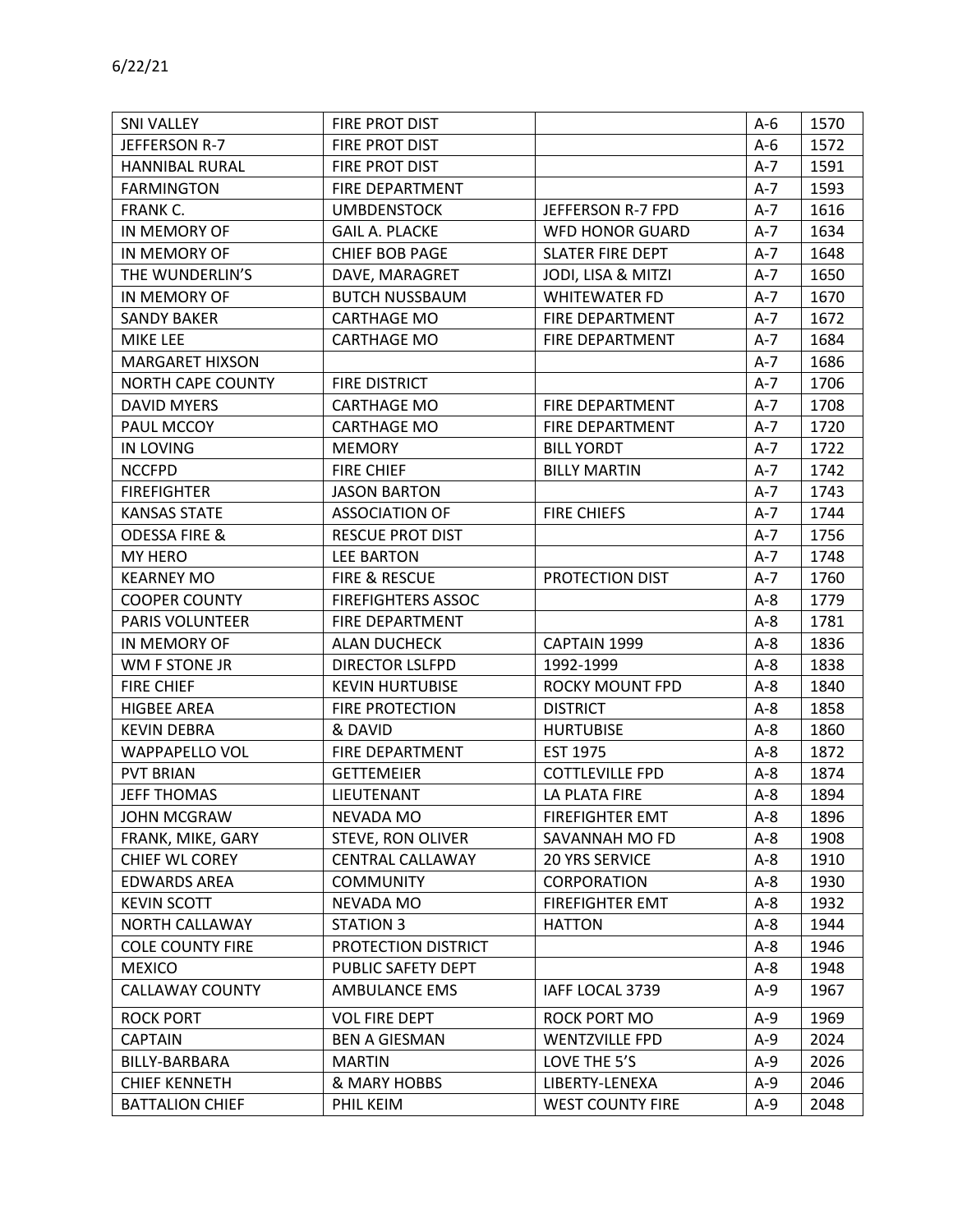| <b>SNI VALLEY</b>        | FIRE PROT DIST            |                         | A-6   | 1570 |
|--------------------------|---------------------------|-------------------------|-------|------|
| JEFFERSON R-7            | FIRE PROT DIST            |                         | $A-6$ | 1572 |
| <b>HANNIBAL RURAL</b>    | FIRE PROT DIST            |                         | $A-7$ | 1591 |
| <b>FARMINGTON</b>        | FIRE DEPARTMENT           |                         | $A-7$ | 1593 |
| FRANK C.                 | <b>UMBDENSTOCK</b>        | JEFFERSON R-7 FPD       | $A-7$ | 1616 |
| IN MEMORY OF             | <b>GAIL A. PLACKE</b>     | <b>WFD HONOR GUARD</b>  | $A-7$ | 1634 |
| IN MEMORY OF             | <b>CHIEF BOB PAGE</b>     | <b>SLATER FIRE DEPT</b> | A-7   | 1648 |
| THE WUNDERLIN'S          | DAVE, MARAGRET            | JODI, LISA & MITZI      | $A-7$ | 1650 |
| IN MEMORY OF             | <b>BUTCH NUSSBAUM</b>     | <b>WHITEWATER FD</b>    | A-7   | 1670 |
| <b>SANDY BAKER</b>       | <b>CARTHAGE MO</b>        | FIRE DEPARTMENT         | A-7   | 1672 |
| MIKE LEE                 | <b>CARTHAGE MO</b>        | FIRE DEPARTMENT         | $A-7$ | 1684 |
| <b>MARGARET HIXSON</b>   |                           |                         | $A-7$ | 1686 |
| <b>NORTH CAPE COUNTY</b> | <b>FIRE DISTRICT</b>      |                         | A-7   | 1706 |
| <b>DAVID MYERS</b>       | <b>CARTHAGE MO</b>        | FIRE DEPARTMENT         | $A-7$ | 1708 |
| PAUL MCCOY               | <b>CARTHAGE MO</b>        | FIRE DEPARTMENT         | $A-7$ | 1720 |
| IN LOVING                | <b>MEMORY</b>             | <b>BILL YORDT</b>       | A-7   | 1722 |
| <b>NCCFPD</b>            | <b>FIRE CHIEF</b>         | <b>BILLY MARTIN</b>     | $A-7$ | 1742 |
| <b>FIREFIGHTER</b>       | <b>JASON BARTON</b>       |                         | $A-7$ | 1743 |
| <b>KANSAS STATE</b>      | <b>ASSOCIATION OF</b>     | <b>FIRE CHIEFS</b>      | $A-7$ | 1744 |
| <b>ODESSA FIRE &amp;</b> | <b>RESCUE PROT DIST</b>   |                         | $A-7$ | 1756 |
| <b>MY HERO</b>           | <b>LEE BARTON</b>         |                         | $A-7$ | 1748 |
| <b>KEARNEY MO</b>        | FIRE & RESCUE             | PROTECTION DIST         | $A-7$ | 1760 |
| <b>COOPER COUNTY</b>     | <b>FIREFIGHTERS ASSOC</b> |                         | A-8   | 1779 |
| <b>PARIS VOLUNTEER</b>   | FIRE DEPARTMENT           |                         | $A-8$ | 1781 |
| IN MEMORY OF             | <b>ALAN DUCHECK</b>       | CAPTAIN 1999            | A-8   | 1836 |
| WM F STONE JR            | <b>DIRECTOR LSLFPD</b>    | 1992-1999               | $A-8$ | 1838 |
| <b>FIRE CHIEF</b>        | <b>KEVIN HURTUBISE</b>    | <b>ROCKY MOUNT FPD</b>  | $A-8$ | 1840 |
| <b>HIGBEE AREA</b>       | <b>FIRE PROTECTION</b>    | <b>DISTRICT</b>         | $A-8$ | 1858 |
| <b>KEVIN DEBRA</b>       | & DAVID                   | <b>HURTUBISE</b>        | $A-8$ | 1860 |
| WAPPAPELLO VOL           | FIRE DEPARTMENT           | EST 1975                | $A-8$ | 1872 |
| <b>PVT BRIAN</b>         | <b>GETTEMEIER</b>         | <b>COTTLEVILLE FPD</b>  | $A-8$ | 1874 |
| <b>JEFF THOMAS</b>       | LIEUTENANT                | LA PLATA FIRE           | A-8   | 1894 |
| <b>JOHN MCGRAW</b>       | NEVADA MO                 | <b>FIREFIGHTER EMT</b>  | $A-8$ | 1896 |
| FRANK, MIKE, GARY        | <b>STEVE, RON OLIVER</b>  | SAVANNAH MO FD          | $A-8$ | 1908 |
| CHIEF WL COREY           | <b>CENTRAL CALLAWAY</b>   | <b>20 YRS SERVICE</b>   | A-8   | 1910 |
| <b>EDWARDS AREA</b>      | <b>COMMUNITY</b>          | CORPORATION             | $A-8$ | 1930 |
| <b>KEVIN SCOTT</b>       | NEVADA MO                 | <b>FIREFIGHTER EMT</b>  | A-8   | 1932 |
| NORTH CALLAWAY           | STATION 3                 | <b>HATTON</b>           | A-8   | 1944 |
| <b>COLE COUNTY FIRE</b>  | PROTECTION DISTRICT       |                         | $A-8$ | 1946 |
| <b>MEXICO</b>            | PUBLIC SAFETY DEPT        |                         | $A-8$ | 1948 |
| <b>CALLAWAY COUNTY</b>   | <b>AMBULANCE EMS</b>      | IAFF LOCAL 3739         | A-9   | 1967 |
| <b>ROCK PORT</b>         | <b>VOL FIRE DEPT</b>      | ROCK PORT MO            | $A-9$ | 1969 |
| <b>CAPTAIN</b>           | <b>BEN A GIESMAN</b>      | <b>WENTZVILLE FPD</b>   | $A-9$ | 2024 |
| BILLY-BARBARA            | <b>MARTIN</b>             | LOVE THE 5'S            | $A-9$ | 2026 |
| <b>CHIEF KENNETH</b>     | & MARY HOBBS              | LIBERTY-LENEXA          | $A-9$ | 2046 |
| <b>BATTALION CHIEF</b>   | PHIL KEIM                 | <b>WEST COUNTY FIRE</b> | $A-9$ | 2048 |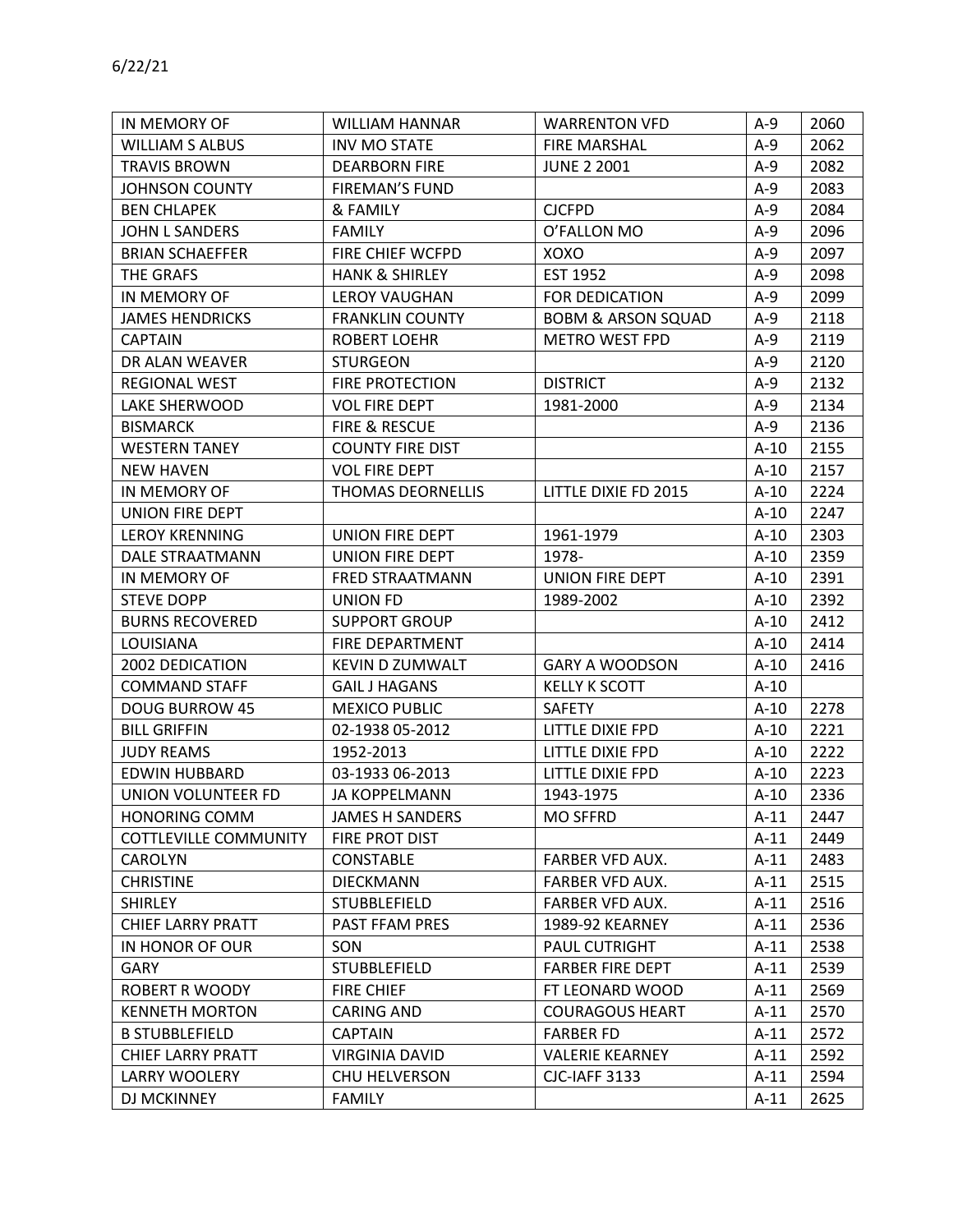| IN MEMORY OF                 | <b>WILLIAM HANNAR</b>     | <b>WARRENTON VFD</b>          | A-9    | 2060 |
|------------------------------|---------------------------|-------------------------------|--------|------|
| <b>WILLIAM S ALBUS</b>       | <b>INV MO STATE</b>       | <b>FIRE MARSHAL</b>           | $A-9$  | 2062 |
| <b>TRAVIS BROWN</b>          | <b>DEARBORN FIRE</b>      | <b>JUNE 2 2001</b>            | A-9    | 2082 |
| <b>JOHNSON COUNTY</b>        | <b>FIREMAN'S FUND</b>     |                               | $A-9$  | 2083 |
| <b>BEN CHLAPEK</b>           | & FAMILY                  | <b>CJCFPD</b>                 | $A-9$  | 2084 |
| <b>JOHN L SANDERS</b>        | <b>FAMILY</b>             | O'FALLON MO                   | $A-9$  | 2096 |
| <b>BRIAN SCHAEFFER</b>       | FIRE CHIEF WCFPD          | XOXO                          | $A-9$  | 2097 |
| THE GRAFS                    | <b>HANK &amp; SHIRLEY</b> | EST 1952                      | $A-9$  | 2098 |
| IN MEMORY OF                 | <b>LEROY VAUGHAN</b>      | FOR DEDICATION                | $A-9$  | 2099 |
| <b>JAMES HENDRICKS</b>       | <b>FRANKLIN COUNTY</b>    | <b>BOBM &amp; ARSON SQUAD</b> | $A-9$  | 2118 |
| <b>CAPTAIN</b>               | <b>ROBERT LOEHR</b>       | <b>METRO WEST FPD</b>         | $A-9$  | 2119 |
| DR ALAN WEAVER               | <b>STURGEON</b>           |                               | $A-9$  | 2120 |
| REGIONAL WEST                | <b>FIRE PROTECTION</b>    | <b>DISTRICT</b>               | $A-9$  | 2132 |
| LAKE SHERWOOD                | <b>VOL FIRE DEPT</b>      | 1981-2000                     | $A-9$  | 2134 |
| <b>BISMARCK</b>              | FIRE & RESCUE             |                               | $A-9$  | 2136 |
| <b>WESTERN TANEY</b>         | <b>COUNTY FIRE DIST</b>   |                               | $A-10$ | 2155 |
| <b>NEW HAVEN</b>             | <b>VOL FIRE DEPT</b>      |                               | $A-10$ | 2157 |
| IN MEMORY OF                 | THOMAS DEORNELLIS         | LITTLE DIXIE FD 2015          | $A-10$ | 2224 |
| <b>UNION FIRE DEPT</b>       |                           |                               | $A-10$ | 2247 |
| <b>LEROY KRENNING</b>        | UNION FIRE DEPT           | 1961-1979                     | $A-10$ | 2303 |
| DALE STRAATMANN              | UNION FIRE DEPT           | 1978-                         | $A-10$ | 2359 |
| IN MEMORY OF                 | FRED STRAATMANN           | UNION FIRE DEPT               | $A-10$ | 2391 |
| <b>STEVE DOPP</b>            | <b>UNION FD</b>           | 1989-2002                     | $A-10$ | 2392 |
| <b>BURNS RECOVERED</b>       | <b>SUPPORT GROUP</b>      |                               | $A-10$ | 2412 |
| LOUISIANA                    | FIRE DEPARTMENT           |                               | $A-10$ | 2414 |
| 2002 DEDICATION              | <b>KEVIN D ZUMWALT</b>    | <b>GARY A WOODSON</b>         | $A-10$ | 2416 |
| <b>COMMAND STAFF</b>         | <b>GAIL J HAGANS</b>      | <b>KELLY K SCOTT</b>          | $A-10$ |      |
| <b>DOUG BURROW 45</b>        | <b>MEXICO PUBLIC</b>      | <b>SAFETY</b>                 | $A-10$ | 2278 |
| <b>BILL GRIFFIN</b>          | 02-1938 05-2012           | LITTLE DIXIE FPD              | $A-10$ | 2221 |
| <b>JUDY REAMS</b>            | 1952-2013                 | LITTLE DIXIE FPD              | $A-10$ | 2222 |
| <b>EDWIN HUBBARD</b>         | 03-1933 06-2013           | LITTLE DIXIE FPD              | $A-10$ | 2223 |
| UNION VOLUNTEER FD           | <b>JA KOPPELMANN</b>      | 1943-1975                     | $A-10$ | 2336 |
| <b>HONORING COMM</b>         | <b>JAMES H SANDERS</b>    | MO SFFRD                      | $A-11$ | 2447 |
| <b>COTTLEVILLE COMMUNITY</b> | FIRE PROT DIST            |                               | $A-11$ | 2449 |
| <b>CAROLYN</b>               | <b>CONSTABLE</b>          | FARBER VFD AUX.               | $A-11$ | 2483 |
| <b>CHRISTINE</b>             | <b>DIECKMANN</b>          | FARBER VFD AUX.               | $A-11$ | 2515 |
| <b>SHIRLEY</b>               | <b>STUBBLEFIELD</b>       | FARBER VFD AUX.               | $A-11$ | 2516 |
| CHIEF LARRY PRATT            | <b>PAST FFAM PRES</b>     | 1989-92 KEARNEY               | $A-11$ | 2536 |
| IN HONOR OF OUR              | SON                       | PAUL CUTRIGHT                 | $A-11$ | 2538 |
| GARY                         | <b>STUBBLEFIELD</b>       | <b>FARBER FIRE DEPT</b>       | $A-11$ | 2539 |
| <b>ROBERT R WOODY</b>        | <b>FIRE CHIEF</b>         | FT LEONARD WOOD               | $A-11$ | 2569 |
| <b>KENNETH MORTON</b>        | <b>CARING AND</b>         | <b>COURAGOUS HEART</b>        | $A-11$ | 2570 |
| <b>B STUBBLEFIELD</b>        | <b>CAPTAIN</b>            | <b>FARBER FD</b>              | $A-11$ | 2572 |
| <b>CHIEF LARRY PRATT</b>     | <b>VIRGINIA DAVID</b>     | <b>VALERIE KEARNEY</b>        | $A-11$ | 2592 |
| LARRY WOOLERY                | CHU HELVERSON             | CJC-IAFF 3133                 | $A-11$ | 2594 |
| DJ MCKINNEY                  | <b>FAMILY</b>             |                               | $A-11$ | 2625 |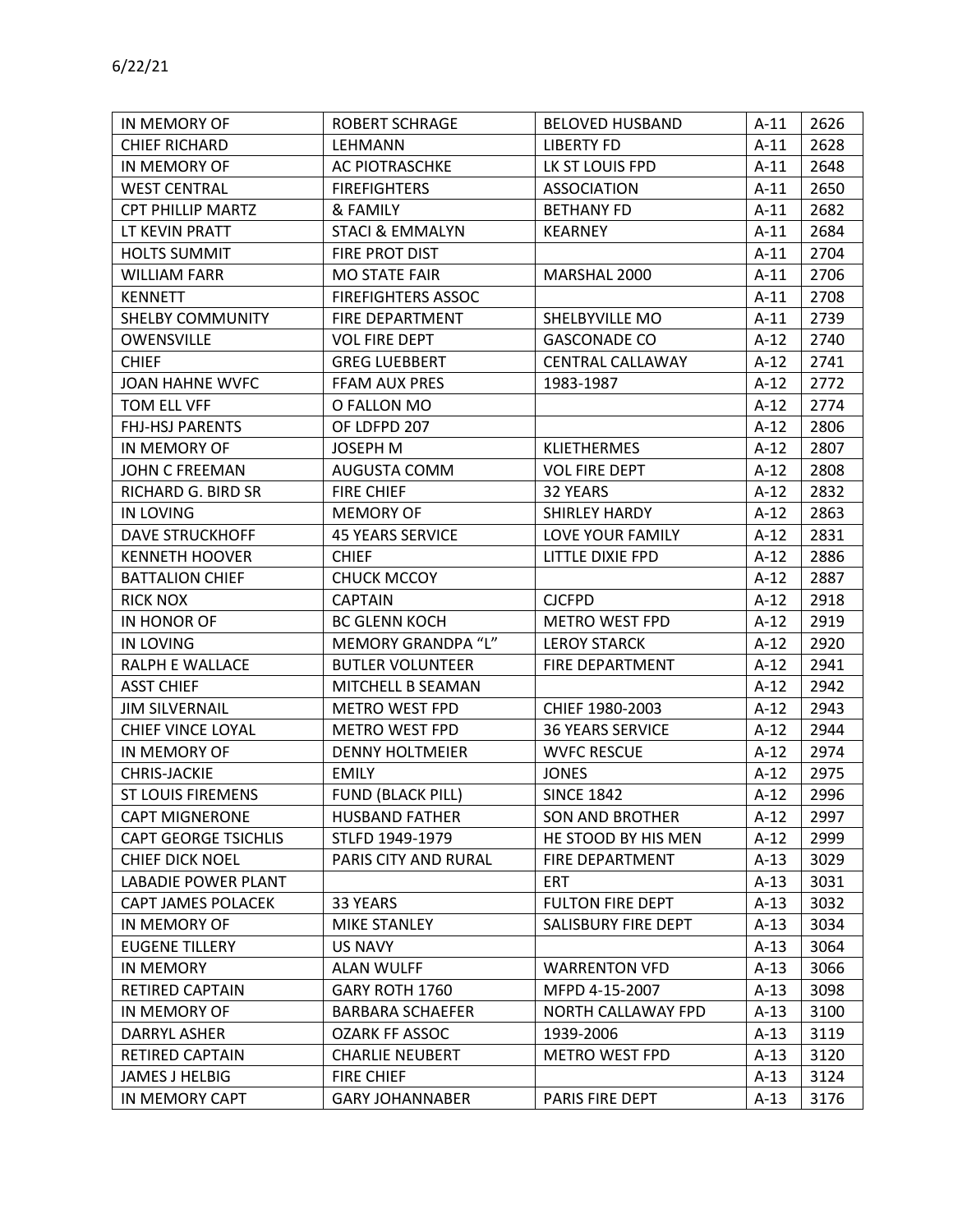| IN MEMORY OF                | <b>ROBERT SCHRAGE</b>      | <b>BELOVED HUSBAND</b>  | $A-11$ | 2626 |
|-----------------------------|----------------------------|-------------------------|--------|------|
| <b>CHIEF RICHARD</b>        | LEHMANN                    | <b>LIBERTY FD</b>       | $A-11$ | 2628 |
| IN MEMORY OF                | AC PIOTRASCHKE             | LK ST LOUIS FPD         | $A-11$ | 2648 |
| <b>WEST CENTRAL</b>         | <b>FIREFIGHTERS</b>        | <b>ASSOCIATION</b>      | $A-11$ | 2650 |
| CPT PHILLIP MARTZ           | & FAMILY                   | <b>BETHANY FD</b>       | $A-11$ | 2682 |
| LT KEVIN PRATT              | <b>STACI &amp; EMMALYN</b> | <b>KEARNEY</b>          | $A-11$ | 2684 |
| <b>HOLTS SUMMIT</b>         | FIRE PROT DIST             |                         | $A-11$ | 2704 |
| <b>WILLIAM FARR</b>         | <b>MO STATE FAIR</b>       | MARSHAL 2000            | $A-11$ | 2706 |
| <b>KENNETT</b>              | <b>FIREFIGHTERS ASSOC</b>  |                         | $A-11$ | 2708 |
| SHELBY COMMUNITY            | FIRE DEPARTMENT            | SHELBYVILLE MO          | $A-11$ | 2739 |
| OWENSVILLE                  | <b>VOL FIRE DEPT</b>       | <b>GASCONADE CO</b>     | $A-12$ | 2740 |
| <b>CHIEF</b>                | <b>GREG LUEBBERT</b>       | <b>CENTRAL CALLAWAY</b> | $A-12$ | 2741 |
| JOAN HAHNE WVFC             | FFAM AUX PRES              | 1983-1987               | $A-12$ | 2772 |
| TOM ELL VFF                 | O FALLON MO                |                         | $A-12$ | 2774 |
| <b>FHJ-HSJ PARENTS</b>      | OF LDFPD 207               |                         | $A-12$ | 2806 |
| IN MEMORY OF                | <b>JOSEPH M</b>            | <b>KLIETHERMES</b>      | $A-12$ | 2807 |
| JOHN C FREEMAN              | AUGUSTA COMM               | <b>VOL FIRE DEPT</b>    | $A-12$ | 2808 |
| RICHARD G. BIRD SR          | <b>FIRE CHIEF</b>          | 32 YEARS                | $A-12$ | 2832 |
| <b>IN LOVING</b>            | <b>MEMORY OF</b>           | SHIRLEY HARDY           | $A-12$ | 2863 |
| <b>DAVE STRUCKHOFF</b>      | <b>45 YEARS SERVICE</b>    | LOVE YOUR FAMILY        | $A-12$ | 2831 |
| <b>KENNETH HOOVER</b>       | <b>CHIEF</b>               | LITTLE DIXIE FPD        | $A-12$ | 2886 |
| <b>BATTALION CHIEF</b>      | <b>CHUCK MCCOY</b>         |                         | $A-12$ | 2887 |
| <b>RICK NOX</b>             | <b>CAPTAIN</b>             | <b>CJCFPD</b>           | $A-12$ | 2918 |
| IN HONOR OF                 | <b>BC GLENN KOCH</b>       | <b>METRO WEST FPD</b>   | $A-12$ | 2919 |
| IN LOVING                   | MEMORY GRANDPA "L"         | <b>LEROY STARCK</b>     | $A-12$ | 2920 |
| RALPH E WALLACE             | <b>BUTLER VOLUNTEER</b>    | FIRE DEPARTMENT         | $A-12$ | 2941 |
| <b>ASST CHIEF</b>           | MITCHELL B SEAMAN          |                         | $A-12$ | 2942 |
| <b>JIM SILVERNAIL</b>       | <b>METRO WEST FPD</b>      | CHIEF 1980-2003         | $A-12$ | 2943 |
| CHIEF VINCE LOYAL           | <b>METRO WEST FPD</b>      | <b>36 YEARS SERVICE</b> | $A-12$ | 2944 |
| IN MEMORY OF                | <b>DENNY HOLTMEIER</b>     | <b>WVFC RESCUE</b>      | $A-12$ | 2974 |
| CHRIS-JACKIE                | <b>EMILY</b>               | <b>JONES</b>            | $A-12$ | 2975 |
| <b>ST LOUIS FIREMENS</b>    | <b>FUND (BLACK PILL)</b>   | <b>SINCE 1842</b>       | $A-12$ | 2996 |
| <b>CAPT MIGNERONE</b>       | <b>HUSBAND FATHER</b>      | <b>SON AND BROTHER</b>  | $A-12$ | 2997 |
| <b>CAPT GEORGE TSICHLIS</b> | STLFD 1949-1979            | HE STOOD BY HIS MEN     | $A-12$ | 2999 |
| <b>CHIEF DICK NOEL</b>      | PARIS CITY AND RURAL       | FIRE DEPARTMENT         | $A-13$ | 3029 |
| <b>LABADIE POWER PLANT</b>  |                            | <b>ERT</b>              | $A-13$ | 3031 |
| CAPT JAMES POLACEK          | 33 YEARS                   | <b>FULTON FIRE DEPT</b> | $A-13$ | 3032 |
| IN MEMORY OF                | MIKE STANLEY               | SALISBURY FIRE DEPT     | $A-13$ | 3034 |
| <b>EUGENE TILLERY</b>       | <b>US NAVY</b>             |                         | $A-13$ | 3064 |
| IN MEMORY                   | <b>ALAN WULFF</b>          | <b>WARRENTON VFD</b>    | $A-13$ | 3066 |
| RETIRED CAPTAIN             | GARY ROTH 1760             | MFPD 4-15-2007          | $A-13$ | 3098 |
| IN MEMORY OF                | <b>BARBARA SCHAEFER</b>    | NORTH CALLAWAY FPD      | $A-13$ | 3100 |
| DARRYL ASHER                | <b>OZARK FF ASSOC</b>      | 1939-2006               | $A-13$ | 3119 |
| <b>RETIRED CAPTAIN</b>      | <b>CHARLIE NEUBERT</b>     | <b>METRO WEST FPD</b>   | A-13   | 3120 |
| JAMES J HELBIG              | <b>FIRE CHIEF</b>          |                         | $A-13$ | 3124 |
| IN MEMORY CAPT              | <b>GARY JOHANNABER</b>     | PARIS FIRE DEPT         | $A-13$ | 3176 |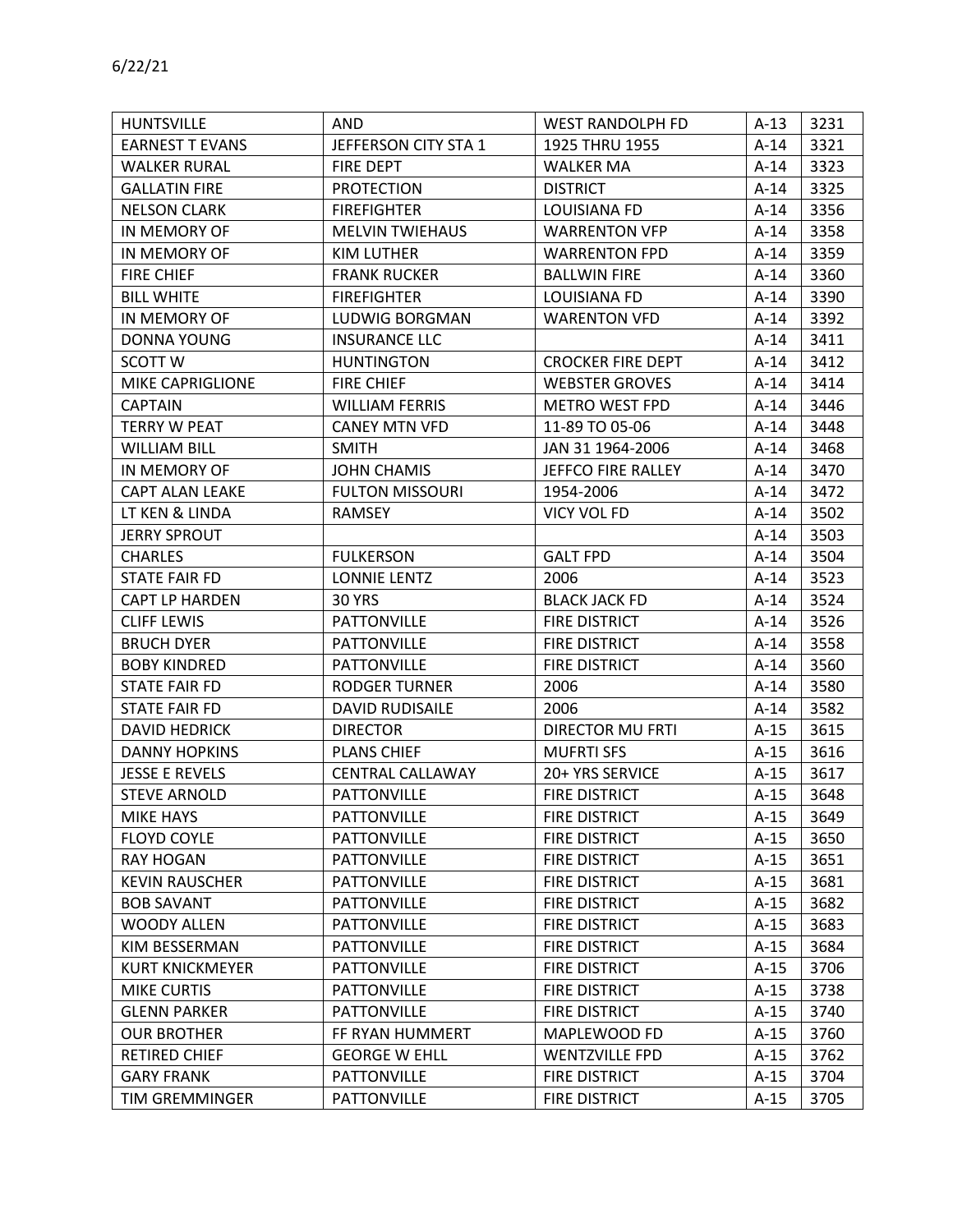| <b>HUNTSVILLE</b>      | <b>AND</b>              | <b>WEST RANDOLPH FD</b>  | $A-13$ | 3231 |
|------------------------|-------------------------|--------------------------|--------|------|
| <b>EARNEST T EVANS</b> | JEFFERSON CITY STA 1    | 1925 THRU 1955           | $A-14$ | 3321 |
| <b>WALKER RURAL</b>    | FIRE DEPT               | <b>WALKER MA</b>         | A-14   | 3323 |
| <b>GALLATIN FIRE</b>   | <b>PROTECTION</b>       | <b>DISTRICT</b>          | $A-14$ | 3325 |
| <b>NELSON CLARK</b>    | <b>FIREFIGHTER</b>      | LOUISIANA FD             | $A-14$ | 3356 |
| IN MEMORY OF           | <b>MELVIN TWIEHAUS</b>  | <b>WARRENTON VFP</b>     | A-14   | 3358 |
| IN MEMORY OF           | <b>KIM LUTHER</b>       | <b>WARRENTON FPD</b>     | $A-14$ | 3359 |
| <b>FIRE CHIEF</b>      | <b>FRANK RUCKER</b>     | <b>BALLWIN FIRE</b>      | $A-14$ | 3360 |
| <b>BILL WHITE</b>      | <b>FIREFIGHTER</b>      | LOUISIANA FD             | A-14   | 3390 |
| IN MEMORY OF           | LUDWIG BORGMAN          | <b>WARENTON VFD</b>      | $A-14$ | 3392 |
| <b>DONNA YOUNG</b>     | <b>INSURANCE LLC</b>    |                          | $A-14$ | 3411 |
| <b>SCOTT W</b>         | <b>HUNTINGTON</b>       | <b>CROCKER FIRE DEPT</b> | $A-14$ | 3412 |
| MIKE CAPRIGLIONE       | <b>FIRE CHIEF</b>       | <b>WEBSTER GROVES</b>    | $A-14$ | 3414 |
| <b>CAPTAIN</b>         | <b>WILLIAM FERRIS</b>   | <b>METRO WEST FPD</b>    | $A-14$ | 3446 |
| <b>TERRY W PEAT</b>    | <b>CANEY MTN VFD</b>    | 11-89 TO 05-06           | $A-14$ | 3448 |
| <b>WILLIAM BILL</b>    | <b>SMITH</b>            | JAN 31 1964-2006         | $A-14$ | 3468 |
| IN MEMORY OF           | <b>JOHN CHAMIS</b>      | JEFFCO FIRE RALLEY       | $A-14$ | 3470 |
| <b>CAPT ALAN LEAKE</b> | <b>FULTON MISSOURI</b>  | 1954-2006                | $A-14$ | 3472 |
| LT KEN & LINDA         | <b>RAMSEY</b>           | VICY VOL FD              | $A-14$ | 3502 |
| <b>JERRY SPROUT</b>    |                         |                          | $A-14$ | 3503 |
| <b>CHARLES</b>         | <b>FULKERSON</b>        | <b>GALT FPD</b>          | $A-14$ | 3504 |
| <b>STATE FAIR FD</b>   | <b>LONNIE LENTZ</b>     | 2006                     | $A-14$ | 3523 |
| <b>CAPT LP HARDEN</b>  | <b>30 YRS</b>           | <b>BLACK JACK FD</b>     | $A-14$ | 3524 |
| <b>CLIFF LEWIS</b>     | <b>PATTONVILLE</b>      | FIRE DISTRICT            | $A-14$ | 3526 |
| <b>BRUCH DYER</b>      | <b>PATTONVILLE</b>      | <b>FIRE DISTRICT</b>     | $A-14$ | 3558 |
| <b>BOBY KINDRED</b>    | <b>PATTONVILLE</b>      | <b>FIRE DISTRICT</b>     | $A-14$ | 3560 |
| STATE FAIR FD          | RODGER TURNER           | 2006                     | $A-14$ | 3580 |
| <b>STATE FAIR FD</b>   | <b>DAVID RUDISAILE</b>  | 2006                     | $A-14$ | 3582 |
| <b>DAVID HEDRICK</b>   | <b>DIRECTOR</b>         | <b>DIRECTOR MU FRTI</b>  | $A-15$ | 3615 |
| <b>DANNY HOPKINS</b>   | <b>PLANS CHIEF</b>      | <b>MUFRTI SFS</b>        | $A-15$ | 3616 |
| <b>JESSE E REVELS</b>  | <b>CENTRAL CALLAWAY</b> | 20+ YRS SERVICE          | $A-15$ | 3617 |
| <b>STEVE ARNOLD</b>    | <b>PATTONVILLE</b>      | <b>FIRE DISTRICT</b>     | $A-15$ | 3648 |
| MIKE HAYS              | <b>PATTONVILLE</b>      | <b>FIRE DISTRICT</b>     | $A-15$ | 3649 |
| <b>FLOYD COYLE</b>     | <b>PATTONVILLE</b>      | FIRE DISTRICT            | $A-15$ | 3650 |
| <b>RAY HOGAN</b>       | <b>PATTONVILLE</b>      | <b>FIRE DISTRICT</b>     | $A-15$ | 3651 |
| <b>KEVIN RAUSCHER</b>  | <b>PATTONVILLE</b>      | FIRE DISTRICT            | $A-15$ | 3681 |
| <b>BOB SAVANT</b>      | <b>PATTONVILLE</b>      | FIRE DISTRICT            | $A-15$ | 3682 |
| <b>WOODY ALLEN</b>     | <b>PATTONVILLE</b>      | FIRE DISTRICT            | $A-15$ | 3683 |
| KIM BESSERMAN          | <b>PATTONVILLE</b>      | FIRE DISTRICT            | $A-15$ | 3684 |
| <b>KURT KNICKMEYER</b> | <b>PATTONVILLE</b>      | <b>FIRE DISTRICT</b>     | $A-15$ | 3706 |
| <b>MIKE CURTIS</b>     | <b>PATTONVILLE</b>      | FIRE DISTRICT            | $A-15$ | 3738 |
| <b>GLENN PARKER</b>    | <b>PATTONVILLE</b>      | FIRE DISTRICT            | $A-15$ | 3740 |
| <b>OUR BROTHER</b>     | FF RYAN HUMMERT         | MAPLEWOOD FD             | $A-15$ | 3760 |
| <b>RETIRED CHIEF</b>   | <b>GEORGE W EHLL</b>    | <b>WENTZVILLE FPD</b>    | $A-15$ | 3762 |
| <b>GARY FRANK</b>      | <b>PATTONVILLE</b>      | FIRE DISTRICT            | $A-15$ | 3704 |
| TIM GREMMINGER         | <b>PATTONVILLE</b>      | <b>FIRE DISTRICT</b>     | $A-15$ | 3705 |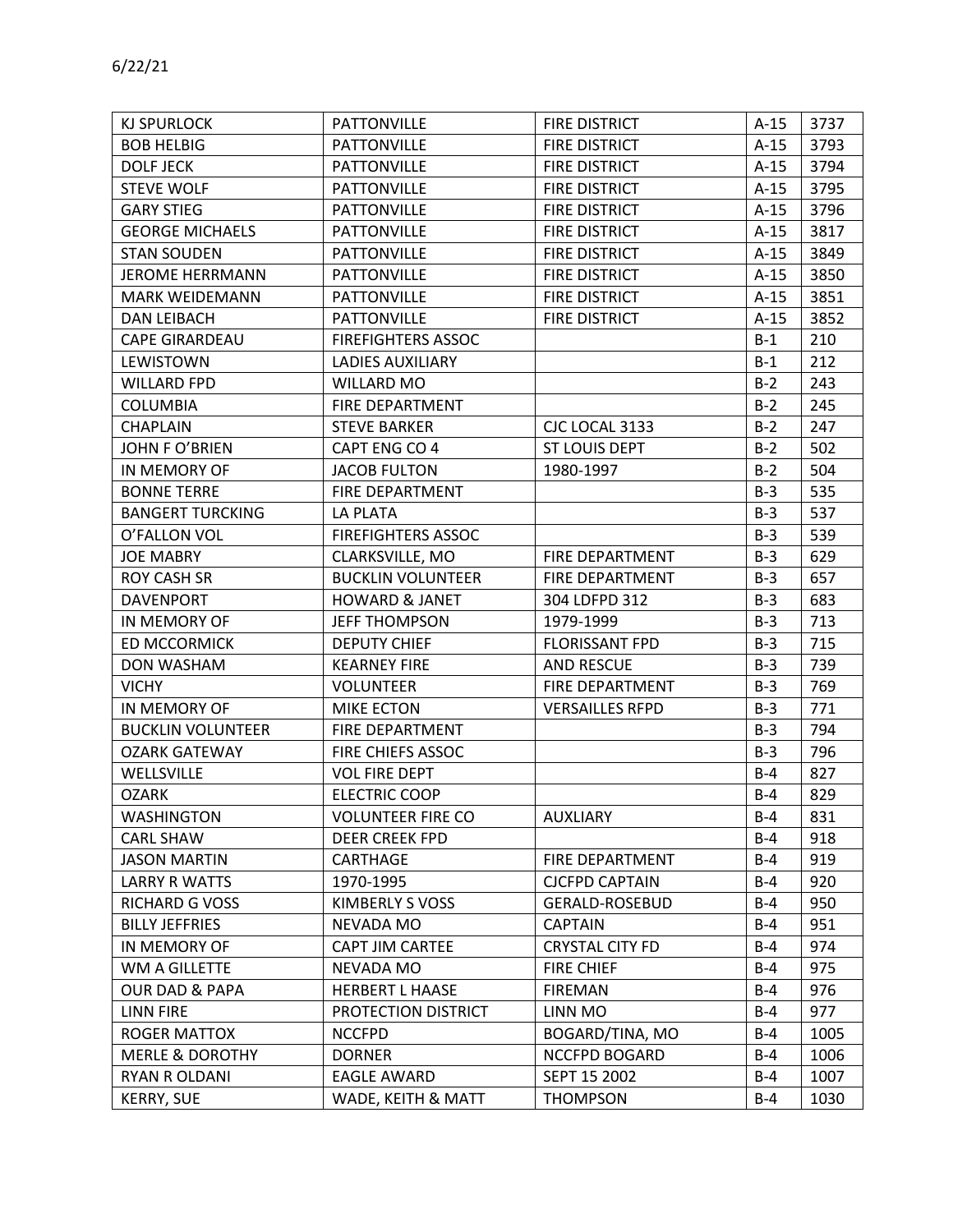| KJ SPURLOCK                | <b>PATTONVILLE</b>        | <b>FIRE DISTRICT</b>   | $A-15$ | 3737 |
|----------------------------|---------------------------|------------------------|--------|------|
| <b>BOB HELBIG</b>          | <b>PATTONVILLE</b>        | <b>FIRE DISTRICT</b>   | $A-15$ | 3793 |
| <b>DOLF JECK</b>           | <b>PATTONVILLE</b>        | <b>FIRE DISTRICT</b>   | $A-15$ | 3794 |
| <b>STEVE WOLF</b>          | <b>PATTONVILLE</b>        | FIRE DISTRICT          | $A-15$ | 3795 |
| <b>GARY STIEG</b>          | <b>PATTONVILLE</b>        | <b>FIRE DISTRICT</b>   | $A-15$ | 3796 |
| <b>GEORGE MICHAELS</b>     | <b>PATTONVILLE</b>        | <b>FIRE DISTRICT</b>   | $A-15$ | 3817 |
| <b>STAN SOUDEN</b>         | <b>PATTONVILLE</b>        | <b>FIRE DISTRICT</b>   | $A-15$ | 3849 |
| <b>JEROME HERRMANN</b>     | <b>PATTONVILLE</b>        | <b>FIRE DISTRICT</b>   | $A-15$ | 3850 |
| <b>MARK WEIDEMANN</b>      | <b>PATTONVILLE</b>        | <b>FIRE DISTRICT</b>   | $A-15$ | 3851 |
| <b>DAN LEIBACH</b>         | <b>PATTONVILLE</b>        | <b>FIRE DISTRICT</b>   | $A-15$ | 3852 |
| <b>CAPE GIRARDEAU</b>      | <b>FIREFIGHTERS ASSOC</b> |                        | $B-1$  | 210  |
| LEWISTOWN                  | <b>LADIES AUXILIARY</b>   |                        | $B-1$  | 212  |
| <b>WILLARD FPD</b>         | WILLARD MO                |                        | $B-2$  | 243  |
| <b>COLUMBIA</b>            | <b>FIRE DEPARTMENT</b>    |                        | $B-2$  | 245  |
| <b>CHAPLAIN</b>            | <b>STEVE BARKER</b>       | CJC LOCAL 3133         | $B-2$  | 247  |
| <b>JOHN F O'BRIEN</b>      | CAPT ENG CO 4             | ST LOUIS DEPT          | $B-2$  | 502  |
| IN MEMORY OF               | <b>JACOB FULTON</b>       | 1980-1997              | $B-2$  | 504  |
| <b>BONNE TERRE</b>         | FIRE DEPARTMENT           |                        | $B-3$  | 535  |
| <b>BANGERT TURCKING</b>    | LA PLATA                  |                        | $B-3$  | 537  |
| O'FALLON VOL               | <b>FIREFIGHTERS ASSOC</b> |                        | $B-3$  | 539  |
| <b>JOE MABRY</b>           | CLARKSVILLE, MO           | <b>FIRE DEPARTMENT</b> | $B-3$  | 629  |
| <b>ROY CASH SR</b>         | <b>BUCKLIN VOLUNTEER</b>  | FIRE DEPARTMENT        | $B-3$  | 657  |
| <b>DAVENPORT</b>           | <b>HOWARD &amp; JANET</b> | 304 LDFPD 312          | $B-3$  | 683  |
| IN MEMORY OF               | <b>JEFF THOMPSON</b>      | 1979-1999              | $B-3$  | 713  |
| ED MCCORMICK               | <b>DEPUTY CHIEF</b>       | <b>FLORISSANT FPD</b>  | $B-3$  | 715  |
| DON WASHAM                 | <b>KEARNEY FIRE</b>       | <b>AND RESCUE</b>      | $B-3$  | 739  |
| <b>VICHY</b>               | <b>VOLUNTEER</b>          | FIRE DEPARTMENT        | $B-3$  | 769  |
| IN MEMORY OF               | <b>MIKE ECTON</b>         | <b>VERSAILLES RFPD</b> | $B-3$  | 771  |
| <b>BUCKLIN VOLUNTEER</b>   | FIRE DEPARTMENT           |                        | $B-3$  | 794  |
| <b>OZARK GATEWAY</b>       | FIRE CHIEFS ASSOC         |                        | $B-3$  | 796  |
| WELLSVILLE                 | <b>VOL FIRE DEPT</b>      |                        | $B-4$  | 827  |
| <b>OZARK</b>               | <b>ELECTRIC COOP</b>      |                        | $B-4$  | 829  |
| <b>WASHINGTON</b>          | <b>VOLUNTEER FIRE CO</b>  | <b>AUXLIARY</b>        | $B-4$  | 831  |
| <b>CARL SHAW</b>           | <b>DEER CREEK FPD</b>     |                        | $B-4$  | 918  |
| <b>JASON MARTIN</b>        | CARTHAGE                  | FIRE DEPARTMENT        | $B-4$  | 919  |
| <b>LARRY R WATTS</b>       | 1970-1995                 | <b>CJCFPD CAPTAIN</b>  | $B-4$  | 920  |
| RICHARD G VOSS             | KIMBERLY S VOSS           | <b>GERALD-ROSEBUD</b>  | $B-4$  | 950  |
| <b>BILLY JEFFRIES</b>      | NEVADA MO                 | <b>CAPTAIN</b>         | $B-4$  | 951  |
| IN MEMORY OF               | CAPT JIM CARTEE           | <b>CRYSTAL CITY FD</b> | $B-4$  | 974  |
| WM A GILLETTE              | NEVADA MO                 | <b>FIRE CHIEF</b>      | $B-4$  | 975  |
| <b>OUR DAD &amp; PAPA</b>  | <b>HERBERT L HAASE</b>    | <b>FIREMAN</b>         | $B-4$  | 976  |
| <b>LINN FIRE</b>           | PROTECTION DISTRICT       | LINN MO                | $B-4$  | 977  |
| ROGER MATTOX               | <b>NCCFPD</b>             | BOGARD/TINA, MO        | $B-4$  | 1005 |
| <b>MERLE &amp; DOROTHY</b> | <b>DORNER</b>             | NCCFPD BOGARD          | $B-4$  | 1006 |
| RYAN R OLDANI              | <b>EAGLE AWARD</b>        | SEPT 15 2002           | $B-4$  | 1007 |
| <b>KERRY, SUE</b>          | WADE, KEITH & MATT        | <b>THOMPSON</b>        | $B-4$  | 1030 |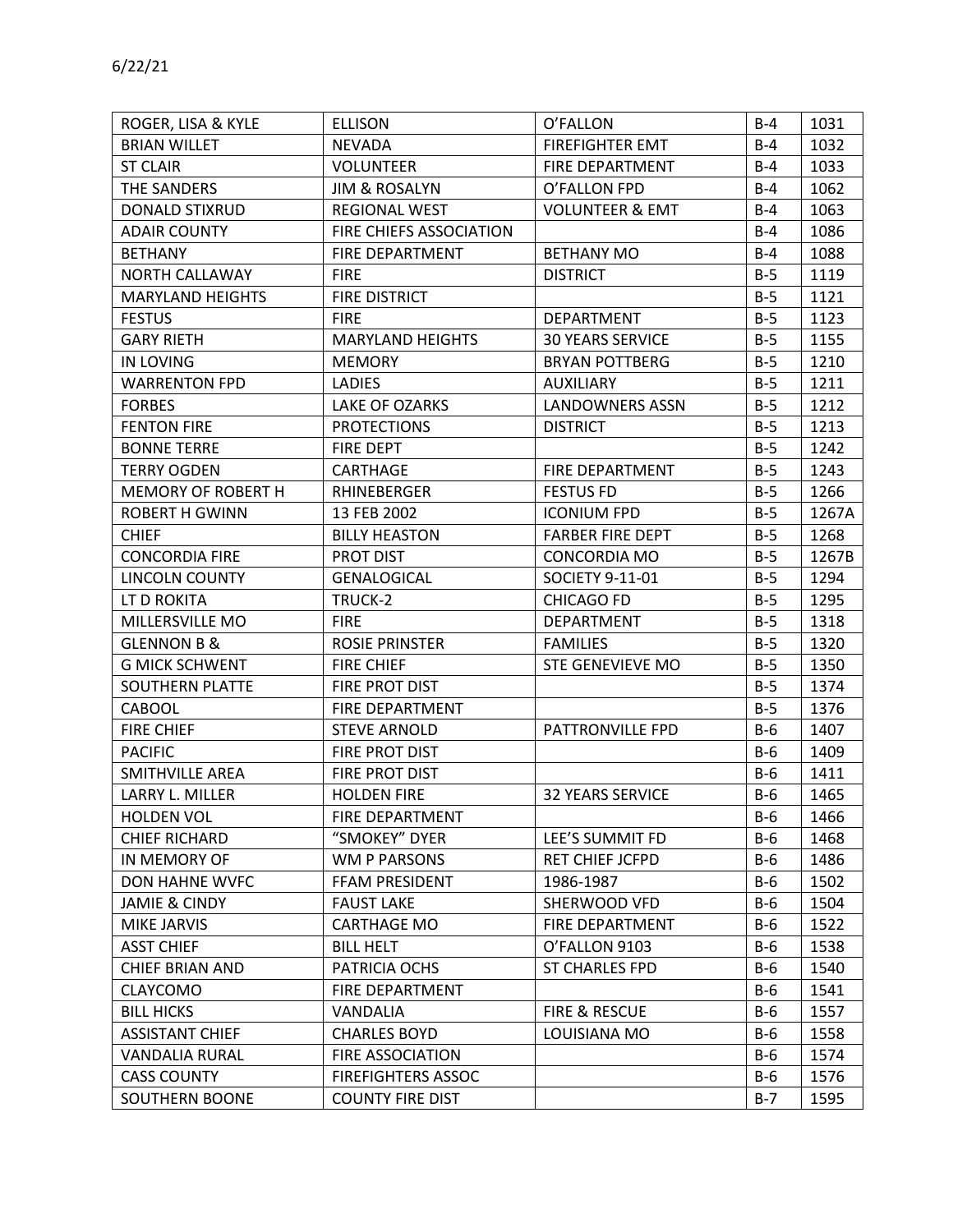| ROGER, LISA & KYLE       | <b>ELLISON</b>            | O'FALLON                   | B-4   | 1031  |
|--------------------------|---------------------------|----------------------------|-------|-------|
| <b>BRIAN WILLET</b>      | <b>NEVADA</b>             | <b>FIREFIGHTER EMT</b>     | $B-4$ | 1032  |
| <b>ST CLAIR</b>          | <b>VOLUNTEER</b>          | FIRE DEPARTMENT            | $B-4$ | 1033  |
| THE SANDERS              | <b>JIM &amp; ROSALYN</b>  | O'FALLON FPD               | $B-4$ | 1062  |
| <b>DONALD STIXRUD</b>    | <b>REGIONAL WEST</b>      | <b>VOLUNTEER &amp; EMT</b> | $B-4$ | 1063  |
| <b>ADAIR COUNTY</b>      | FIRE CHIEFS ASSOCIATION   |                            | $B-4$ | 1086  |
| <b>BETHANY</b>           | <b>FIRE DEPARTMENT</b>    | <b>BETHANY MO</b>          | $B-4$ | 1088  |
| NORTH CALLAWAY           | <b>FIRE</b>               | <b>DISTRICT</b>            | $B-5$ | 1119  |
| <b>MARYLAND HEIGHTS</b>  | <b>FIRE DISTRICT</b>      |                            | $B-5$ | 1121  |
| <b>FESTUS</b>            | <b>FIRE</b>               | DEPARTMENT                 | $B-5$ | 1123  |
| <b>GARY RIETH</b>        | <b>MARYLAND HEIGHTS</b>   | <b>30 YEARS SERVICE</b>    | $B-5$ | 1155  |
| <b>IN LOVING</b>         | <b>MEMORY</b>             | <b>BRYAN POTTBERG</b>      | $B-5$ | 1210  |
| <b>WARRENTON FPD</b>     | <b>LADIES</b>             | <b>AUXILIARY</b>           | $B-5$ | 1211  |
| <b>FORBES</b>            | LAKE OF OZARKS            | <b>LANDOWNERS ASSN</b>     | $B-5$ | 1212  |
| <b>FENTON FIRE</b>       | <b>PROTECTIONS</b>        | <b>DISTRICT</b>            | $B-5$ | 1213  |
| <b>BONNE TERRE</b>       | FIRE DEPT                 |                            | $B-5$ | 1242  |
| <b>TERRY OGDEN</b>       | CARTHAGE                  | FIRE DEPARTMENT            | $B-5$ | 1243  |
| MEMORY OF ROBERT H       | RHINEBERGER               | <b>FESTUS FD</b>           | $B-5$ | 1266  |
| <b>ROBERT H GWINN</b>    | 13 FEB 2002               | <b>ICONIUM FPD</b>         | $B-5$ | 1267A |
| <b>CHIEF</b>             | <b>BILLY HEASTON</b>      | <b>FARBER FIRE DEPT</b>    | $B-5$ | 1268  |
| <b>CONCORDIA FIRE</b>    | PROT DIST                 | <b>CONCORDIA MO</b>        | $B-5$ | 1267B |
| <b>LINCOLN COUNTY</b>    | <b>GENALOGICAL</b>        | SOCIETY 9-11-01            | $B-5$ | 1294  |
| LT D ROKITA              | TRUCK-2                   | <b>CHICAGO FD</b>          | $B-5$ | 1295  |
| MILLERSVILLE MO          | <b>FIRE</b>               | DEPARTMENT                 | $B-5$ | 1318  |
| <b>GLENNON B &amp;</b>   | <b>ROSIE PRINSTER</b>     | <b>FAMILIES</b>            | $B-5$ | 1320  |
| <b>G MICK SCHWENT</b>    | <b>FIRE CHIEF</b>         | <b>STE GENEVIEVE MO</b>    | $B-5$ | 1350  |
| SOUTHERN PLATTE          | FIRE PROT DIST            |                            | $B-5$ | 1374  |
| CABOOL                   | FIRE DEPARTMENT           |                            | $B-5$ | 1376  |
| <b>FIRE CHIEF</b>        | <b>STEVE ARNOLD</b>       | PATTRONVILLE FPD           | $B-6$ | 1407  |
| <b>PACIFIC</b>           | FIRE PROT DIST            |                            | $B-6$ | 1409  |
| <b>SMITHVILLE AREA</b>   | FIRE PROT DIST            |                            | $B-6$ | 1411  |
| LARRY L. MILLER          | <b>HOLDEN FIRE</b>        | <b>32 YEARS SERVICE</b>    | $B-6$ | 1465  |
| <b>HOLDEN VOL</b>        | FIRE DEPARTMENT           |                            | $B-6$ | 1466  |
| <b>CHIEF RICHARD</b>     | "SMOKEY" DYER             | LEE'S SUMMIT FD            | B-6   | 1468  |
| IN MEMORY OF             | WM P PARSONS              | <b>RET CHIEF JCFPD</b>     | $B-6$ | 1486  |
| DON HAHNE WVFC           | FFAM PRESIDENT            | 1986-1987                  | $B-6$ | 1502  |
| <b>JAMIE &amp; CINDY</b> | <b>FAUST LAKE</b>         | SHERWOOD VFD               | $B-6$ | 1504  |
| MIKE JARVIS              | CARTHAGE MO               | FIRE DEPARTMENT            | $B-6$ | 1522  |
| <b>ASST CHIEF</b>        | <b>BILL HELT</b>          | O'FALLON 9103              | $B-6$ | 1538  |
| <b>CHIEF BRIAN AND</b>   | PATRICIA OCHS             | <b>ST CHARLES FPD</b>      | $B-6$ | 1540  |
| <b>CLAYCOMO</b>          | <b>FIRE DEPARTMENT</b>    |                            | $B-6$ | 1541  |
| <b>BILL HICKS</b>        | VANDALIA                  | FIRE & RESCUE              | $B-6$ | 1557  |
| <b>ASSISTANT CHIEF</b>   | <b>CHARLES BOYD</b>       | LOUISIANA MO               | $B-6$ | 1558  |
| <b>VANDALIA RURAL</b>    | <b>FIRE ASSOCIATION</b>   |                            | B-6   | 1574  |
| <b>CASS COUNTY</b>       | <b>FIREFIGHTERS ASSOC</b> |                            | $B-6$ | 1576  |
| SOUTHERN BOONE           | <b>COUNTY FIRE DIST</b>   |                            | $B-7$ | 1595  |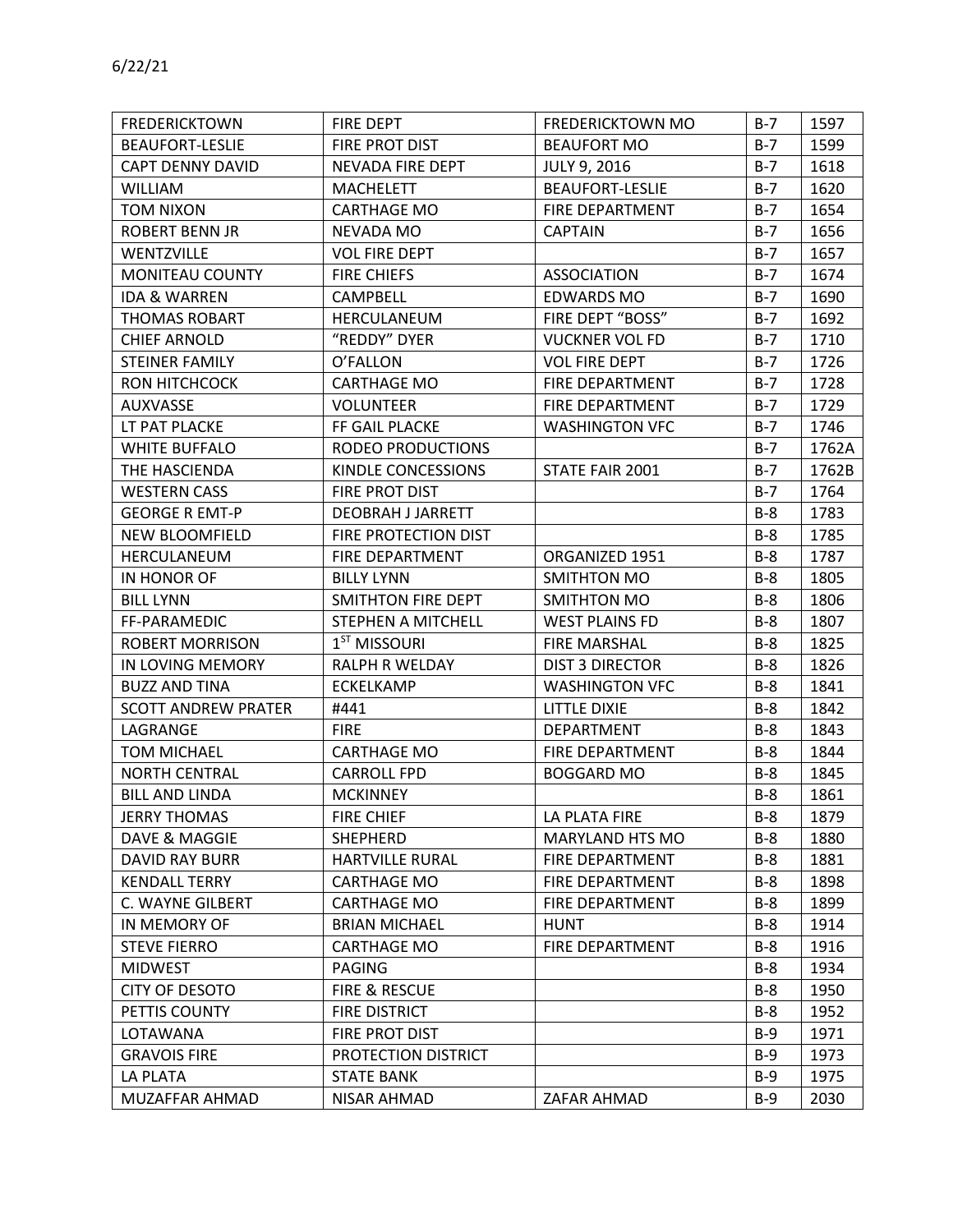| <b>FREDERICKTOWN</b>       | FIRE DEPT                | <b>FREDERICKTOWN MO</b> | $B-7$ | 1597  |
|----------------------------|--------------------------|-------------------------|-------|-------|
| <b>BEAUFORT-LESLIE</b>     | FIRE PROT DIST           | <b>BEAUFORT MO</b>      | $B-7$ | 1599  |
| <b>CAPT DENNY DAVID</b>    | <b>NEVADA FIRE DEPT</b>  | <b>JULY 9, 2016</b>     | $B-7$ | 1618  |
| <b>WILLIAM</b>             | <b>MACHELETT</b>         | <b>BEAUFORT-LESLIE</b>  | $B-7$ | 1620  |
| <b>TOM NIXON</b>           | <b>CARTHAGE MO</b>       | <b>FIRE DEPARTMENT</b>  | $B-7$ | 1654  |
| ROBERT BENN JR             | NEVADA MO                | <b>CAPTAIN</b>          | $B-7$ | 1656  |
| <b>WENTZVILLE</b>          | <b>VOL FIRE DEPT</b>     |                         | $B-7$ | 1657  |
| <b>MONITEAU COUNTY</b>     | <b>FIRE CHIEFS</b>       | <b>ASSOCIATION</b>      | $B-7$ | 1674  |
| <b>IDA &amp; WARREN</b>    | <b>CAMPBELL</b>          | <b>EDWARDS MO</b>       | $B-7$ | 1690  |
| <b>THOMAS ROBART</b>       | HERCULANEUM              | FIRE DEPT "BOSS"        | $B-7$ | 1692  |
| <b>CHIEF ARNOLD</b>        | "REDDY" DYER             | <b>VUCKNER VOL FD</b>   | $B-7$ | 1710  |
| <b>STEINER FAMILY</b>      | O'FALLON                 | <b>VOL FIRE DEPT</b>    | $B-7$ | 1726  |
| RON HITCHCOCK              | <b>CARTHAGE MO</b>       | FIRE DEPARTMENT         | $B-7$ | 1728  |
| <b>AUXVASSE</b>            | <b>VOLUNTEER</b>         | FIRE DEPARTMENT         | $B-7$ | 1729  |
| LT PAT PLACKE              | FF GAIL PLACKE           | <b>WASHINGTON VFC</b>   | $B-7$ | 1746  |
| <b>WHITE BUFFALO</b>       | RODEO PRODUCTIONS        |                         | $B-7$ | 1762A |
| THE HASCIENDA              | KINDLE CONCESSIONS       | STATE FAIR 2001         | $B-7$ | 1762B |
| <b>WESTERN CASS</b>        | FIRE PROT DIST           |                         | $B-7$ | 1764  |
| <b>GEORGE R EMT-P</b>      | <b>DEOBRAH J JARRETT</b> |                         | $B-8$ | 1783  |
| <b>NEW BLOOMFIELD</b>      | FIRE PROTECTION DIST     |                         | $B-8$ | 1785  |
| HERCULANEUM                | FIRE DEPARTMENT          | ORGANIZED 1951          | $B-8$ | 1787  |
| IN HONOR OF                | <b>BILLY LYNN</b>        | SMITHTON MO             | $B-8$ | 1805  |
| <b>BILL LYNN</b>           | SMITHTON FIRE DEPT       | SMITHTON MO             | $B-8$ | 1806  |
| FF-PARAMEDIC               | STEPHEN A MITCHELL       | <b>WEST PLAINS FD</b>   | $B-8$ | 1807  |
| <b>ROBERT MORRISON</b>     | $1ST$ MISSOURI           | <b>FIRE MARSHAL</b>     | $B-8$ | 1825  |
| IN LOVING MEMORY           | RALPH R WELDAY           | <b>DIST 3 DIRECTOR</b>  | $B-8$ | 1826  |
| <b>BUZZ AND TINA</b>       | ECKELKAMP                | <b>WASHINGTON VFC</b>   | $B-8$ | 1841  |
| <b>SCOTT ANDREW PRATER</b> | #441                     | LITTLE DIXIE            | $B-8$ | 1842  |
| LAGRANGE                   | <b>FIRE</b>              | <b>DEPARTMENT</b>       | $B-8$ | 1843  |
| <b>TOM MICHAEL</b>         | <b>CARTHAGE MO</b>       | FIRE DEPARTMENT         | $B-8$ | 1844  |
| <b>NORTH CENTRAL</b>       | <b>CARROLL FPD</b>       | <b>BOGGARD MO</b>       | $B-8$ | 1845  |
| <b>BILL AND LINDA</b>      | <b>MCKINNEY</b>          |                         | $B-8$ | 1861  |
| <b>JERRY THOMAS</b>        | <b>FIRE CHIEF</b>        | LA PLATA FIRE           | $B-8$ | 1879  |
| DAVE & MAGGIE              | <b>SHEPHERD</b>          | MARYLAND HTS MO         | $B-8$ | 1880  |
| DAVID RAY BURR             | <b>HARTVILLE RURAL</b>   | FIRE DEPARTMENT         | $B-8$ | 1881  |
| <b>KENDALL TERRY</b>       | <b>CARTHAGE MO</b>       | FIRE DEPARTMENT         | B-8   | 1898  |
| C. WAYNE GILBERT           | CARTHAGE MO              | <b>FIRE DEPARTMENT</b>  | $B-8$ | 1899  |
| IN MEMORY OF               | <b>BRIAN MICHAEL</b>     | HUNT                    | $B-8$ | 1914  |
| <b>STEVE FIERRO</b>        | <b>CARTHAGE MO</b>       | FIRE DEPARTMENT         | $B-8$ | 1916  |
| <b>MIDWEST</b>             | <b>PAGING</b>            |                         | B-8   | 1934  |
| CITY OF DESOTO             | <b>FIRE &amp; RESCUE</b> |                         | $B-8$ | 1950  |
| PETTIS COUNTY              | <b>FIRE DISTRICT</b>     |                         | B-8   | 1952  |
| LOTAWANA                   | FIRE PROT DIST           |                         | $B-9$ | 1971  |
| <b>GRAVOIS FIRE</b>        | PROTECTION DISTRICT      |                         | $B-9$ | 1973  |
| <b>LA PLATA</b>            | <b>STATE BANK</b>        |                         | $B-9$ | 1975  |
| MUZAFFAR AHMAD             | <b>NISAR AHMAD</b>       | ZAFAR AHMAD             | $B-9$ | 2030  |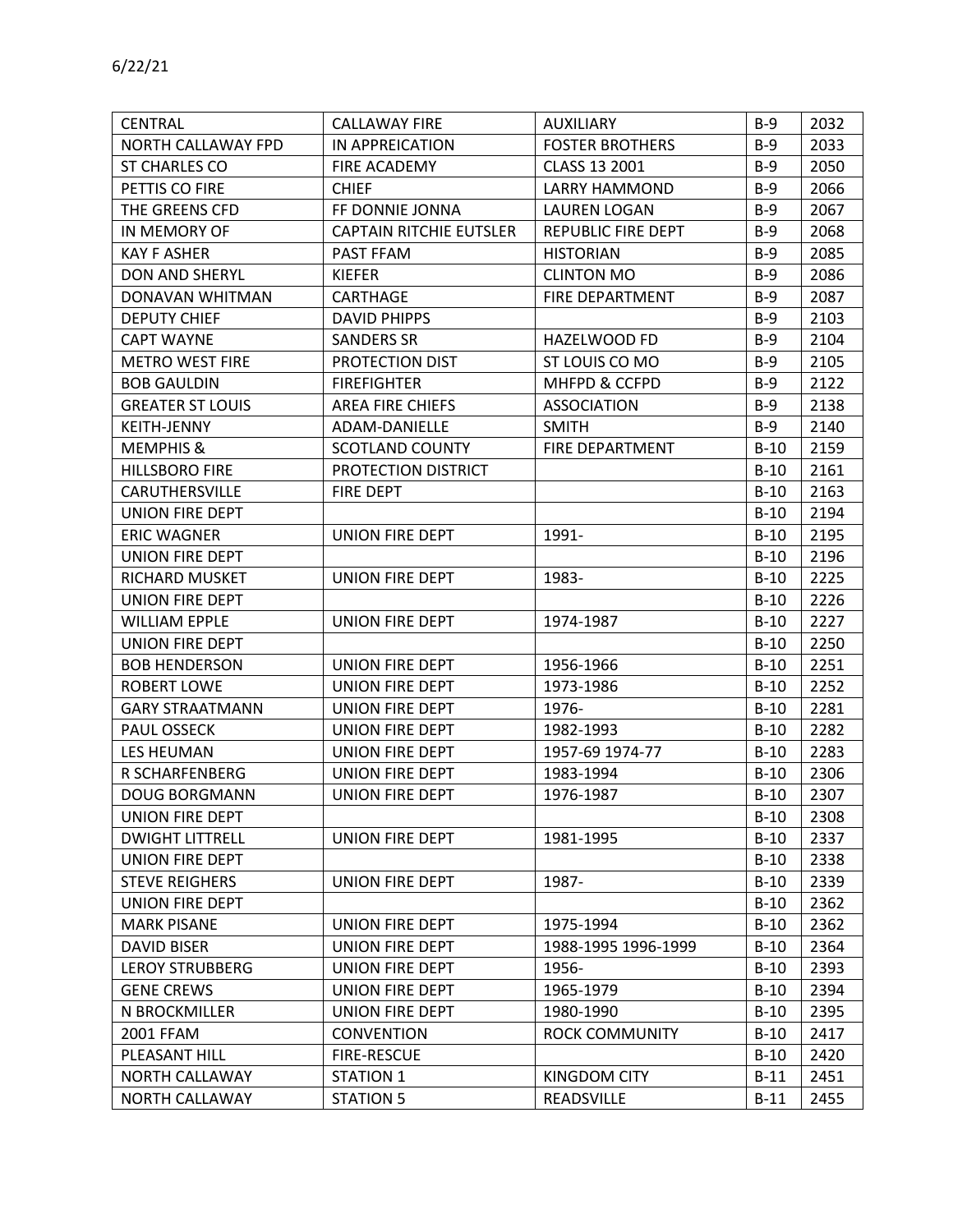| <b>CENTRAL</b>          | <b>CALLAWAY FIRE</b>           | AUXILIARY              | $B-9$  | 2032 |
|-------------------------|--------------------------------|------------------------|--------|------|
| NORTH CALLAWAY FPD      | IN APPREICATION                | <b>FOSTER BROTHERS</b> | $B-9$  | 2033 |
| ST CHARLES CO           | <b>FIRE ACADEMY</b>            | CLASS 13 2001          | $B-9$  | 2050 |
| PETTIS CO FIRE          | <b>CHIEF</b>                   | <b>LARRY HAMMOND</b>   | $B-9$  | 2066 |
| THE GREENS CFD          | FF DONNIE JONNA                | <b>LAUREN LOGAN</b>    | $B-9$  | 2067 |
| IN MEMORY OF            | <b>CAPTAIN RITCHIE EUTSLER</b> | REPUBLIC FIRE DEPT     | $B-9$  | 2068 |
| <b>KAY F ASHER</b>      | PAST FFAM                      | <b>HISTORIAN</b>       | $B-9$  | 2085 |
| <b>DON AND SHERYL</b>   | <b>KIEFER</b>                  | <b>CLINTON MO</b>      | $B-9$  | 2086 |
| DONAVAN WHITMAN         | CARTHAGE                       | FIRE DEPARTMENT        | $B-9$  | 2087 |
| <b>DEPUTY CHIEF</b>     | <b>DAVID PHIPPS</b>            |                        | $B-9$  | 2103 |
| <b>CAPT WAYNE</b>       | <b>SANDERS SR</b>              | HAZELWOOD FD           | $B-9$  | 2104 |
| <b>METRO WEST FIRE</b>  | PROTECTION DIST                | ST LOUIS CO MO         | $B-9$  | 2105 |
| <b>BOB GAULDIN</b>      | <b>FIREFIGHTER</b>             | MHFPD & CCFPD          | $B-9$  | 2122 |
| <b>GREATER ST LOUIS</b> | <b>AREA FIRE CHIEFS</b>        | <b>ASSOCIATION</b>     | $B-9$  | 2138 |
| <b>KEITH-JENNY</b>      | ADAM-DANIELLE                  | <b>SMITH</b>           | $B-9$  | 2140 |
| <b>MEMPHIS &amp;</b>    | <b>SCOTLAND COUNTY</b>         | FIRE DEPARTMENT        | $B-10$ | 2159 |
| <b>HILLSBORO FIRE</b>   | PROTECTION DISTRICT            |                        | $B-10$ | 2161 |
| CARUTHERSVILLE          | FIRE DEPT                      |                        | $B-10$ | 2163 |
| UNION FIRE DEPT         |                                |                        | $B-10$ | 2194 |
| <b>ERIC WAGNER</b>      | UNION FIRE DEPT                | 1991-                  | $B-10$ | 2195 |
| UNION FIRE DEPT         |                                |                        | $B-10$ | 2196 |
| RICHARD MUSKET          | UNION FIRE DEPT                | 1983-                  | $B-10$ | 2225 |
| UNION FIRE DEPT         |                                |                        | $B-10$ | 2226 |
| <b>WILLIAM EPPLE</b>    | UNION FIRE DEPT                | 1974-1987              | $B-10$ | 2227 |
| UNION FIRE DEPT         |                                |                        | $B-10$ | 2250 |
| <b>BOB HENDERSON</b>    | UNION FIRE DEPT                | 1956-1966              | $B-10$ | 2251 |
| ROBERT LOWE             | UNION FIRE DEPT                | 1973-1986              | $B-10$ | 2252 |
| <b>GARY STRAATMANN</b>  | UNION FIRE DEPT                | 1976-                  | $B-10$ | 2281 |
| <b>PAUL OSSECK</b>      | UNION FIRE DEPT                | 1982-1993              | $B-10$ | 2282 |
| LES HEUMAN              | UNION FIRE DEPT                | 1957-69 1974-77        | $B-10$ | 2283 |
| R SCHARFENBERG          | UNION FIRE DEPT                | 1983-1994              | $B-10$ | 2306 |
| <b>DOUG BORGMANN</b>    | <b>UNION FIRE DEPT</b>         | 1976-1987              | $B-10$ | 2307 |
| <b>UNION FIRE DEPT</b>  |                                |                        | $B-10$ | 2308 |
| <b>DWIGHT LITTRELL</b>  | <b>UNION FIRE DEPT</b>         | 1981-1995              | $B-10$ | 2337 |
| UNION FIRE DEPT         |                                |                        | $B-10$ | 2338 |
| <b>STEVE REIGHERS</b>   | UNION FIRE DEPT                | 1987-                  | $B-10$ | 2339 |
| UNION FIRE DEPT         |                                |                        | $B-10$ | 2362 |
| <b>MARK PISANE</b>      | <b>UNION FIRE DEPT</b>         | 1975-1994              | $B-10$ | 2362 |
| <b>DAVID BISER</b>      | <b>UNION FIRE DEPT</b>         | 1988-1995 1996-1999    | $B-10$ | 2364 |
| <b>LEROY STRUBBERG</b>  | UNION FIRE DEPT                | 1956-                  | $B-10$ | 2393 |
| <b>GENE CREWS</b>       | UNION FIRE DEPT                | 1965-1979              | $B-10$ | 2394 |
| N BROCKMILLER           | UNION FIRE DEPT                | 1980-1990              | $B-10$ | 2395 |
| 2001 FFAM               | <b>CONVENTION</b>              | ROCK COMMUNITY         | $B-10$ | 2417 |
| PLEASANT HILL           | <b>FIRE-RESCUE</b>             |                        | $B-10$ | 2420 |
| NORTH CALLAWAY          | <b>STATION 1</b>               | <b>KINGDOM CITY</b>    | $B-11$ | 2451 |
| NORTH CALLAWAY          | <b>STATION 5</b>               | <b>READSVILLE</b>      | $B-11$ | 2455 |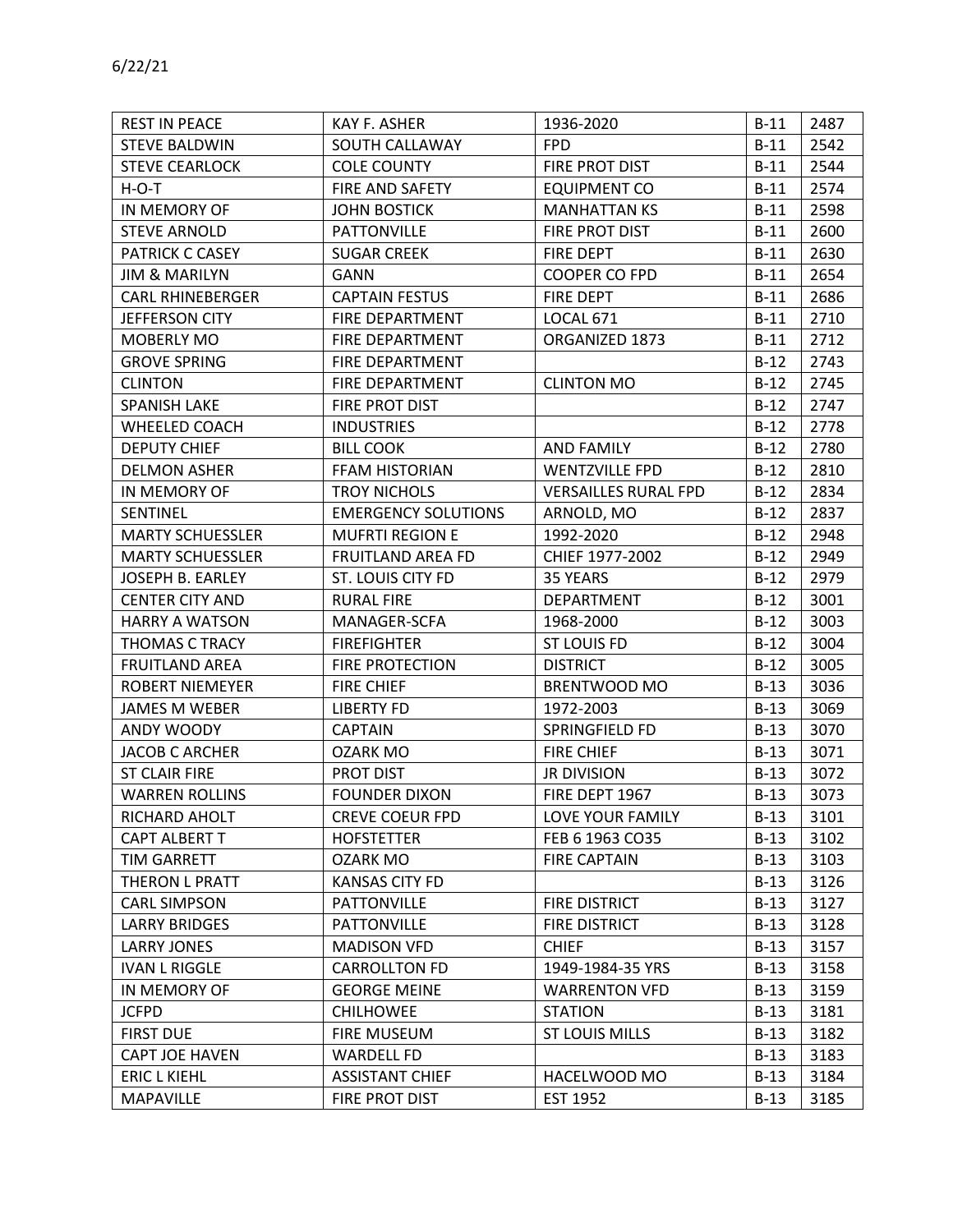| <b>REST IN PEACE</b>     | KAY F. ASHER               | 1936-2020                   | $B-11$ | 2487 |
|--------------------------|----------------------------|-----------------------------|--------|------|
| <b>STEVE BALDWIN</b>     | SOUTH CALLAWAY             | <b>FPD</b>                  | $B-11$ | 2542 |
| <b>STEVE CEARLOCK</b>    | <b>COLE COUNTY</b>         | FIRE PROT DIST              | $B-11$ | 2544 |
| $H-O-T$                  | FIRE AND SAFETY            | EQUIPMENT CO                | $B-11$ | 2574 |
| IN MEMORY OF             | <b>JOHN BOSTICK</b>        | <b>MANHATTAN KS</b>         | $B-11$ | 2598 |
| <b>STEVE ARNOLD</b>      | <b>PATTONVILLE</b>         | FIRE PROT DIST              | $B-11$ | 2600 |
| PATRICK C CASEY          | <b>SUGAR CREEK</b>         | <b>FIRE DEPT</b>            | $B-11$ | 2630 |
| <b>JIM &amp; MARILYN</b> | <b>GANN</b>                | <b>COOPER CO FPD</b>        | $B-11$ | 2654 |
| <b>CARL RHINEBERGER</b>  | <b>CAPTAIN FESTUS</b>      | <b>FIRE DEPT</b>            | $B-11$ | 2686 |
| JEFFERSON CITY           | FIRE DEPARTMENT            | <b>LOCAL 671</b>            | $B-11$ | 2710 |
| MOBERLY MO               | FIRE DEPARTMENT            | ORGANIZED 1873              | $B-11$ | 2712 |
| <b>GROVE SPRING</b>      | FIRE DEPARTMENT            |                             | $B-12$ | 2743 |
| <b>CLINTON</b>           | FIRE DEPARTMENT            | <b>CLINTON MO</b>           | $B-12$ | 2745 |
| <b>SPANISH LAKE</b>      | FIRE PROT DIST             |                             | $B-12$ | 2747 |
| WHEELED COACH            | <b>INDUSTRIES</b>          |                             | $B-12$ | 2778 |
| <b>DEPUTY CHIEF</b>      | <b>BILL COOK</b>           | <b>AND FAMILY</b>           | $B-12$ | 2780 |
| <b>DELMON ASHER</b>      | <b>FFAM HISTORIAN</b>      | <b>WENTZVILLE FPD</b>       | $B-12$ | 2810 |
| IN MEMORY OF             | <b>TROY NICHOLS</b>        | <b>VERSAILLES RURAL FPD</b> | $B-12$ | 2834 |
| SENTINEL                 | <b>EMERGENCY SOLUTIONS</b> | ARNOLD, MO                  | $B-12$ | 2837 |
| <b>MARTY SCHUESSLER</b>  | <b>MUFRTI REGION E</b>     | 1992-2020                   | $B-12$ | 2948 |
| <b>MARTY SCHUESSLER</b>  | <b>FRUITLAND AREA FD</b>   | CHIEF 1977-2002             | $B-12$ | 2949 |
| JOSEPH B. EARLEY         | ST. LOUIS CITY FD          | 35 YEARS                    | $B-12$ | 2979 |
| <b>CENTER CITY AND</b>   | <b>RURAL FIRE</b>          | DEPARTMENT                  | $B-12$ | 3001 |
| <b>HARRY A WATSON</b>    | MANAGER-SCFA               | 1968-2000                   | $B-12$ | 3003 |
| THOMAS C TRACY           | <b>FIREFIGHTER</b>         | <b>ST LOUIS FD</b>          | $B-12$ | 3004 |
| <b>FRUITLAND AREA</b>    | <b>FIRE PROTECTION</b>     | <b>DISTRICT</b>             | $B-12$ | 3005 |
| <b>ROBERT NIEMEYER</b>   | <b>FIRE CHIEF</b>          | <b>BRENTWOOD MO</b>         | $B-13$ | 3036 |
| <b>JAMES M WEBER</b>     | <b>LIBERTY FD</b>          | 1972-2003                   | $B-13$ | 3069 |
| ANDY WOODY               | <b>CAPTAIN</b>             | SPRINGFIELD FD              | $B-13$ | 3070 |
| <b>JACOB C ARCHER</b>    | OZARK MO                   | <b>FIRE CHIEF</b>           | $B-13$ | 3071 |
| <b>ST CLAIR FIRE</b>     | PROT DIST                  | <b>JR DIVISION</b>          | $B-13$ | 3072 |
| <b>WARREN ROLLINS</b>    | <b>FOUNDER DIXON</b>       | FIRE DEPT 1967              | $B-13$ | 3073 |
| RICHARD AHOLT            | <b>CREVE COEUR FPD</b>     | LOVE YOUR FAMILY            | $B-13$ | 3101 |
| CAPT ALBERT T            | <b>HOFSTETTER</b>          | FEB 6 1963 CO35             | $B-13$ | 3102 |
| TIM GARRETT              | OZARK MO                   | <b>FIRE CAPTAIN</b>         | $B-13$ | 3103 |
| THERON L PRATT           | <b>KANSAS CITY FD</b>      |                             | $B-13$ | 3126 |
| <b>CARL SIMPSON</b>      | <b>PATTONVILLE</b>         | <b>FIRE DISTRICT</b>        | $B-13$ | 3127 |
| <b>LARRY BRIDGES</b>     | <b>PATTONVILLE</b>         | FIRE DISTRICT               | $B-13$ | 3128 |
| <b>LARRY JONES</b>       | <b>MADISON VFD</b>         | <b>CHIEF</b>                | $B-13$ | 3157 |
| <b>IVAN L RIGGLE</b>     | <b>CARROLLTON FD</b>       | 1949-1984-35 YRS            | $B-13$ | 3158 |
| IN MEMORY OF             | <b>GEORGE MEINE</b>        | <b>WARRENTON VFD</b>        | $B-13$ | 3159 |
| <b>JCFPD</b>             | <b>CHILHOWEE</b>           | <b>STATION</b>              | $B-13$ | 3181 |
| <b>FIRST DUE</b>         | FIRE MUSEUM                | <b>ST LOUIS MILLS</b>       | $B-13$ | 3182 |
| CAPT JOE HAVEN           | <b>WARDELL FD</b>          |                             | $B-13$ | 3183 |
| <b>ERIC L KIEHL</b>      | <b>ASSISTANT CHIEF</b>     | HACELWOOD MO                | $B-13$ | 3184 |
| <b>MAPAVILLE</b>         | FIRE PROT DIST             | EST 1952                    | $B-13$ | 3185 |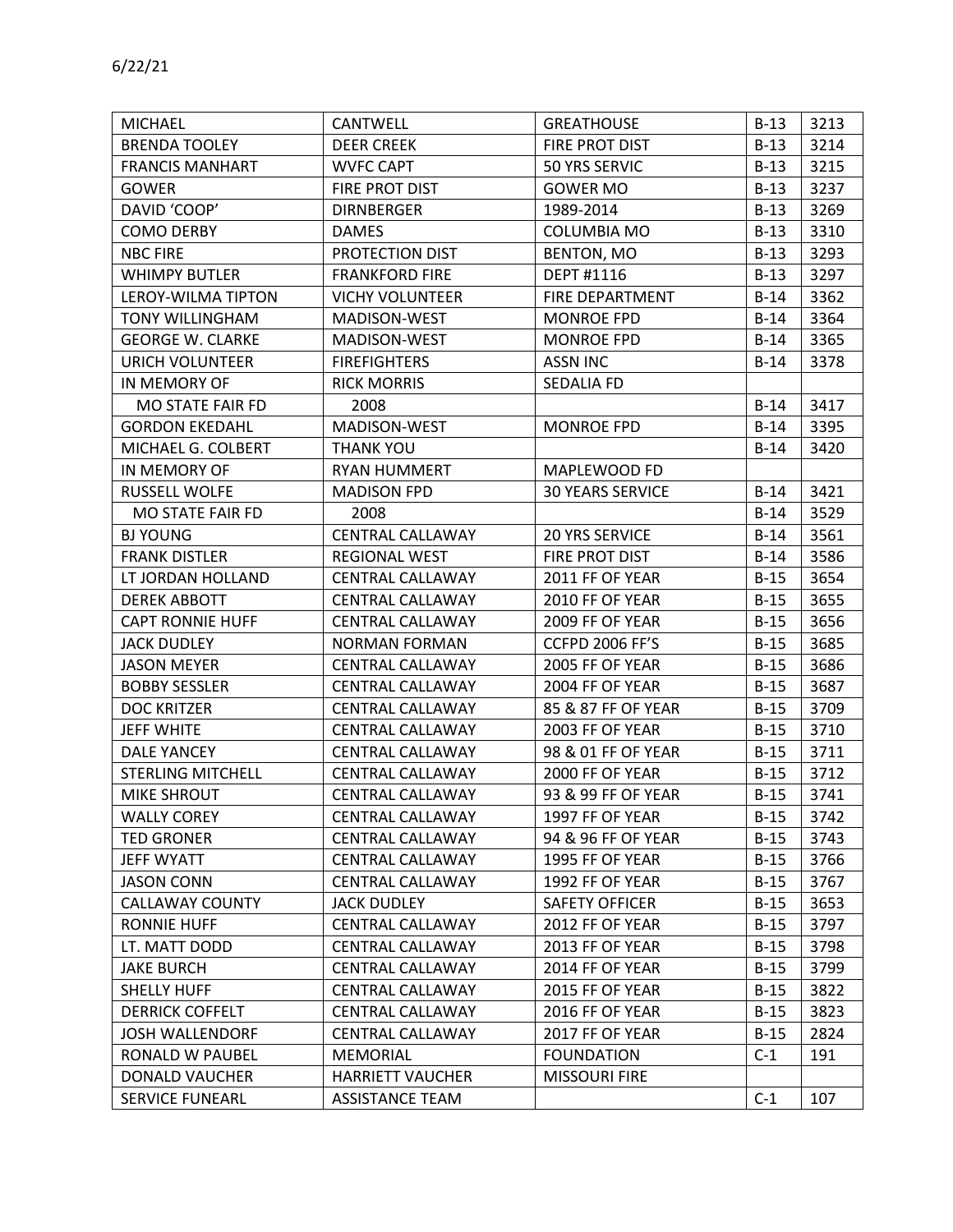| <b>MICHAEL</b>           | CANTWELL                | <b>GREATHOUSE</b>       | $B-13$ | 3213 |
|--------------------------|-------------------------|-------------------------|--------|------|
| <b>BRENDA TOOLEY</b>     | <b>DEER CREEK</b>       | FIRE PROT DIST          | $B-13$ | 3214 |
| <b>FRANCIS MANHART</b>   | <b>WVFC CAPT</b>        | 50 YRS SERVIC           | $B-13$ | 3215 |
| <b>GOWER</b>             | FIRE PROT DIST          | <b>GOWER MO</b>         | $B-13$ | 3237 |
| DAVID 'COOP'             | <b>DIRNBERGER</b>       | 1989-2014               | $B-13$ | 3269 |
| <b>COMO DERBY</b>        | <b>DAMES</b>            | <b>COLUMBIA MO</b>      | $B-13$ | 3310 |
| <b>NBC FIRE</b>          | PROTECTION DIST         | BENTON, MO              | $B-13$ | 3293 |
| <b>WHIMPY BUTLER</b>     | <b>FRANKFORD FIRE</b>   | DEPT #1116              | $B-13$ | 3297 |
| LEROY-WILMA TIPTON       | <b>VICHY VOLUNTEER</b>  | FIRE DEPARTMENT         | $B-14$ | 3362 |
| <b>TONY WILLINGHAM</b>   | MADISON-WEST            | <b>MONROE FPD</b>       | $B-14$ | 3364 |
| <b>GEORGE W. CLARKE</b>  | MADISON-WEST            | <b>MONROE FPD</b>       | $B-14$ | 3365 |
| URICH VOLUNTEER          | <b>FIREFIGHTERS</b>     | <b>ASSN INC</b>         | $B-14$ | 3378 |
| IN MEMORY OF             | <b>RICK MORRIS</b>      | SEDALIA FD              |        |      |
| MO STATE FAIR FD         | 2008                    |                         | $B-14$ | 3417 |
| <b>GORDON EKEDAHL</b>    | MADISON-WEST            | <b>MONROE FPD</b>       | $B-14$ | 3395 |
| MICHAEL G. COLBERT       | <b>THANK YOU</b>        |                         | $B-14$ | 3420 |
| IN MEMORY OF             | <b>RYAN HUMMERT</b>     | MAPLEWOOD FD            |        |      |
| RUSSELL WOLFE            | <b>MADISON FPD</b>      | <b>30 YEARS SERVICE</b> | $B-14$ | 3421 |
| MO STATE FAIR FD         | 2008                    |                         | $B-14$ | 3529 |
| <b>BJ YOUNG</b>          | <b>CENTRAL CALLAWAY</b> | <b>20 YRS SERVICE</b>   | $B-14$ | 3561 |
| <b>FRANK DISTLER</b>     | <b>REGIONAL WEST</b>    | FIRE PROT DIST          | $B-14$ | 3586 |
| LT JORDAN HOLLAND        | <b>CENTRAL CALLAWAY</b> | 2011 FF OF YEAR         | $B-15$ | 3654 |
| <b>DEREK ABBOTT</b>      | <b>CENTRAL CALLAWAY</b> | 2010 FF OF YEAR         | $B-15$ | 3655 |
| <b>CAPT RONNIE HUFF</b>  | <b>CENTRAL CALLAWAY</b> | 2009 FF OF YEAR         | $B-15$ | 3656 |
| <b>JACK DUDLEY</b>       | <b>NORMAN FORMAN</b>    | <b>CCFPD 2006 FF'S</b>  | $B-15$ | 3685 |
| <b>JASON MEYER</b>       | <b>CENTRAL CALLAWAY</b> | 2005 FF OF YEAR         | $B-15$ | 3686 |
| <b>BOBBY SESSLER</b>     | <b>CENTRAL CALLAWAY</b> | 2004 FF OF YEAR         | $B-15$ | 3687 |
| <b>DOC KRITZER</b>       | <b>CENTRAL CALLAWAY</b> | 85 & 87 FF OF YEAR      | $B-15$ | 3709 |
| <b>JEFF WHITE</b>        | <b>CENTRAL CALLAWAY</b> | 2003 FF OF YEAR         | $B-15$ | 3710 |
| <b>DALE YANCEY</b>       | <b>CENTRAL CALLAWAY</b> | 98 & 01 FF OF YEAR      | $B-15$ | 3711 |
| <b>STERLING MITCHELL</b> | <b>CENTRAL CALLAWAY</b> | 2000 FF OF YEAR         | $B-15$ | 3712 |
| <b>MIKE SHROUT</b>       | <b>CENTRAL CALLAWAY</b> | 93 & 99 FF OF YEAR      | $B-15$ | 3741 |
| <b>WALLY COREY</b>       | CENTRAL CALLAWAY        | 1997 FF OF YEAR         | $B-15$ | 3742 |
| <b>TED GRONER</b>        | <b>CENTRAL CALLAWAY</b> | 94 & 96 FF OF YEAR      | $B-15$ | 3743 |
| JEFF WYATT               | <b>CENTRAL CALLAWAY</b> | 1995 FF OF YEAR         | $B-15$ | 3766 |
| <b>JASON CONN</b>        | <b>CENTRAL CALLAWAY</b> | 1992 FF OF YEAR         | $B-15$ | 3767 |
| CALLAWAY COUNTY          | <b>JACK DUDLEY</b>      | SAFETY OFFICER          | $B-15$ | 3653 |
| <b>RONNIE HUFF</b>       | <b>CENTRAL CALLAWAY</b> | 2012 FF OF YEAR         | $B-15$ | 3797 |
| LT. MATT DODD            | <b>CENTRAL CALLAWAY</b> | 2013 FF OF YEAR         | $B-15$ | 3798 |
| <b>JAKE BURCH</b>        | CENTRAL CALLAWAY        | 2014 FF OF YEAR         | $B-15$ | 3799 |
| SHELLY HUFF              | <b>CENTRAL CALLAWAY</b> | 2015 FF OF YEAR         | $B-15$ | 3822 |
| <b>DERRICK COFFELT</b>   | <b>CENTRAL CALLAWAY</b> | 2016 FF OF YEAR         | $B-15$ | 3823 |
| <b>JOSH WALLENDORF</b>   | <b>CENTRAL CALLAWAY</b> | 2017 FF OF YEAR         | $B-15$ | 2824 |
| RONALD W PAUBEL          | <b>MEMORIAL</b>         | <b>FOUNDATION</b>       | $C-1$  | 191  |
| DONALD VAUCHER           | <b>HARRIETT VAUCHER</b> | <b>MISSOURI FIRE</b>    |        |      |
| <b>SERVICE FUNEARL</b>   | <b>ASSISTANCE TEAM</b>  |                         | $C-1$  | 107  |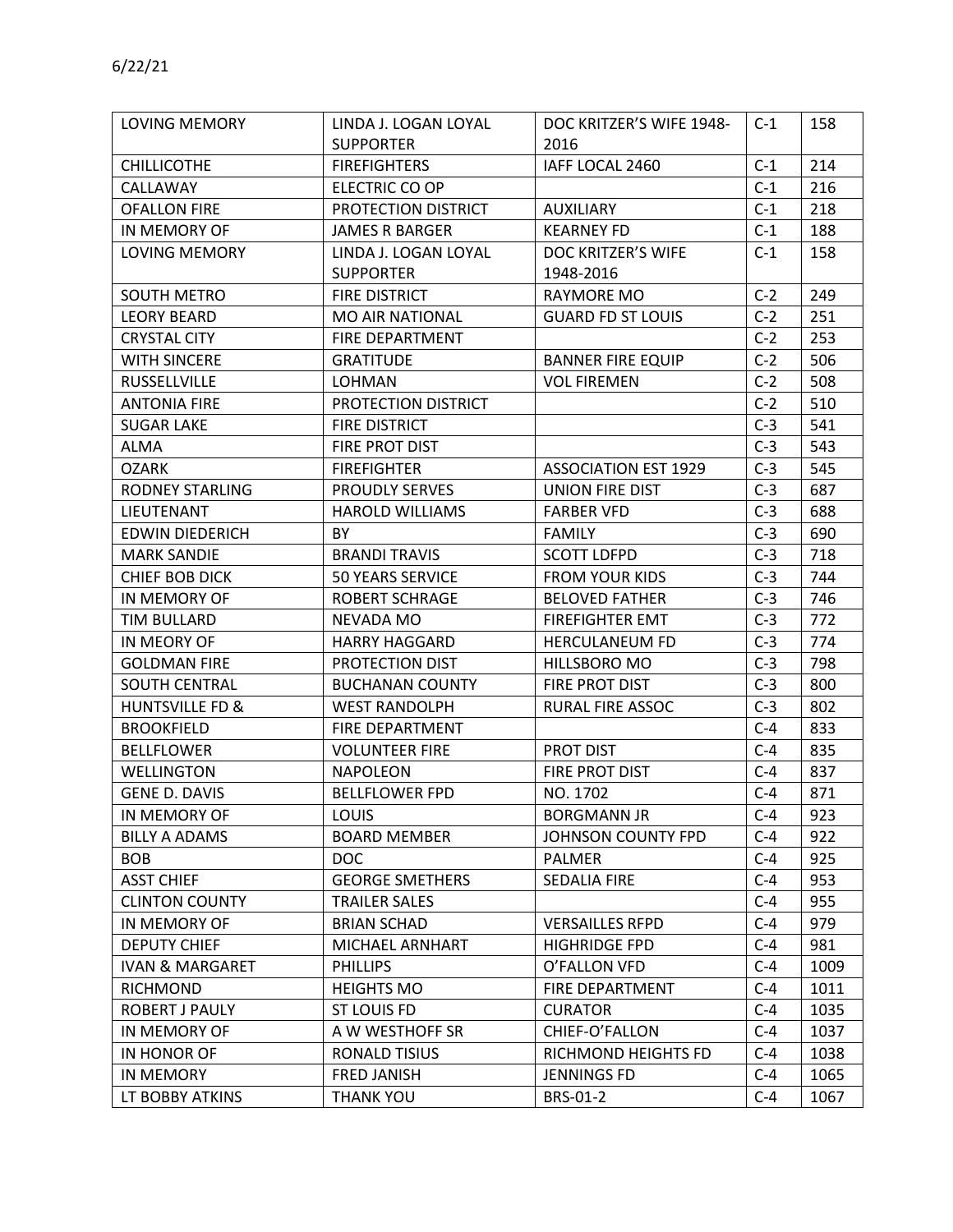| LOVING MEMORY              | LINDA J. LOGAN LOYAL    | DOC KRITZER'S WIFE 1948-    | $C-1$ | 158  |
|----------------------------|-------------------------|-----------------------------|-------|------|
|                            | <b>SUPPORTER</b>        | 2016                        |       |      |
| <b>CHILLICOTHE</b>         | <b>FIREFIGHTERS</b>     | IAFF LOCAL 2460             | $C-1$ | 214  |
| CALLAWAY                   | ELECTRIC CO OP          |                             | $C-1$ | 216  |
| <b>OFALLON FIRE</b>        | PROTECTION DISTRICT     | <b>AUXILIARY</b>            | $C-1$ | 218  |
| IN MEMORY OF               | <b>JAMES R BARGER</b>   | <b>KEARNEY FD</b>           | $C-1$ | 188  |
| LOVING MEMORY              | LINDA J. LOGAN LOYAL    | DOC KRITZER'S WIFE          | $C-1$ | 158  |
|                            | <b>SUPPORTER</b>        | 1948-2016                   |       |      |
| <b>SOUTH METRO</b>         | FIRE DISTRICT           | RAYMORE MO                  | $C-2$ | 249  |
| <b>LEORY BEARD</b>         | <b>MO AIR NATIONAL</b>  | <b>GUARD FD ST LOUIS</b>    | $C-2$ | 251  |
| <b>CRYSTAL CITY</b>        | FIRE DEPARTMENT         |                             | $C-2$ | 253  |
| <b>WITH SINCERE</b>        | <b>GRATITUDE</b>        | <b>BANNER FIRE EQUIP</b>    | $C-2$ | 506  |
| <b>RUSSELLVILLE</b>        | <b>LOHMAN</b>           | <b>VOL FIREMEN</b>          | $C-2$ | 508  |
| <b>ANTONIA FIRE</b>        | PROTECTION DISTRICT     |                             | $C-2$ | 510  |
| <b>SUGAR LAKE</b>          | <b>FIRE DISTRICT</b>    |                             | $C-3$ | 541  |
| ALMA                       | FIRE PROT DIST          |                             | $C-3$ | 543  |
| <b>OZARK</b>               | <b>FIREFIGHTER</b>      | <b>ASSOCIATION EST 1929</b> | $C-3$ | 545  |
| <b>RODNEY STARLING</b>     | <b>PROUDLY SERVES</b>   | UNION FIRE DIST             | $C-3$ | 687  |
| LIEUTENANT                 | <b>HAROLD WILLIAMS</b>  | <b>FARBER VFD</b>           | $C-3$ | 688  |
| <b>EDWIN DIEDERICH</b>     | <b>BY</b>               | <b>FAMILY</b>               | $C-3$ | 690  |
| <b>MARK SANDIE</b>         | <b>BRANDI TRAVIS</b>    | <b>SCOTT LDFPD</b>          | $C-3$ | 718  |
| <b>CHIEF BOB DICK</b>      | <b>50 YEARS SERVICE</b> | <b>FROM YOUR KIDS</b>       | $C-3$ | 744  |
| IN MEMORY OF               | <b>ROBERT SCHRAGE</b>   | <b>BELOVED FATHER</b>       | $C-3$ | 746  |
| TIM BULLARD                | NEVADA MO               | <b>FIREFIGHTER EMT</b>      | $C-3$ | 772  |
| IN MEORY OF                | <b>HARRY HAGGARD</b>    | <b>HERCULANEUM FD</b>       | $C-3$ | 774  |
| <b>GOLDMAN FIRE</b>        | PROTECTION DIST         | HILLSBORO MO                | $C-3$ | 798  |
| <b>SOUTH CENTRAL</b>       | <b>BUCHANAN COUNTY</b>  | FIRE PROT DIST              | $C-3$ | 800  |
| HUNTSVILLE FD &            | <b>WEST RANDOLPH</b>    | <b>RURAL FIRE ASSOC</b>     | $C-3$ | 802  |
| <b>BROOKFIELD</b>          | FIRE DEPARTMENT         |                             | $C-4$ | 833  |
| <b>BELLFLOWER</b>          | <b>VOLUNTEER FIRE</b>   | <b>PROT DIST</b>            | $C-4$ | 835  |
| WELLINGTON                 | <b>NAPOLEON</b>         | FIRE PROT DIST              | $C-4$ | 837  |
| <b>GENE D. DAVIS</b>       | <b>BELLFLOWER FPD</b>   | NO. 1702                    | $C-4$ | 871  |
| IN MEMORY OF               | LOUIS                   | <b>BORGMANN JR</b>          | $C-4$ | 923  |
| <b>BILLY A ADAMS</b>       | <b>BOARD MEMBER</b>     | JOHNSON COUNTY FPD          | $C-4$ | 922  |
| <b>BOB</b>                 | <b>DOC</b>              | <b>PALMER</b>               | $C-4$ | 925  |
| <b>ASST CHIEF</b>          | <b>GEORGE SMETHERS</b>  | <b>SEDALIA FIRE</b>         | $C-4$ | 953  |
| <b>CLINTON COUNTY</b>      | <b>TRAILER SALES</b>    |                             | $C-4$ | 955  |
| IN MEMORY OF               | <b>BRIAN SCHAD</b>      | <b>VERSAILLES RFPD</b>      | $C-4$ | 979  |
| <b>DEPUTY CHIEF</b>        | MICHAEL ARNHART         | <b>HIGHRIDGE FPD</b>        | $C-4$ | 981  |
| <b>IVAN &amp; MARGARET</b> | <b>PHILLIPS</b>         | O'FALLON VFD                | $C-4$ | 1009 |
| <b>RICHMOND</b>            | <b>HEIGHTS MO</b>       | <b>FIRE DEPARTMENT</b>      | $C-4$ | 1011 |
| ROBERT J PAULY             | <b>ST LOUIS FD</b>      | <b>CURATOR</b>              | $C-4$ | 1035 |
| IN MEMORY OF               | A W WESTHOFF SR         | CHIEF-O'FALLON              | $C-4$ | 1037 |
| IN HONOR OF                | RONALD TISIUS           | RICHMOND HEIGHTS FD         | $C-4$ | 1038 |
| <b>IN MEMORY</b>           | <b>FRED JANISH</b>      | <b>JENNINGS FD</b>          | $C-4$ | 1065 |
| LT BOBBY ATKINS            | THANK YOU               | BRS-01-2                    | $C-4$ | 1067 |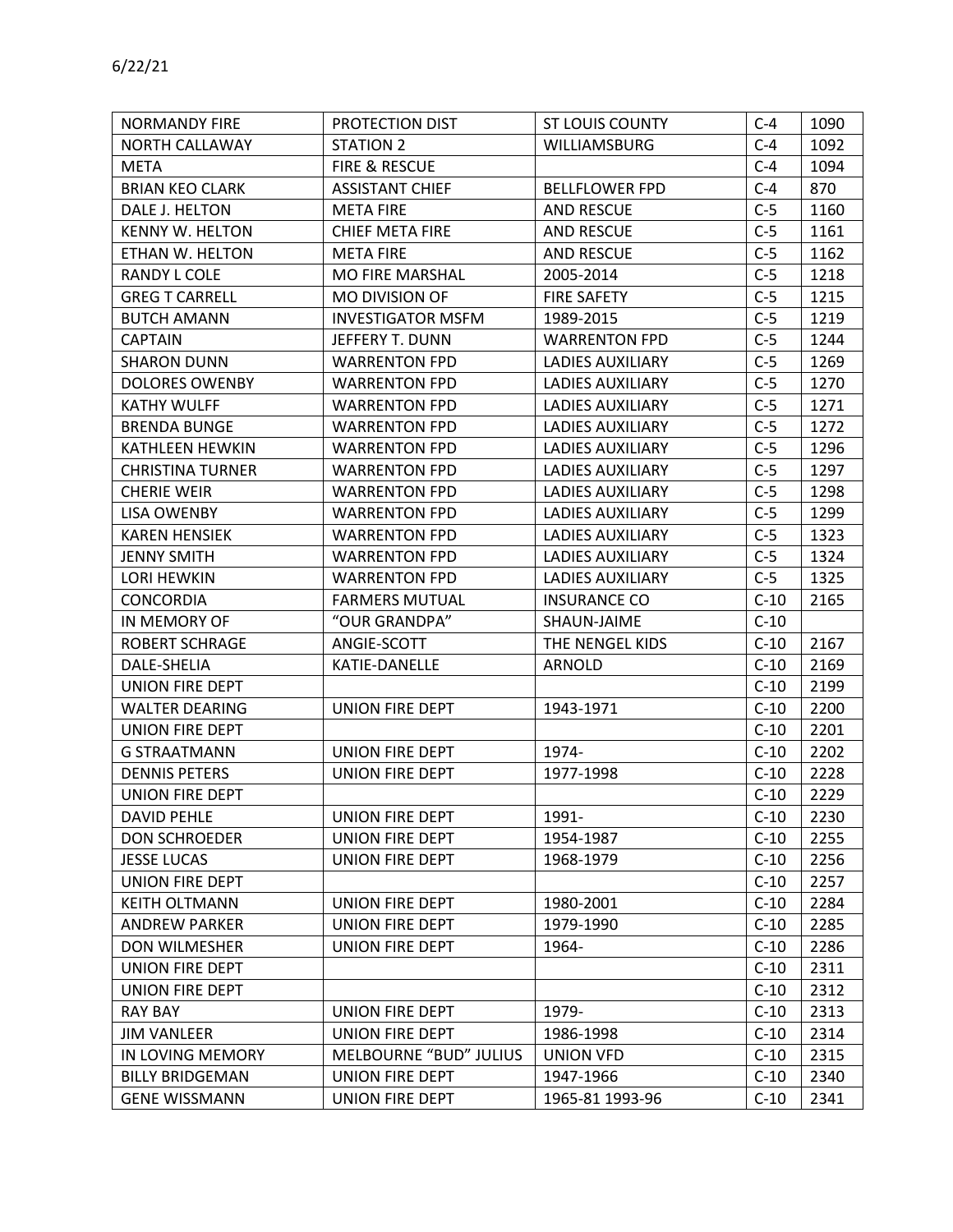| <b>NORMANDY FIRE</b>    | PROTECTION DIST          | ST LOUIS COUNTY         | $C-4$  | 1090 |
|-------------------------|--------------------------|-------------------------|--------|------|
| NORTH CALLAWAY          | <b>STATION 2</b>         | <b>WILLIAMSBURG</b>     | $C-4$  | 1092 |
| META                    | FIRE & RESCUE            |                         | $C-4$  | 1094 |
| <b>BRIAN KEO CLARK</b>  | <b>ASSISTANT CHIEF</b>   | <b>BELLFLOWER FPD</b>   | $C-4$  | 870  |
| DALE J. HELTON          | <b>META FIRE</b>         | <b>AND RESCUE</b>       | $C-5$  | 1160 |
| <b>KENNY W. HELTON</b>  | <b>CHIEF META FIRE</b>   | AND RESCUE              | $C-5$  | 1161 |
| ETHAN W. HELTON         | <b>META FIRE</b>         | AND RESCUE              | $C-5$  | 1162 |
| RANDY L COLE            | <b>MO FIRE MARSHAL</b>   | 2005-2014               | $C-5$  | 1218 |
| <b>GREG T CARRELL</b>   | MO DIVISION OF           | <b>FIRE SAFETY</b>      | $C-5$  | 1215 |
| <b>BUTCH AMANN</b>      | <b>INVESTIGATOR MSFM</b> | 1989-2015               | $C-5$  | 1219 |
| <b>CAPTAIN</b>          | JEFFERY T. DUNN          | <b>WARRENTON FPD</b>    | $C-5$  | 1244 |
| <b>SHARON DUNN</b>      | <b>WARRENTON FPD</b>     | LADIES AUXILIARY        | $C-5$  | 1269 |
| <b>DOLORES OWENBY</b>   | <b>WARRENTON FPD</b>     | <b>LADIES AUXILIARY</b> | $C-5$  | 1270 |
| <b>KATHY WULFF</b>      | <b>WARRENTON FPD</b>     | <b>LADIES AUXILIARY</b> | $C-5$  | 1271 |
| <b>BRENDA BUNGE</b>     | <b>WARRENTON FPD</b>     | <b>LADIES AUXILIARY</b> | $C-5$  | 1272 |
| KATHLEEN HEWKIN         | <b>WARRENTON FPD</b>     | <b>LADIES AUXILIARY</b> | $C-5$  | 1296 |
| <b>CHRISTINA TURNER</b> | <b>WARRENTON FPD</b>     | <b>LADIES AUXILIARY</b> | $C-5$  | 1297 |
| <b>CHERIE WEIR</b>      | <b>WARRENTON FPD</b>     | <b>LADIES AUXILIARY</b> | $C-5$  | 1298 |
| LISA OWENBY             | <b>WARRENTON FPD</b>     | <b>LADIES AUXILIARY</b> | $C-5$  | 1299 |
| <b>KAREN HENSIEK</b>    | <b>WARRENTON FPD</b>     | <b>LADIES AUXILIARY</b> | $C-5$  | 1323 |
| <b>JENNY SMITH</b>      | <b>WARRENTON FPD</b>     | LADIES AUXILIARY        | $C-5$  | 1324 |
| LORI HEWKIN             | <b>WARRENTON FPD</b>     | LADIES AUXILIARY        | $C-5$  | 1325 |
| <b>CONCORDIA</b>        | <b>FARMERS MUTUAL</b>    | <b>INSURANCE CO</b>     | $C-10$ | 2165 |
| IN MEMORY OF            | "OUR GRANDPA"            | SHAUN-JAIME             | $C-10$ |      |
| <b>ROBERT SCHRAGE</b>   | ANGIE-SCOTT              | THE NENGEL KIDS         | $C-10$ | 2167 |
| DALE-SHELIA             | KATIE-DANELLE            | ARNOLD                  | $C-10$ | 2169 |
| <b>UNION FIRE DEPT</b>  |                          |                         | $C-10$ | 2199 |
| <b>WALTER DEARING</b>   | UNION FIRE DEPT          | 1943-1971               | $C-10$ | 2200 |
| <b>UNION FIRE DEPT</b>  |                          |                         | $C-10$ | 2201 |
| <b>G STRAATMANN</b>     | <b>UNION FIRE DEPT</b>   | 1974-                   | $C-10$ | 2202 |
| <b>DENNIS PETERS</b>    | UNION FIRE DEPT          | 1977-1998               | $C-10$ | 2228 |
| <b>UNION FIRE DEPT</b>  |                          |                         | $C-10$ | 2229 |
| <b>DAVID PEHLE</b>      | UNION FIRE DEPT          | 1991-                   | $C-10$ | 2230 |
| <b>DON SCHROEDER</b>    | UNION FIRE DEPT          | 1954-1987               | $C-10$ | 2255 |
| <b>JESSE LUCAS</b>      | UNION FIRE DEPT          | 1968-1979               | $C-10$ | 2256 |
| <b>UNION FIRE DEPT</b>  |                          |                         | $C-10$ | 2257 |
| <b>KEITH OLTMANN</b>    | UNION FIRE DEPT          | 1980-2001               | $C-10$ | 2284 |
| <b>ANDREW PARKER</b>    | UNION FIRE DEPT          | 1979-1990               | $C-10$ | 2285 |
| <b>DON WILMESHER</b>    | UNION FIRE DEPT          | 1964-                   | $C-10$ | 2286 |
| UNION FIRE DEPT         |                          |                         | $C-10$ | 2311 |
| UNION FIRE DEPT         |                          |                         | $C-10$ | 2312 |
| <b>RAY BAY</b>          | UNION FIRE DEPT          | 1979-                   | $C-10$ | 2313 |
| <b>JIM VANLEER</b>      | UNION FIRE DEPT          | 1986-1998               | $C-10$ | 2314 |
| IN LOVING MEMORY        | MELBOURNE "BUD" JULIUS   | <b>UNION VFD</b>        | $C-10$ | 2315 |
| <b>BILLY BRIDGEMAN</b>  | UNION FIRE DEPT          | 1947-1966               | $C-10$ | 2340 |
| <b>GENE WISSMANN</b>    | UNION FIRE DEPT          | 1965-81 1993-96         | $C-10$ | 2341 |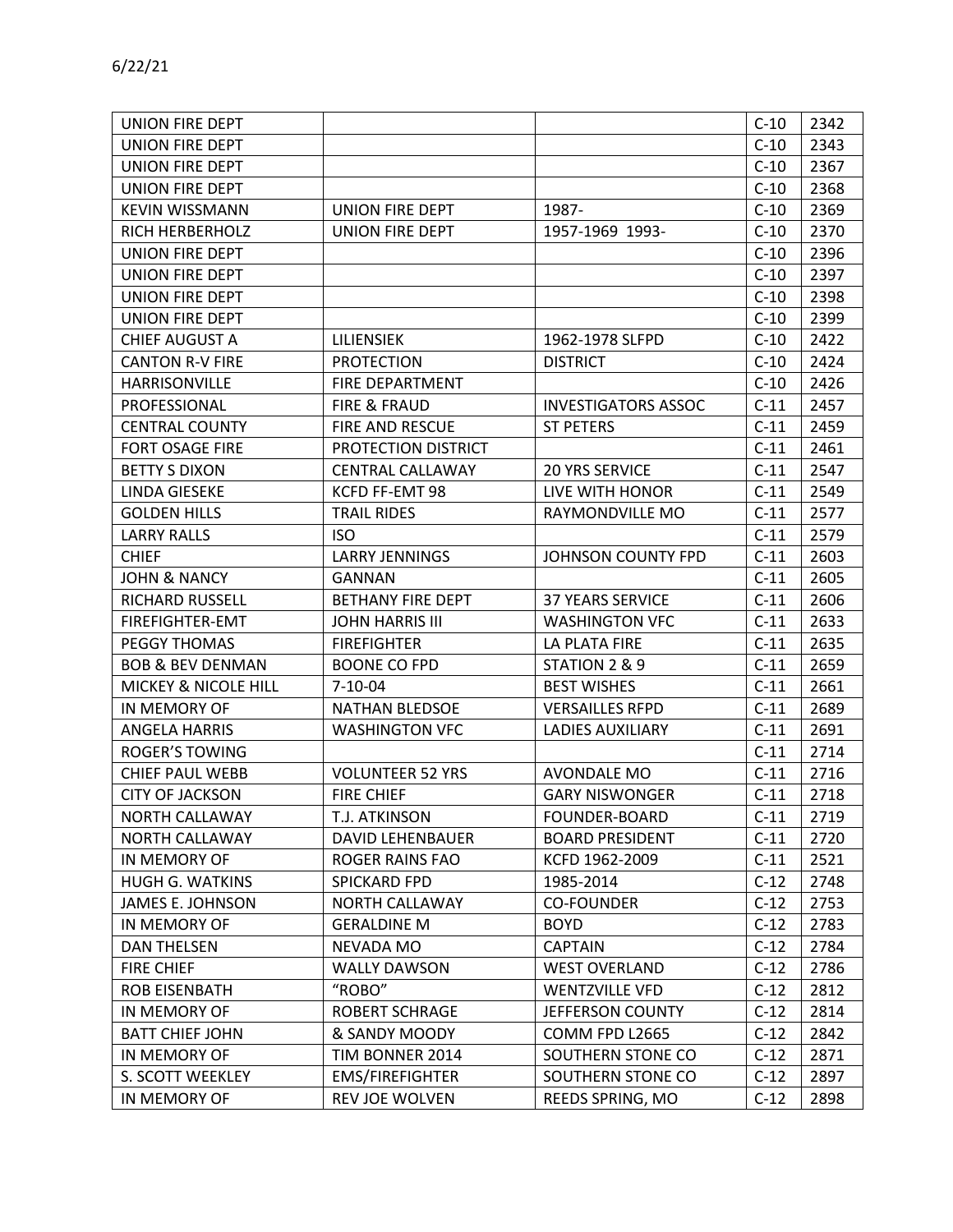| UNION FIRE DEPT             |                         |                            | $C-10$ | 2342 |
|-----------------------------|-------------------------|----------------------------|--------|------|
| UNION FIRE DEPT             |                         |                            | $C-10$ | 2343 |
| UNION FIRE DEPT             |                         |                            | $C-10$ | 2367 |
| UNION FIRE DEPT             |                         |                            | $C-10$ | 2368 |
| <b>KEVIN WISSMANN</b>       | UNION FIRE DEPT         | 1987-                      | $C-10$ | 2369 |
| <b>RICH HERBERHOLZ</b>      | UNION FIRE DEPT         | 1957-1969 1993-            | $C-10$ | 2370 |
| UNION FIRE DEPT             |                         |                            | $C-10$ | 2396 |
| UNION FIRE DEPT             |                         |                            | $C-10$ | 2397 |
| UNION FIRE DEPT             |                         |                            | $C-10$ | 2398 |
| UNION FIRE DEPT             |                         |                            | $C-10$ | 2399 |
| <b>CHIEF AUGUST A</b>       | <b>LILIENSIEK</b>       | 1962-1978 SLFPD            | $C-10$ | 2422 |
| <b>CANTON R-V FIRE</b>      | <b>PROTECTION</b>       | <b>DISTRICT</b>            | $C-10$ | 2424 |
| <b>HARRISONVILLE</b>        | FIRE DEPARTMENT         |                            | $C-10$ | 2426 |
| PROFESSIONAL                | <b>FIRE &amp; FRAUD</b> | <b>INVESTIGATORS ASSOC</b> | $C-11$ | 2457 |
| <b>CENTRAL COUNTY</b>       | FIRE AND RESCUE         | <b>ST PETERS</b>           | $C-11$ | 2459 |
| FORT OSAGE FIRE             | PROTECTION DISTRICT     |                            | $C-11$ | 2461 |
| <b>BETTY S DIXON</b>        | <b>CENTRAL CALLAWAY</b> | 20 YRS SERVICE             | $C-11$ | 2547 |
| <b>LINDA GIESEKE</b>        | KCFD FF-EMT 98          | LIVE WITH HONOR            | $C-11$ | 2549 |
| <b>GOLDEN HILLS</b>         | <b>TRAIL RIDES</b>      | RAYMONDVILLE MO            | $C-11$ | 2577 |
| <b>LARRY RALLS</b>          | <b>ISO</b>              |                            | $C-11$ | 2579 |
| <b>CHIEF</b>                | <b>LARRY JENNINGS</b>   | JOHNSON COUNTY FPD         | $C-11$ | 2603 |
| <b>JOHN &amp; NANCY</b>     | <b>GANNAN</b>           |                            | $C-11$ | 2605 |
| <b>RICHARD RUSSELL</b>      | BETHANY FIRE DEPT       | <b>37 YEARS SERVICE</b>    | $C-11$ | 2606 |
| FIREFIGHTER-EMT             | <b>JOHN HARRIS III</b>  | <b>WASHINGTON VFC</b>      | $C-11$ | 2633 |
| PEGGY THOMAS                | <b>FIREFIGHTER</b>      | LA PLATA FIRE              | $C-11$ | 2635 |
| <b>BOB &amp; BEV DENMAN</b> | <b>BOONE CO FPD</b>     | STATION 2 & 9              | $C-11$ | 2659 |
| MICKEY & NICOLE HILL        | $7 - 10 - 04$           | <b>BEST WISHES</b>         | $C-11$ | 2661 |
| IN MEMORY OF                | <b>NATHAN BLEDSOE</b>   | <b>VERSAILLES RFPD</b>     | $C-11$ | 2689 |
| <b>ANGELA HARRIS</b>        | <b>WASHINGTON VFC</b>   | <b>LADIES AUXILIARY</b>    | $C-11$ | 2691 |
| ROGER'S TOWING              |                         |                            | $C-11$ | 2714 |
| <b>CHIEF PAUL WEBB</b>      | <b>VOLUNTEER 52 YRS</b> | <b>AVONDALE MO</b>         | $C-11$ | 2716 |
| <b>CITY OF JACKSON</b>      | <b>FIRE CHIEF</b>       | <b>GARY NISWONGER</b>      | $C-11$ | 2718 |
| NORTH CALLAWAY              | T.J. ATKINSON           | <b>FOUNDER-BOARD</b>       | $C-11$ | 2719 |
| NORTH CALLAWAY              | <b>DAVID LEHENBAUER</b> | <b>BOARD PRESIDENT</b>     | $C-11$ | 2720 |
| IN MEMORY OF                | ROGER RAINS FAO         | KCFD 1962-2009             | $C-11$ | 2521 |
| <b>HUGH G. WATKINS</b>      | SPICKARD FPD            | 1985-2014                  | $C-12$ | 2748 |
| JAMES E. JOHNSON            | NORTH CALLAWAY          | <b>CO-FOUNDER</b>          | $C-12$ | 2753 |
| IN MEMORY OF                | <b>GERALDINE M</b>      | <b>BOYD</b>                | $C-12$ | 2783 |
| <b>DAN THELSEN</b>          | NEVADA MO               | <b>CAPTAIN</b>             | $C-12$ | 2784 |
| <b>FIRE CHIEF</b>           | <b>WALLY DAWSON</b>     | <b>WEST OVERLAND</b>       | $C-12$ | 2786 |
| ROB EISENBATH               | "ROBO"                  | <b>WENTZVILLE VFD</b>      | $C-12$ | 2812 |
| IN MEMORY OF                | <b>ROBERT SCHRAGE</b>   | JEFFERSON COUNTY           | $C-12$ | 2814 |
| <b>BATT CHIEF JOHN</b>      | & SANDY MOODY           | COMM FPD L2665             | $C-12$ | 2842 |
| IN MEMORY OF                | TIM BONNER 2014         | SOUTHERN STONE CO          | $C-12$ | 2871 |
| S. SCOTT WEEKLEY            | <b>EMS/FIREFIGHTER</b>  | SOUTHERN STONE CO          | $C-12$ | 2897 |
| IN MEMORY OF                | REV JOE WOLVEN          | REEDS SPRING, MO           | $C-12$ | 2898 |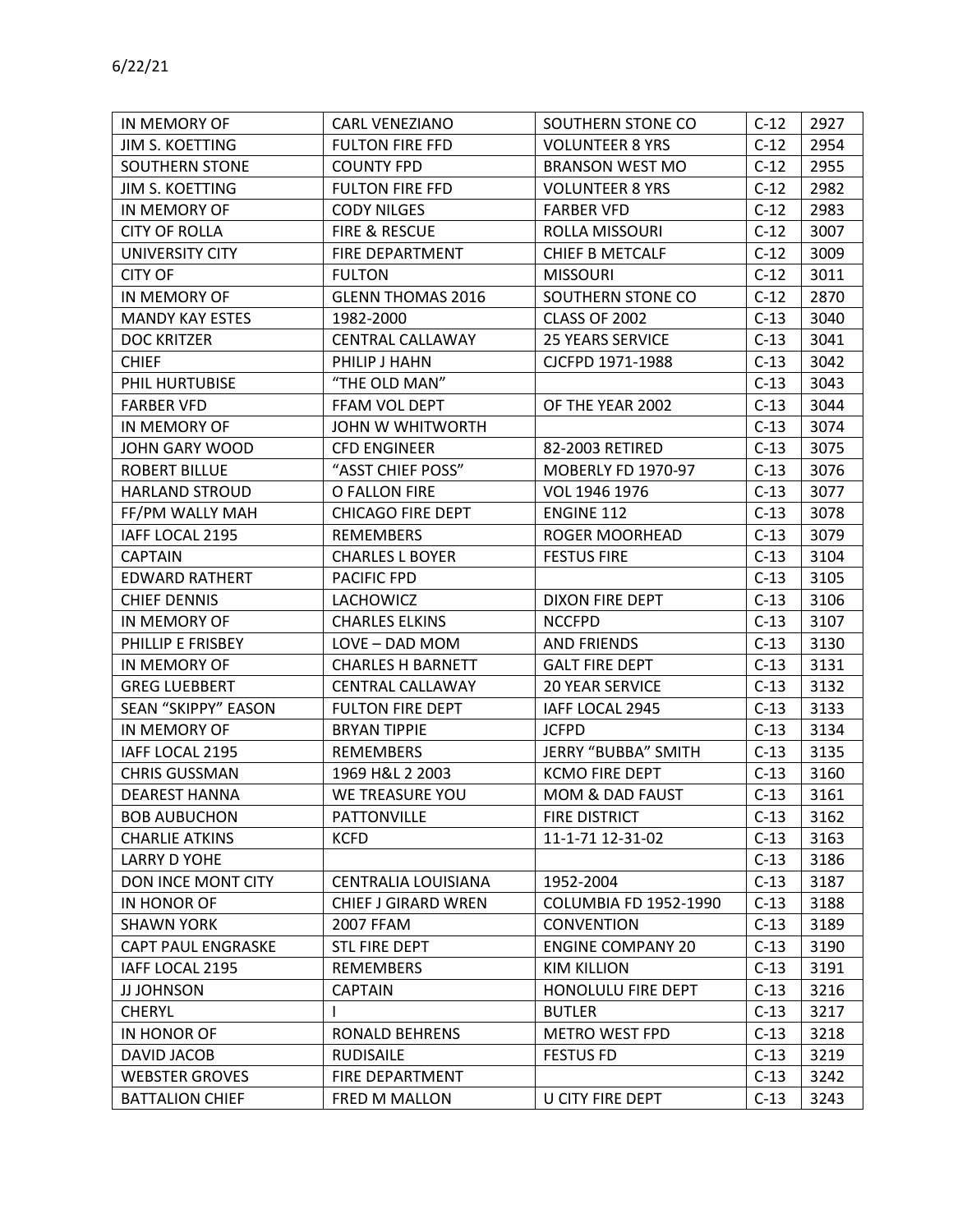| IN MEMORY OF               | <b>CARL VENEZIANO</b>      | SOUTHERN STONE CO            | $C-12$ | 2927 |
|----------------------------|----------------------------|------------------------------|--------|------|
| JIM S. KOETTING            | <b>FULTON FIRE FFD</b>     | <b>VOLUNTEER 8 YRS</b>       | $C-12$ | 2954 |
| SOUTHERN STONE             | <b>COUNTY FPD</b>          | <b>BRANSON WEST MO</b>       | $C-12$ | 2955 |
| <b>JIM S. KOETTING</b>     | <b>FULTON FIRE FFD</b>     | <b>VOLUNTEER 8 YRS</b>       | $C-12$ | 2982 |
| IN MEMORY OF               | <b>CODY NILGES</b>         | <b>FARBER VFD</b>            | $C-12$ | 2983 |
| <b>CITY OF ROLLA</b>       | FIRE & RESCUE              | ROLLA MISSOURI               | $C-12$ | 3007 |
| UNIVERSITY CITY            | FIRE DEPARTMENT            | <b>CHIEF B METCALF</b>       | $C-12$ | 3009 |
| <b>CITY OF</b>             | <b>FULTON</b>              | <b>MISSOURI</b>              | $C-12$ | 3011 |
| IN MEMORY OF               | <b>GLENN THOMAS 2016</b>   | SOUTHERN STONE CO            | $C-12$ | 2870 |
| <b>MANDY KAY ESTES</b>     | 1982-2000                  | CLASS OF 2002                | $C-13$ | 3040 |
| <b>DOC KRITZER</b>         | CENTRAL CALLAWAY           | 25 YEARS SERVICE             | $C-13$ | 3041 |
| <b>CHIEF</b>               | PHILIP J HAHN              | CJCFPD 1971-1988             | $C-13$ | 3042 |
| PHIL HURTUBISE             | "THE OLD MAN"              |                              | $C-13$ | 3043 |
| <b>FARBER VFD</b>          | FFAM VOL DEPT              | OF THE YEAR 2002             | $C-13$ | 3044 |
| IN MEMORY OF               | JOHN W WHITWORTH           |                              | $C-13$ | 3074 |
| JOHN GARY WOOD             | <b>CFD ENGINEER</b>        | 82-2003 RETIRED              | $C-13$ | 3075 |
| <b>ROBERT BILLUE</b>       | "ASST CHIEF POSS"          | <b>MOBERLY FD 1970-97</b>    | $C-13$ | 3076 |
| <b>HARLAND STROUD</b>      | O FALLON FIRE              | VOL 1946 1976                | $C-13$ | 3077 |
| FF/PM WALLY MAH            | <b>CHICAGO FIRE DEPT</b>   | <b>ENGINE 112</b>            | $C-13$ | 3078 |
| IAFF LOCAL 2195            | REMEMBERS                  | <b>ROGER MOORHEAD</b>        | $C-13$ | 3079 |
| <b>CAPTAIN</b>             | <b>CHARLES L BOYER</b>     | <b>FESTUS FIRE</b>           | $C-13$ | 3104 |
| <b>EDWARD RATHERT</b>      | PACIFIC FPD                |                              | $C-13$ | 3105 |
| <b>CHIEF DENNIS</b>        | <b>LACHOWICZ</b>           | DIXON FIRE DEPT              | $C-13$ | 3106 |
| IN MEMORY OF               | <b>CHARLES ELKINS</b>      | <b>NCCFPD</b>                | $C-13$ | 3107 |
| PHILLIP E FRISBEY          | LOVE - DAD MOM             | <b>AND FRIENDS</b>           | $C-13$ | 3130 |
| IN MEMORY OF               | <b>CHARLES H BARNETT</b>   | <b>GALT FIRE DEPT</b>        | $C-13$ | 3131 |
| <b>GREG LUEBBERT</b>       | CENTRAL CALLAWAY           | <b>20 YEAR SERVICE</b>       | $C-13$ | 3132 |
| <b>SEAN "SKIPPY" EASON</b> | <b>FULTON FIRE DEPT</b>    | IAFF LOCAL 2945              | $C-13$ | 3133 |
| IN MEMORY OF               | <b>BRYAN TIPPIE</b>        | <b>JCFPD</b>                 | $C-13$ | 3134 |
| IAFF LOCAL 2195            | <b>REMEMBERS</b>           | JERRY "BUBBA" SMITH          | $C-13$ | 3135 |
| <b>CHRIS GUSSMAN</b>       | 1969 H&L 2 2003            | <b>KCMO FIRE DEPT</b>        | $C-13$ | 3160 |
| <b>DEAREST HANNA</b>       | WE TREASURE YOU            | MOM & DAD FAUST              | $C-13$ | 3161 |
| <b>BOB AUBUCHON</b>        | <b>PATTONVILLE</b>         | FIRE DISTRICT                | $C-13$ | 3162 |
| <b>CHARLIE ATKINS</b>      | <b>KCFD</b>                | 11-1-71 12-31-02             | $C-13$ | 3163 |
| LARRY D YOHE               |                            |                              | $C-13$ | 3186 |
| DON INCE MONT CITY         | CENTRALIA LOUISIANA        | 1952-2004                    | $C-13$ | 3187 |
| IN HONOR OF                | <b>CHIEF J GIRARD WREN</b> | <b>COLUMBIA FD 1952-1990</b> | $C-13$ | 3188 |
| <b>SHAWN YORK</b>          | 2007 FFAM                  | <b>CONVENTION</b>            | $C-13$ | 3189 |
| <b>CAPT PAUL ENGRASKE</b>  | STL FIRE DEPT              | <b>ENGINE COMPANY 20</b>     | $C-13$ | 3190 |
| IAFF LOCAL 2195            | <b>REMEMBERS</b>           | <b>KIM KILLION</b>           | $C-13$ | 3191 |
| JJ JOHNSON                 | <b>CAPTAIN</b>             | HONOLULU FIRE DEPT           | $C-13$ | 3216 |
| <b>CHERYL</b>              |                            | <b>BUTLER</b>                | $C-13$ | 3217 |
| IN HONOR OF                | RONALD BEHRENS             | <b>METRO WEST FPD</b>        | $C-13$ | 3218 |
| DAVID JACOB                | <b>RUDISAILE</b>           | <b>FESTUS FD</b>             | $C-13$ | 3219 |
| <b>WEBSTER GROVES</b>      | FIRE DEPARTMENT            |                              | $C-13$ | 3242 |
| <b>BATTALION CHIEF</b>     | FRED M MALLON              | U CITY FIRE DEPT             | $C-13$ | 3243 |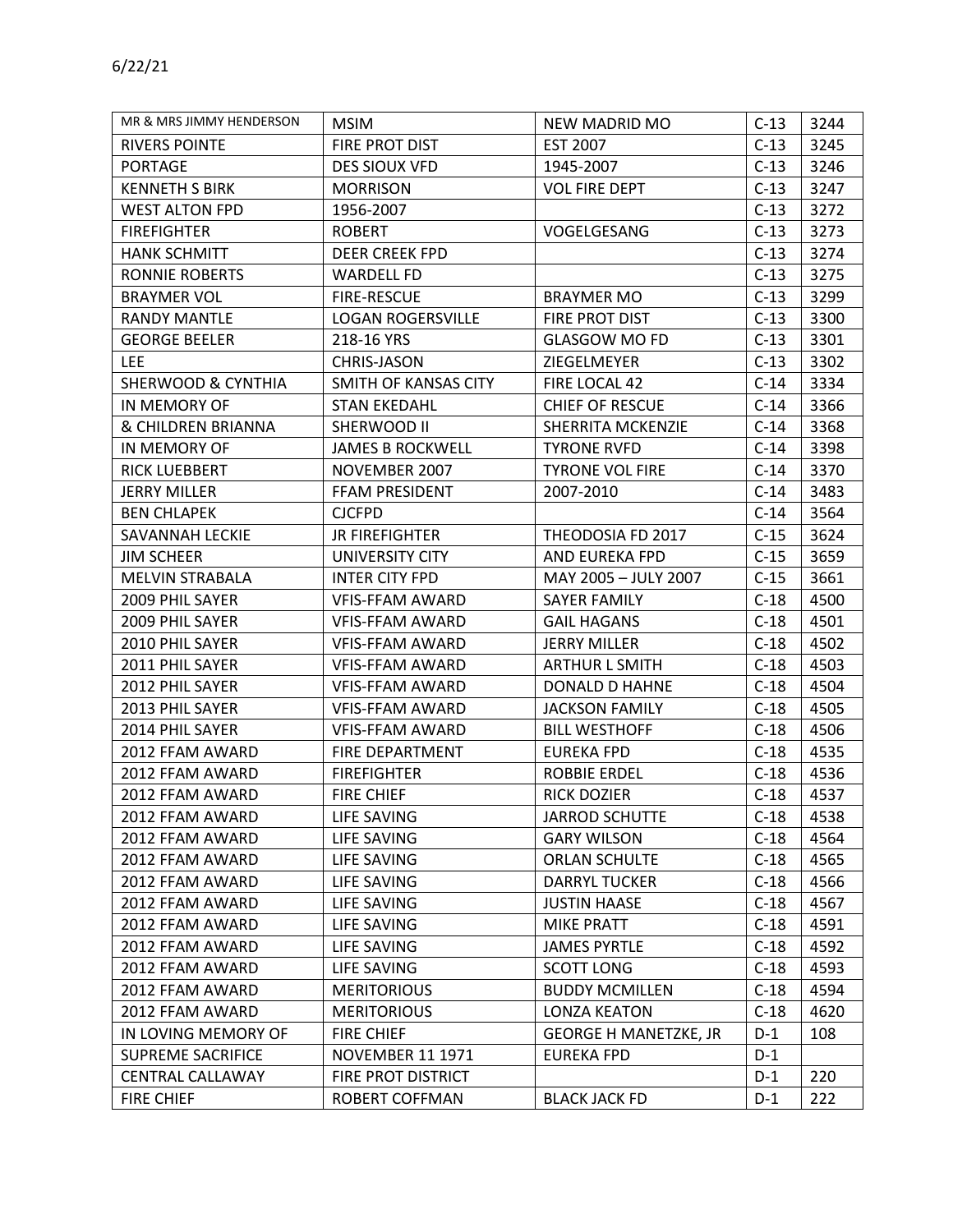| MR & MRS JIMMY HENDERSON | <b>MSIM</b>              | NEW MADRID MO                | $C-13$ | 3244 |
|--------------------------|--------------------------|------------------------------|--------|------|
| <b>RIVERS POINTE</b>     | FIRE PROT DIST           | <b>EST 2007</b>              | $C-13$ | 3245 |
| <b>PORTAGE</b>           | DES SIOUX VFD            | 1945-2007                    | $C-13$ | 3246 |
| <b>KENNETH S BIRK</b>    | <b>MORRISON</b>          | <b>VOL FIRE DEPT</b>         | $C-13$ | 3247 |
| <b>WEST ALTON FPD</b>    | 1956-2007                |                              | $C-13$ | 3272 |
| <b>FIREFIGHTER</b>       | <b>ROBERT</b>            | VOGELGESANG                  | $C-13$ | 3273 |
| <b>HANK SCHMITT</b>      | DEER CREEK FPD           |                              | $C-13$ | 3274 |
| <b>RONNIE ROBERTS</b>    | <b>WARDELL FD</b>        |                              | $C-13$ | 3275 |
| <b>BRAYMER VOL</b>       | <b>FIRE-RESCUE</b>       | <b>BRAYMER MO</b>            | $C-13$ | 3299 |
| <b>RANDY MANTLE</b>      | <b>LOGAN ROGERSVILLE</b> | FIRE PROT DIST               | $C-13$ | 3300 |
| <b>GEORGE BEELER</b>     | 218-16 YRS               | <b>GLASGOW MO FD</b>         | $C-13$ | 3301 |
| <b>LEE</b>               | CHRIS-JASON              | ZIEGELMEYER                  | $C-13$ | 3302 |
| SHERWOOD & CYNTHIA       | SMITH OF KANSAS CITY     | FIRE LOCAL 42                | $C-14$ | 3334 |
| IN MEMORY OF             | <b>STAN EKEDAHL</b>      | <b>CHIEF OF RESCUE</b>       | $C-14$ | 3366 |
| & CHILDREN BRIANNA       | SHERWOOD II              | SHERRITA MCKENZIE            | $C-14$ | 3368 |
| IN MEMORY OF             | <b>JAMES B ROCKWELL</b>  | <b>TYRONE RVFD</b>           | $C-14$ | 3398 |
| <b>RICK LUEBBERT</b>     | NOVEMBER 2007            | <b>TYRONE VOL FIRE</b>       | $C-14$ | 3370 |
| <b>JERRY MILLER</b>      | FFAM PRESIDENT           | 2007-2010                    | $C-14$ | 3483 |
| <b>BEN CHLAPEK</b>       | <b>CJCFPD</b>            |                              | $C-14$ | 3564 |
| SAVANNAH LECKIE          | <b>JR FIREFIGHTER</b>    | THEODOSIA FD 2017            | $C-15$ | 3624 |
| <b>JIM SCHEER</b>        | UNIVERSITY CITY          | AND EUREKA FPD               | $C-15$ | 3659 |
| <b>MELVIN STRABALA</b>   | INTER CITY FPD           | MAY 2005 - JULY 2007         | $C-15$ | 3661 |
| 2009 PHIL SAYER          | <b>VFIS-FFAM AWARD</b>   | SAYER FAMILY                 | $C-18$ | 4500 |
| 2009 PHIL SAYER          | <b>VFIS-FFAM AWARD</b>   | <b>GAIL HAGANS</b>           | $C-18$ | 4501 |
| 2010 PHIL SAYER          | <b>VFIS-FFAM AWARD</b>   | <b>JERRY MILLER</b>          | $C-18$ | 4502 |
| 2011 PHIL SAYER          | <b>VFIS-FFAM AWARD</b>   | <b>ARTHUR L SMITH</b>        | $C-18$ | 4503 |
| 2012 PHIL SAYER          | <b>VFIS-FFAM AWARD</b>   | DONALD D HAHNE               | $C-18$ | 4504 |
| 2013 PHIL SAYER          | <b>VFIS-FFAM AWARD</b>   | <b>JACKSON FAMILY</b>        | $C-18$ | 4505 |
| 2014 PHIL SAYER          | <b>VFIS-FFAM AWARD</b>   | <b>BILL WESTHOFF</b>         | $C-18$ | 4506 |
| 2012 FFAM AWARD          | FIRE DEPARTMENT          | <b>EUREKA FPD</b>            | $C-18$ | 4535 |
| 2012 FFAM AWARD          | <b>FIREFIGHTER</b>       | <b>ROBBIE ERDEL</b>          | $C-18$ | 4536 |
| 2012 FFAM AWARD          | <b>FIRE CHIEF</b>        | <b>RICK DOZIER</b>           | $C-18$ | 4537 |
| 2012 FFAM AWARD          | LIFE SAVING              | <b>JARROD SCHUTTE</b>        | $C-18$ | 4538 |
| 2012 FFAM AWARD          | LIFE SAVING              | <b>GARY WILSON</b>           | $C-18$ | 4564 |
| 2012 FFAM AWARD          | LIFE SAVING              | <b>ORLAN SCHULTE</b>         | $C-18$ | 4565 |
| 2012 FFAM AWARD          | LIFE SAVING              | <b>DARRYL TUCKER</b>         | $C-18$ | 4566 |
| 2012 FFAM AWARD          | LIFE SAVING              | <b>JUSTIN HAASE</b>          | $C-18$ | 4567 |
| 2012 FFAM AWARD          | LIFE SAVING              | <b>MIKE PRATT</b>            | $C-18$ | 4591 |
| 2012 FFAM AWARD          | LIFE SAVING              | <b>JAMES PYRTLE</b>          | $C-18$ | 4592 |
| 2012 FFAM AWARD          | LIFE SAVING              | <b>SCOTT LONG</b>            | $C-18$ | 4593 |
| 2012 FFAM AWARD          | <b>MERITORIOUS</b>       | <b>BUDDY MCMILLEN</b>        | $C-18$ | 4594 |
| 2012 FFAM AWARD          | <b>MERITORIOUS</b>       | <b>LONZA KEATON</b>          | $C-18$ | 4620 |
| IN LOVING MEMORY OF      | <b>FIRE CHIEF</b>        | <b>GEORGE H MANETZKE, JR</b> | $D-1$  | 108  |
| <b>SUPREME SACRIFICE</b> | <b>NOVEMBER 11 1971</b>  | EUREKA FPD                   | $D-1$  |      |
| <b>CENTRAL CALLAWAY</b>  | FIRE PROT DISTRICT       |                              | $D-1$  | 220  |
| <b>FIRE CHIEF</b>        | ROBERT COFFMAN           | <b>BLACK JACK FD</b>         | $D-1$  | 222  |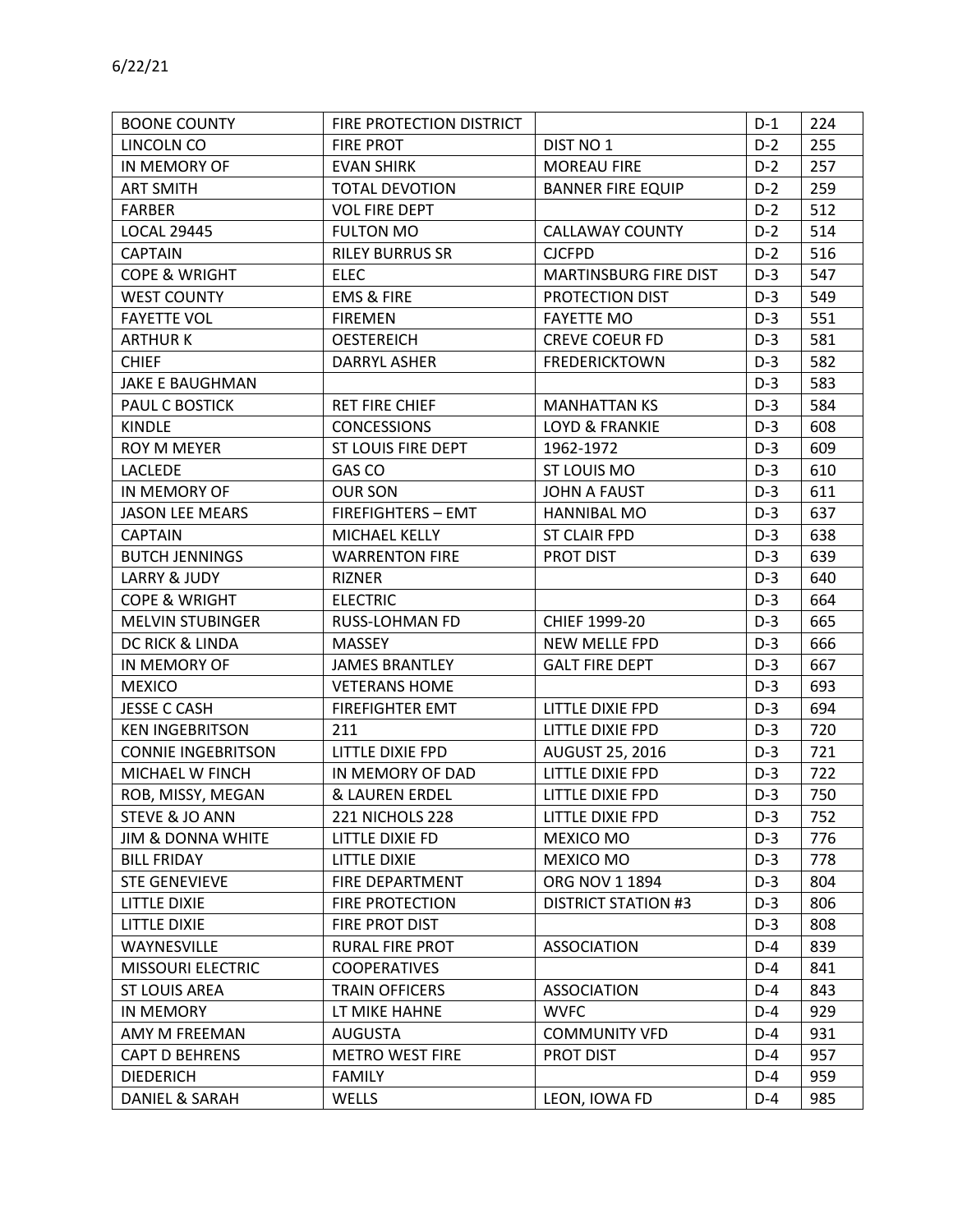| <b>BOONE COUNTY</b>          | FIRE PROTECTION DISTRICT  |                              | $D-1$ | 224 |
|------------------------------|---------------------------|------------------------------|-------|-----|
| LINCOLN CO                   | <b>FIRE PROT</b>          | DIST NO 1                    | $D-2$ | 255 |
| IN MEMORY OF                 | <b>EVAN SHIRK</b>         | <b>MOREAU FIRE</b>           | $D-2$ | 257 |
| <b>ART SMITH</b>             | <b>TOTAL DEVOTION</b>     | <b>BANNER FIRE EQUIP</b>     | $D-2$ | 259 |
| <b>FARBER</b>                | <b>VOL FIRE DEPT</b>      |                              | $D-2$ | 512 |
| <b>LOCAL 29445</b>           | <b>FULTON MO</b>          | <b>CALLAWAY COUNTY</b>       | $D-2$ | 514 |
| <b>CAPTAIN</b>               | <b>RILEY BURRUS SR</b>    | <b>CJCFPD</b>                | $D-2$ | 516 |
| <b>COPE &amp; WRIGHT</b>     | <b>ELEC</b>               | <b>MARTINSBURG FIRE DIST</b> | $D-3$ | 547 |
| <b>WEST COUNTY</b>           | <b>EMS &amp; FIRE</b>     | PROTECTION DIST              | $D-3$ | 549 |
| <b>FAYETTE VOL</b>           | <b>FIREMEN</b>            | <b>FAYETTE MO</b>            | $D-3$ | 551 |
| <b>ARTHURK</b>               | <b>OESTEREICH</b>         | <b>CREVE COEUR FD</b>        | $D-3$ | 581 |
| <b>CHIEF</b>                 | DARRYL ASHER              | <b>FREDERICKTOWN</b>         | $D-3$ | 582 |
| JAKE E BAUGHMAN              |                           |                              | $D-3$ | 583 |
| PAUL C BOSTICK               | <b>RET FIRE CHIEF</b>     | <b>MANHATTAN KS</b>          | $D-3$ | 584 |
| <b>KINDLE</b>                | <b>CONCESSIONS</b>        | <b>LOYD &amp; FRANKIE</b>    | $D-3$ | 608 |
| ROY M MEYER                  | ST LOUIS FIRE DEPT        | 1962-1972                    | $D-3$ | 609 |
| <b>LACLEDE</b>               | GAS CO                    | ST LOUIS MO                  | $D-3$ | 610 |
| IN MEMORY OF                 | <b>OUR SON</b>            | <b>JOHN A FAUST</b>          | $D-3$ | 611 |
| <b>JASON LEE MEARS</b>       | <b>FIREFIGHTERS - EMT</b> | HANNIBAL MO                  | $D-3$ | 637 |
| <b>CAPTAIN</b>               | MICHAEL KELLY             | <b>ST CLAIR FPD</b>          | $D-3$ | 638 |
| <b>BUTCH JENNINGS</b>        | <b>WARRENTON FIRE</b>     | PROT DIST                    | $D-3$ | 639 |
| <b>LARRY &amp; JUDY</b>      | <b>RIZNER</b>             |                              | $D-3$ | 640 |
| <b>COPE &amp; WRIGHT</b>     | <b>ELECTRIC</b>           |                              | $D-3$ | 664 |
| <b>MELVIN STUBINGER</b>      | <b>RUSS-LOHMAN FD</b>     | CHIEF 1999-20                | $D-3$ | 665 |
| DC RICK & LINDA              | <b>MASSEY</b>             | NEW MELLE FPD                | $D-3$ | 666 |
| IN MEMORY OF                 | <b>JAMES BRANTLEY</b>     | <b>GALT FIRE DEPT</b>        | $D-3$ | 667 |
| <b>MEXICO</b>                | <b>VETERANS HOME</b>      |                              | $D-3$ | 693 |
| <b>JESSE C CASH</b>          | <b>FIREFIGHTER EMT</b>    | LITTLE DIXIE FPD             | $D-3$ | 694 |
| <b>KEN INGEBRITSON</b>       | 211                       | LITTLE DIXIE FPD             | $D-3$ | 720 |
| <b>CONNIE INGEBRITSON</b>    | LITTLE DIXIE FPD          | <b>AUGUST 25, 2016</b>       | $D-3$ | 721 |
| MICHAEL W FINCH              | IN MEMORY OF DAD          | LITTLE DIXIE FPD             | $D-3$ | 722 |
| ROB, MISSY, MEGAN            | & LAUREN ERDEL            | LITTLE DIXIE FPD             | $D-3$ | 750 |
| STEVE & JO ANN               | 221 NICHOLS 228           | LITTLE DIXIE FPD             | $D-3$ | 752 |
| <b>JIM &amp; DONNA WHITE</b> | LITTLE DIXIE FD           | MEXICO MO                    | $D-3$ | 776 |
| <b>BILL FRIDAY</b>           | <b>LITTLE DIXIE</b>       | MEXICO MO                    | $D-3$ | 778 |
| <b>STE GENEVIEVE</b>         | FIRE DEPARTMENT           | ORG NOV 1 1894               | $D-3$ | 804 |
| <b>LITTLE DIXIE</b>          | FIRE PROTECTION           | <b>DISTRICT STATION #3</b>   | $D-3$ | 806 |
| <b>LITTLE DIXIE</b>          | FIRE PROT DIST            |                              | $D-3$ | 808 |
| WAYNESVILLE                  | RURAL FIRE PROT           | <b>ASSOCIATION</b>           | $D-4$ | 839 |
| <b>MISSOURI ELECTRIC</b>     | <b>COOPERATIVES</b>       |                              | $D-4$ | 841 |
| <b>ST LOUIS AREA</b>         | <b>TRAIN OFFICERS</b>     | ASSOCIATION                  | $D-4$ | 843 |
| <b>IN MEMORY</b>             | LT MIKE HAHNE             | <b>WVFC</b>                  | $D-4$ | 929 |
| AMY M FREEMAN                | <b>AUGUSTA</b>            | <b>COMMUNITY VFD</b>         | $D-4$ | 931 |
| <b>CAPT D BEHRENS</b>        | <b>METRO WEST FIRE</b>    | <b>PROT DIST</b>             | $D-4$ | 957 |
| <b>DIEDERICH</b>             | <b>FAMILY</b>             |                              | $D-4$ | 959 |
| DANIEL & SARAH               | WELLS                     | LEON, IOWA FD                | $D-4$ | 985 |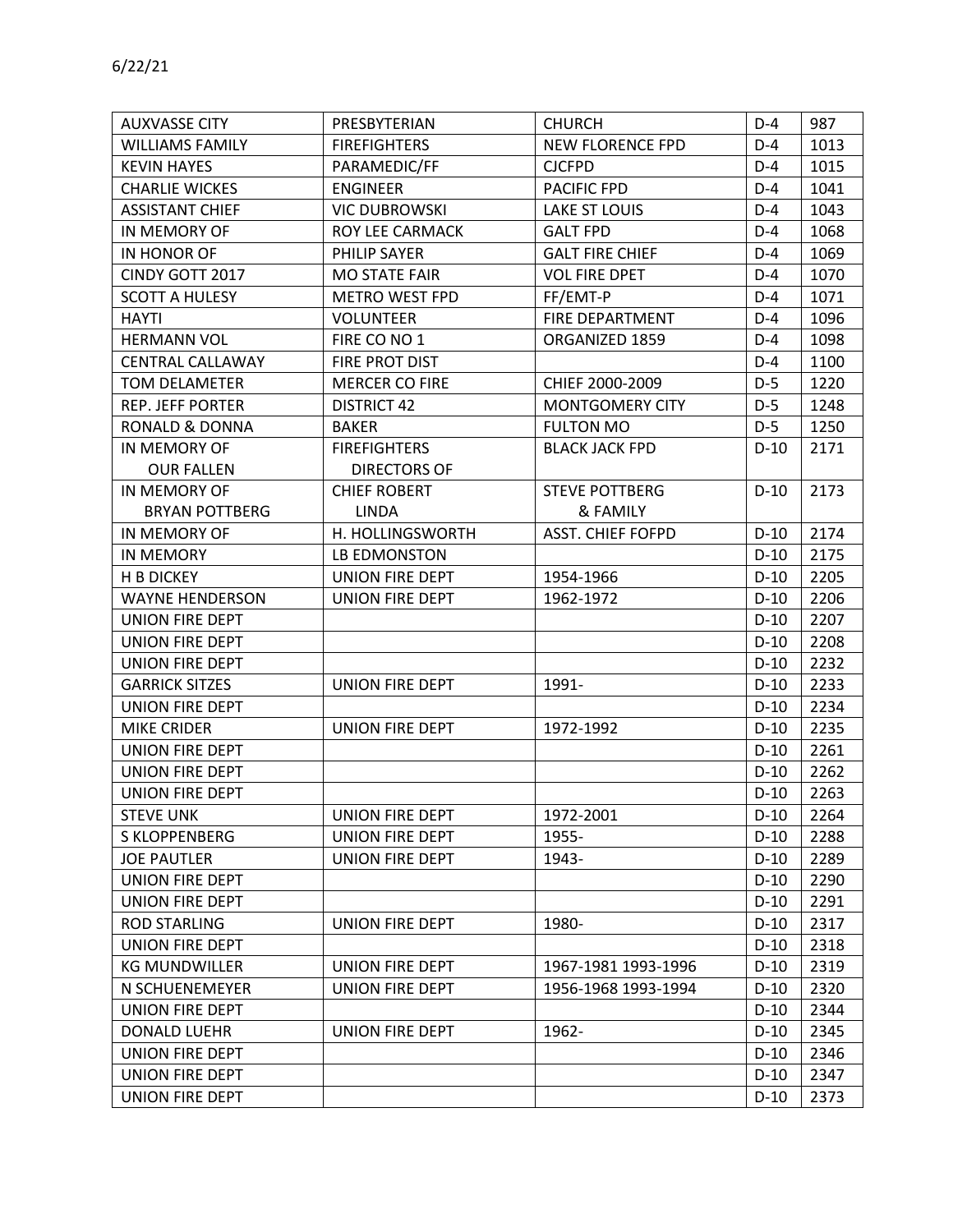| <b>AUXVASSE CITY</b>    | PRESBYTERIAN           | <b>CHURCH</b>            | $D-4$  | 987  |
|-------------------------|------------------------|--------------------------|--------|------|
| <b>WILLIAMS FAMILY</b>  | <b>FIREFIGHTERS</b>    | NEW FLORENCE FPD         | $D-4$  | 1013 |
| <b>KEVIN HAYES</b>      | PARAMEDIC/FF           | <b>CJCFPD</b>            | $D-4$  | 1015 |
| <b>CHARLIE WICKES</b>   | <b>ENGINEER</b>        | PACIFIC FPD              | $D-4$  | 1041 |
| <b>ASSISTANT CHIEF</b>  | <b>VIC DUBROWSKI</b>   | <b>LAKE ST LOUIS</b>     | $D-4$  | 1043 |
| IN MEMORY OF            | ROY LEE CARMACK        | <b>GALT FPD</b>          | $D-4$  | 1068 |
| IN HONOR OF             | PHILIP SAYER           | <b>GALT FIRE CHIEF</b>   | $D-4$  | 1069 |
| CINDY GOTT 2017         | <b>MO STATE FAIR</b>   | <b>VOL FIRE DPET</b>     | $D-4$  | 1070 |
| <b>SCOTT A HULESY</b>   | <b>METRO WEST FPD</b>  | FF/EMT-P                 | $D-4$  | 1071 |
| <b>HAYTI</b>            | <b>VOLUNTEER</b>       | FIRE DEPARTMENT          | $D-4$  | 1096 |
| <b>HERMANN VOL</b>      | FIRE CO NO 1           | ORGANIZED 1859           | $D-4$  | 1098 |
| <b>CENTRAL CALLAWAY</b> | FIRE PROT DIST         |                          | $D-4$  | 1100 |
| <b>TOM DELAMETER</b>    | <b>MERCER CO FIRE</b>  | CHIEF 2000-2009          | $D-5$  | 1220 |
| <b>REP. JEFF PORTER</b> | <b>DISTRICT 42</b>     | MONTGOMERY CITY          | $D-5$  | 1248 |
| RONALD & DONNA          | <b>BAKER</b>           | <b>FULTON MO</b>         | $D-5$  | 1250 |
| IN MEMORY OF            | <b>FIREFIGHTERS</b>    | <b>BLACK JACK FPD</b>    | $D-10$ | 2171 |
| <b>OUR FALLEN</b>       | <b>DIRECTORS OF</b>    |                          |        |      |
| IN MEMORY OF            | <b>CHIEF ROBERT</b>    | <b>STEVE POTTBERG</b>    | $D-10$ | 2173 |
| <b>BRYAN POTTBERG</b>   | <b>LINDA</b>           | & FAMILY                 |        |      |
| IN MEMORY OF            | H. HOLLINGSWORTH       | <b>ASST. CHIEF FOFPD</b> | $D-10$ | 2174 |
| <b>IN MEMORY</b>        | LB EDMONSTON           |                          | $D-10$ | 2175 |
| H B DICKEY              | UNION FIRE DEPT        | 1954-1966                | $D-10$ | 2205 |
| <b>WAYNE HENDERSON</b>  | UNION FIRE DEPT        | 1962-1972                | $D-10$ | 2206 |
| <b>UNION FIRE DEPT</b>  |                        |                          | $D-10$ | 2207 |
| UNION FIRE DEPT         |                        |                          | $D-10$ | 2208 |
| UNION FIRE DEPT         |                        |                          | $D-10$ | 2232 |
| <b>GARRICK SITZES</b>   | UNION FIRE DEPT        | 1991-                    | $D-10$ | 2233 |
| <b>UNION FIRE DEPT</b>  |                        |                          | $D-10$ | 2234 |
| <b>MIKE CRIDER</b>      | UNION FIRE DEPT        | 1972-1992                | $D-10$ | 2235 |
| <b>UNION FIRE DEPT</b>  |                        |                          | $D-10$ | 2261 |
| UNION FIRE DEPT         |                        |                          | $D-10$ | 2262 |
| UNION FIRE DEPT         |                        |                          | $D-10$ | 2263 |
| <b>STEVE UNK</b>        | UNION FIRE DEPT        | 1972-2001                | $D-10$ | 2264 |
| <b>S KLOPPENBERG</b>    | UNION FIRE DEPT        | 1955-                    | $D-10$ | 2288 |
| <b>JOE PAUTLER</b>      | <b>UNION FIRE DEPT</b> | 1943-                    | $D-10$ | 2289 |
| <b>UNION FIRE DEPT</b>  |                        |                          | $D-10$ | 2290 |
| UNION FIRE DEPT         |                        |                          | $D-10$ | 2291 |
| <b>ROD STARLING</b>     | UNION FIRE DEPT        | 1980-                    | $D-10$ | 2317 |
| UNION FIRE DEPT         |                        |                          | $D-10$ | 2318 |
| <b>KG MUNDWILLER</b>    | UNION FIRE DEPT        | 1967-1981 1993-1996      | $D-10$ | 2319 |
| N SCHUENEMEYER          | UNION FIRE DEPT        | 1956-1968 1993-1994      | $D-10$ | 2320 |
| UNION FIRE DEPT         |                        |                          | $D-10$ | 2344 |
| <b>DONALD LUEHR</b>     | UNION FIRE DEPT        | 1962-                    | $D-10$ | 2345 |
| UNION FIRE DEPT         |                        |                          | $D-10$ | 2346 |
| UNION FIRE DEPT         |                        |                          | $D-10$ | 2347 |
| UNION FIRE DEPT         |                        |                          | $D-10$ | 2373 |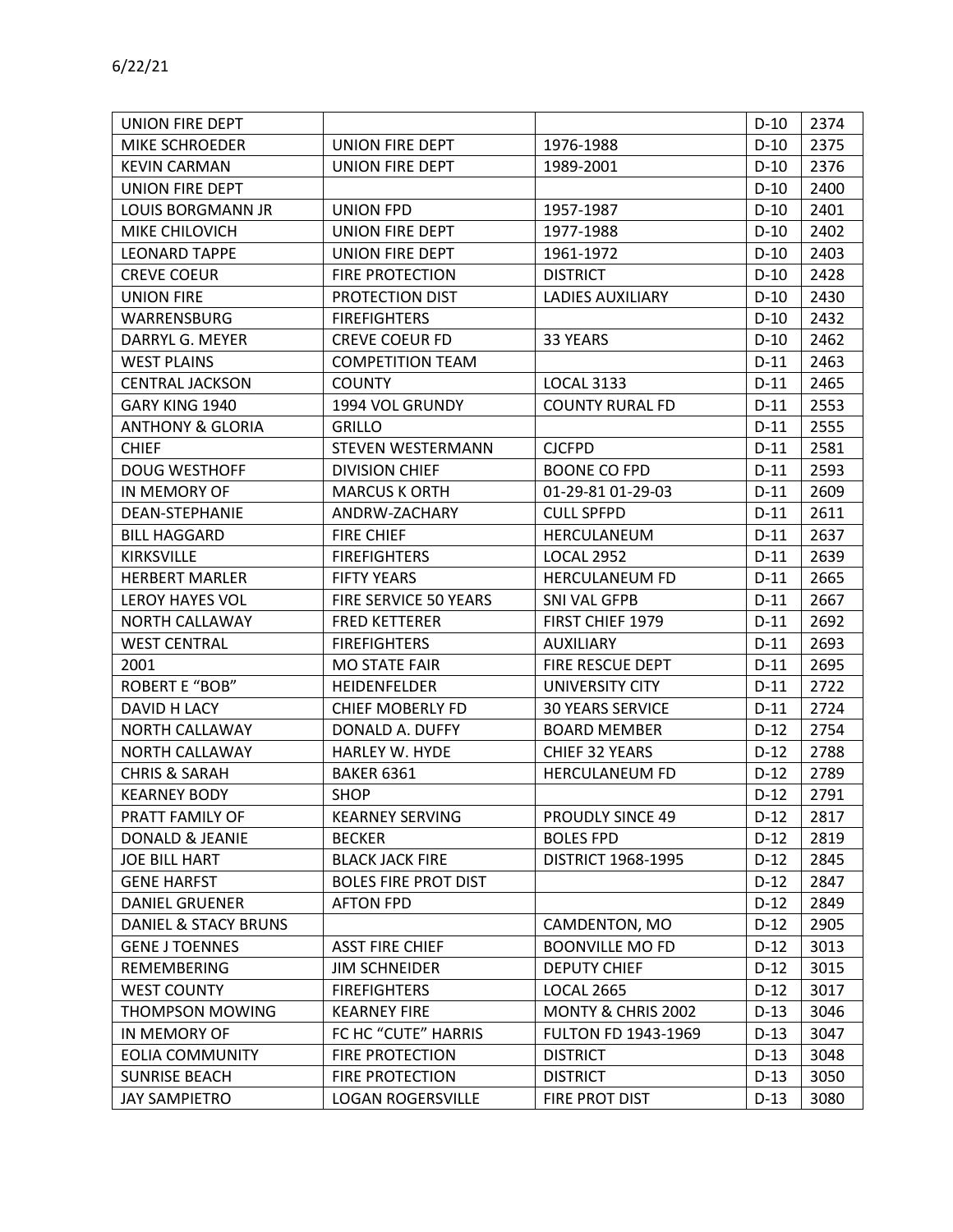| <b>UNION FIRE DEPT</b>      |                             |                            | $D-10$ | 2374 |
|-----------------------------|-----------------------------|----------------------------|--------|------|
| MIKE SCHROEDER              | UNION FIRE DEPT             | 1976-1988                  | $D-10$ | 2375 |
| <b>KEVIN CARMAN</b>         | UNION FIRE DEPT             | 1989-2001                  | $D-10$ | 2376 |
| UNION FIRE DEPT             |                             |                            | $D-10$ | 2400 |
| <b>LOUIS BORGMANN JR</b>    | <b>UNION FPD</b>            | 1957-1987                  | $D-10$ | 2401 |
| MIKE CHILOVICH              | UNION FIRE DEPT             | 1977-1988                  | $D-10$ | 2402 |
| <b>LEONARD TAPPE</b>        | UNION FIRE DEPT             | 1961-1972                  | $D-10$ | 2403 |
| <b>CREVE COEUR</b>          | <b>FIRE PROTECTION</b>      | <b>DISTRICT</b>            | $D-10$ | 2428 |
| <b>UNION FIRE</b>           | PROTECTION DIST             | <b>LADIES AUXILIARY</b>    | $D-10$ | 2430 |
| <b>WARRENSBURG</b>          | <b>FIREFIGHTERS</b>         |                            | $D-10$ | 2432 |
| DARRYL G. MEYER             | <b>CREVE COEUR FD</b>       | 33 YEARS                   | $D-10$ | 2462 |
| <b>WEST PLAINS</b>          | <b>COMPETITION TEAM</b>     |                            | $D-11$ | 2463 |
| <b>CENTRAL JACKSON</b>      | <b>COUNTY</b>               | <b>LOCAL 3133</b>          | $D-11$ | 2465 |
| GARY KING 1940              | 1994 VOL GRUNDY             | <b>COUNTY RURAL FD</b>     | $D-11$ | 2553 |
| <b>ANTHONY &amp; GLORIA</b> | <b>GRILLO</b>               |                            | $D-11$ | 2555 |
| <b>CHIEF</b>                | <b>STEVEN WESTERMANN</b>    | <b>CJCFPD</b>              | $D-11$ | 2581 |
| <b>DOUG WESTHOFF</b>        | <b>DIVISION CHIEF</b>       | <b>BOONE CO FPD</b>        | $D-11$ | 2593 |
| IN MEMORY OF                | <b>MARCUS K ORTH</b>        | 01-29-81 01-29-03          | $D-11$ | 2609 |
| DEAN-STEPHANIE              | ANDRW-ZACHARY               | <b>CULL SPFPD</b>          | $D-11$ | 2611 |
| <b>BILL HAGGARD</b>         | <b>FIRE CHIEF</b>           | HERCULANEUM                | $D-11$ | 2637 |
| <b>KIRKSVILLE</b>           | <b>FIREFIGHTERS</b>         | <b>LOCAL 2952</b>          | $D-11$ | 2639 |
| <b>HERBERT MARLER</b>       | <b>FIFTY YEARS</b>          | <b>HERCULANEUM FD</b>      | $D-11$ | 2665 |
| <b>LEROY HAYES VOL</b>      | FIRE SERVICE 50 YEARS       | SNI VAL GFPB               | $D-11$ | 2667 |
| <b>NORTH CALLAWAY</b>       | <b>FRED KETTERER</b>        | FIRST CHIEF 1979           | $D-11$ | 2692 |
| <b>WEST CENTRAL</b>         | <b>FIREFIGHTERS</b>         | <b>AUXILIARY</b>           | $D-11$ | 2693 |
| 2001                        | <b>MO STATE FAIR</b>        | FIRE RESCUE DEPT           | $D-11$ | 2695 |
| ROBERT E "BOB"              | <b>HEIDENFELDER</b>         | UNIVERSITY CITY            | $D-11$ | 2722 |
| DAVID H LACY                | <b>CHIEF MOBERLY FD</b>     | <b>30 YEARS SERVICE</b>    | $D-11$ | 2724 |
| NORTH CALLAWAY              | DONALD A. DUFFY             | <b>BOARD MEMBER</b>        | $D-12$ | 2754 |
| NORTH CALLAWAY              | HARLEY W. HYDE              | CHIEF 32 YEARS             | $D-12$ | 2788 |
| <b>CHRIS &amp; SARAH</b>    | <b>BAKER 6361</b>           | <b>HERCULANEUM FD</b>      | $D-12$ | 2789 |
| <b>KEARNEY BODY</b>         | <b>SHOP</b>                 |                            | $D-12$ | 2791 |
| PRATT FAMILY OF             | <b>KEARNEY SERVING</b>      | <b>PROUDLY SINCE 49</b>    | $D-12$ | 2817 |
| <b>DONALD &amp; JEANIE</b>  | <b>BECKER</b>               | <b>BOLES FPD</b>           | $D-12$ | 2819 |
| JOE BILL HART               | <b>BLACK JACK FIRE</b>      | <b>DISTRICT 1968-1995</b>  | $D-12$ | 2845 |
| <b>GENE HARFST</b>          | <b>BOLES FIRE PROT DIST</b> |                            | $D-12$ | 2847 |
| <b>DANIEL GRUENER</b>       | <b>AFTON FPD</b>            |                            | $D-12$ | 2849 |
| DANIEL & STACY BRUNS        |                             | CAMDENTON, MO              | $D-12$ | 2905 |
| <b>GENE J TOENNES</b>       | <b>ASST FIRE CHIEF</b>      | <b>BOONVILLE MO FD</b>     | $D-12$ | 3013 |
| <b>REMEMBERING</b>          | <b>JIM SCHNEIDER</b>        | <b>DEPUTY CHIEF</b>        | $D-12$ | 3015 |
| <b>WEST COUNTY</b>          | <b>FIREFIGHTERS</b>         | <b>LOCAL 2665</b>          | $D-12$ | 3017 |
| <b>THOMPSON MOWING</b>      | <b>KEARNEY FIRE</b>         | MONTY & CHRIS 2002         | $D-13$ | 3046 |
| IN MEMORY OF                | FC HC "CUTE" HARRIS         | <b>FULTON FD 1943-1969</b> | $D-13$ | 3047 |
| <b>EOLIA COMMUNITY</b>      | <b>FIRE PROTECTION</b>      | <b>DISTRICT</b>            | $D-13$ | 3048 |
| <b>SUNRISE BEACH</b>        | <b>FIRE PROTECTION</b>      | <b>DISTRICT</b>            | $D-13$ | 3050 |
| <b>JAY SAMPIETRO</b>        | <b>LOGAN ROGERSVILLE</b>    | FIRE PROT DIST             | $D-13$ | 3080 |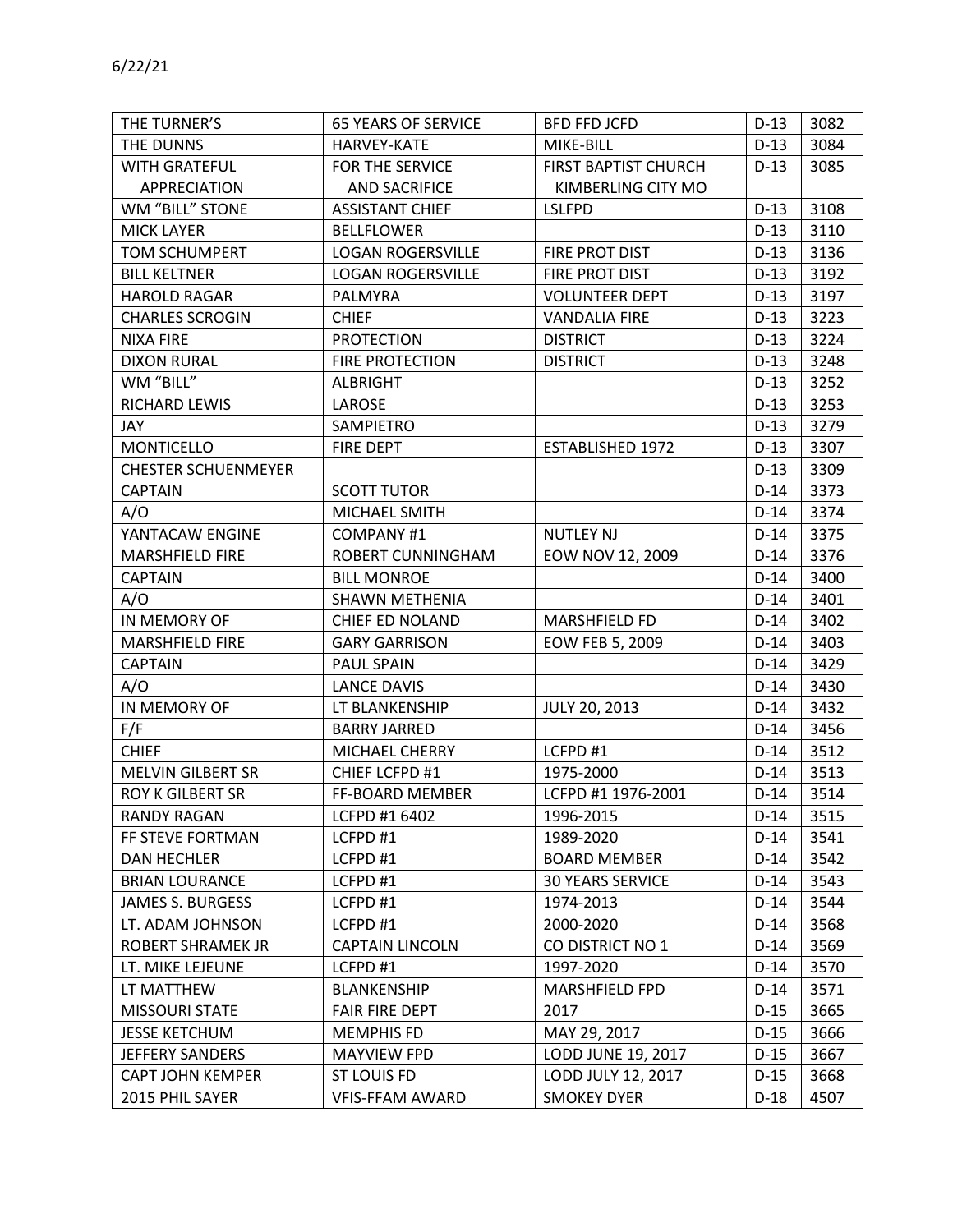| THE DUNNS                  | HARVEY-KATE              | MIKE-BILL               | $D-13$ | 3084 |
|----------------------------|--------------------------|-------------------------|--------|------|
| <b>WITH GRATEFUL</b>       | FOR THE SERVICE          | FIRST BAPTIST CHURCH    | $D-13$ | 3085 |
| <b>APPRECIATION</b>        | <b>AND SACRIFICE</b>     | KIMBERLING CITY MO      |        |      |
| WM "BILL" STONE            | <b>ASSISTANT CHIEF</b>   | <b>LSLFPD</b>           | $D-13$ | 3108 |
| <b>MICK LAYER</b>          | <b>BELLFLOWER</b>        |                         | $D-13$ | 3110 |
| <b>TOM SCHUMPERT</b>       | <b>LOGAN ROGERSVILLE</b> | FIRE PROT DIST          | $D-13$ | 3136 |
| <b>BILL KELTNER</b>        | <b>LOGAN ROGERSVILLE</b> | FIRE PROT DIST          | $D-13$ | 3192 |
| <b>HAROLD RAGAR</b>        | <b>PALMYRA</b>           | <b>VOLUNTEER DEPT</b>   | $D-13$ | 3197 |
| <b>CHARLES SCROGIN</b>     | <b>CHIEF</b>             | <b>VANDALIA FIRE</b>    | $D-13$ | 3223 |
| <b>NIXA FIRE</b>           | <b>PROTECTION</b>        | <b>DISTRICT</b>         | $D-13$ | 3224 |
| <b>DIXON RURAL</b>         | <b>FIRE PROTECTION</b>   | <b>DISTRICT</b>         | $D-13$ | 3248 |
| WM "BILL"                  | <b>ALBRIGHT</b>          |                         | $D-13$ | 3252 |
| RICHARD LEWIS              | LAROSE                   |                         | $D-13$ | 3253 |
| JAY                        | SAMPIETRO                |                         | $D-13$ | 3279 |
| <b>MONTICELLO</b>          | <b>FIRE DEPT</b>         | <b>ESTABLISHED 1972</b> | $D-13$ | 3307 |
| <b>CHESTER SCHUENMEYER</b> |                          |                         | $D-13$ | 3309 |
| <b>CAPTAIN</b>             | <b>SCOTT TUTOR</b>       |                         | $D-14$ | 3373 |
| A/O                        | MICHAEL SMITH            |                         | $D-14$ | 3374 |
| YANTACAW ENGINE            | <b>COMPANY #1</b>        | <b>NUTLEY NJ</b>        | $D-14$ | 3375 |
| <b>MARSHFIELD FIRE</b>     | ROBERT CUNNINGHAM        | EOW NOV 12, 2009        | $D-14$ | 3376 |
| <b>CAPTAIN</b>             | <b>BILL MONROE</b>       |                         | $D-14$ | 3400 |
| A/O                        | <b>SHAWN METHENIA</b>    |                         | $D-14$ | 3401 |
| IN MEMORY OF               | CHIEF ED NOLAND          | MARSHFIELD FD           | $D-14$ | 3402 |
| <b>MARSHFIELD FIRE</b>     | <b>GARY GARRISON</b>     | EOW FEB 5, 2009         | $D-14$ | 3403 |
| <b>CAPTAIN</b>             | PAUL SPAIN               |                         | $D-14$ | 3429 |
| A/O                        | <b>LANCE DAVIS</b>       |                         | $D-14$ | 3430 |
| IN MEMORY OF               | LT BLANKENSHIP           | JULY 20, 2013           | $D-14$ | 3432 |
| F/F                        | <b>BARRY JARRED</b>      |                         | $D-14$ | 3456 |
| <b>CHIEF</b>               | MICHAEL CHERRY           | LCFPD #1                | $D-14$ | 3512 |
| <b>MELVIN GILBERT SR</b>   | CHIEF LCFPD #1           | 1975-2000               | $D-14$ | 3513 |
| <b>ROY K GILBERT SR</b>    | FF-BOARD MEMBER          | LCFPD #1 1976-2001      | $D-14$ | 3514 |
| <b>RANDY RAGAN</b>         | LCFPD #1 6402            | 1996-2015               | $D-14$ | 3515 |
| FF STEVE FORTMAN           | LCFPD #1                 | 1989-2020               | $D-14$ | 3541 |
| <b>DAN HECHLER</b>         | LCFPD#1                  | <b>BOARD MEMBER</b>     | $D-14$ | 3542 |
| <b>BRIAN LOURANCE</b>      | LCFPD #1                 | <b>30 YEARS SERVICE</b> | $D-14$ | 3543 |
| <b>JAMES S. BURGESS</b>    | LCFPD #1                 | 1974-2013               | $D-14$ | 3544 |
| LT. ADAM JOHNSON           | LCFPD #1                 | 2000-2020               | $D-14$ | 3568 |
| <b>ROBERT SHRAMEK JR</b>   | <b>CAPTAIN LINCOLN</b>   | CO DISTRICT NO 1        | $D-14$ | 3569 |
| LT. MIKE LEJEUNE           | LCFPD #1                 | 1997-2020               | $D-14$ | 3570 |
| LT MATTHEW                 | <b>BLANKENSHIP</b>       | MARSHFIELD FPD          | $D-14$ | 3571 |
| <b>MISSOURI STATE</b>      | <b>FAIR FIRE DEPT</b>    | 2017                    | $D-15$ | 3665 |
| <b>JESSE KETCHUM</b>       | <b>MEMPHIS FD</b>        | MAY 29, 2017            | $D-15$ | 3666 |
| <b>JEFFERY SANDERS</b>     | <b>MAYVIEW FPD</b>       | LODD JUNE 19, 2017      | $D-15$ | 3667 |
| <b>CAPT JOHN KEMPER</b>    | <b>ST LOUIS FD</b>       | LODD JULY 12, 2017      | $D-15$ | 3668 |
| 2015 PHIL SAYER            | <b>VFIS-FFAM AWARD</b>   | <b>SMOKEY DYER</b>      | $D-18$ | 4507 |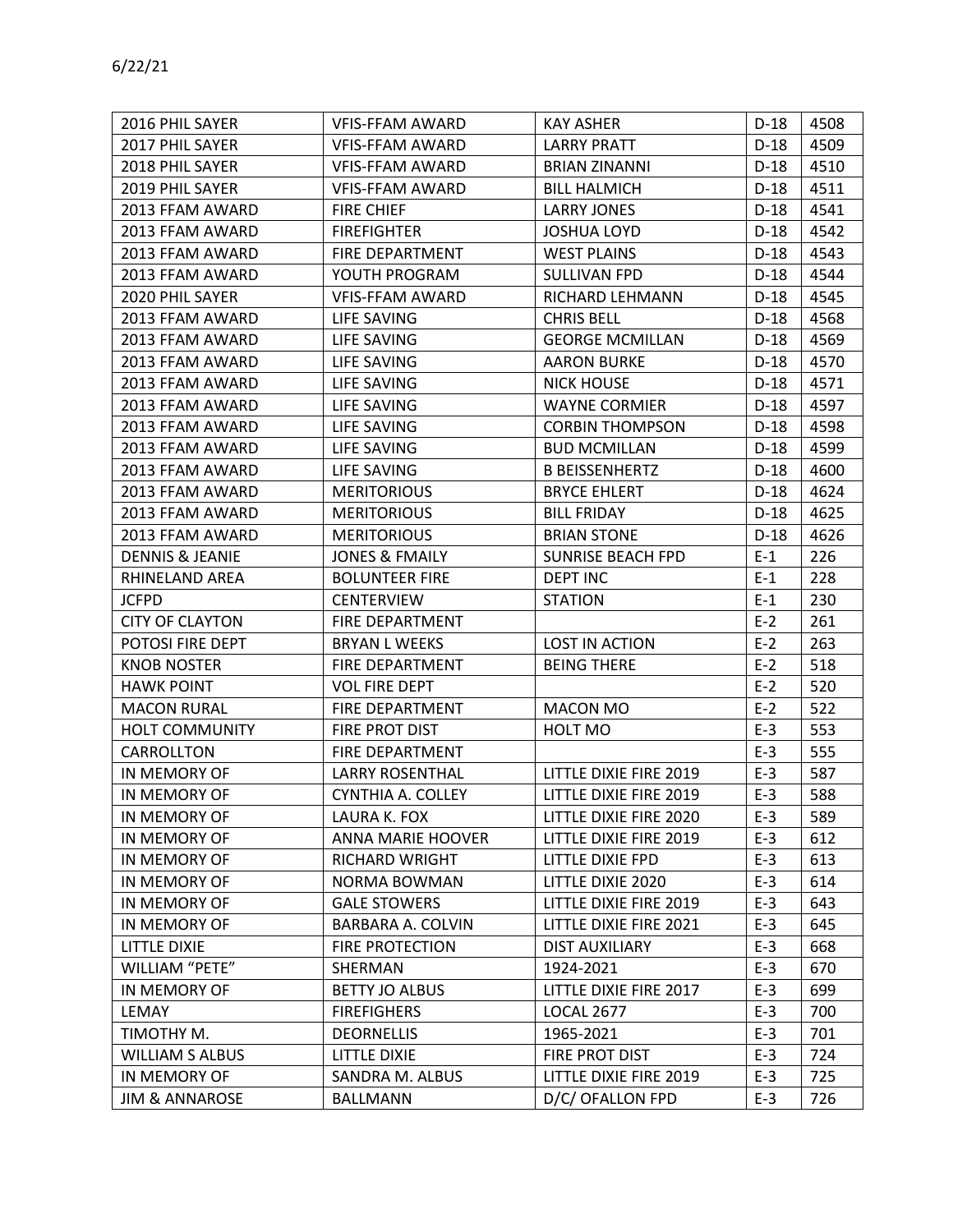| 2016 PHIL SAYER            | <b>VFIS-FFAM AWARD</b>    | <b>KAY ASHER</b>         | $D-18$ | 4508 |
|----------------------------|---------------------------|--------------------------|--------|------|
| 2017 PHIL SAYER            | <b>VFIS-FFAM AWARD</b>    | <b>LARRY PRATT</b>       | $D-18$ | 4509 |
| 2018 PHIL SAYER            | <b>VFIS-FFAM AWARD</b>    | <b>BRIAN ZINANNI</b>     | $D-18$ | 4510 |
| 2019 PHIL SAYER            | <b>VFIS-FFAM AWARD</b>    | <b>BILL HALMICH</b>      | $D-18$ | 4511 |
| 2013 FFAM AWARD            | <b>FIRE CHIEF</b>         | <b>LARRY JONES</b>       | $D-18$ | 4541 |
| 2013 FFAM AWARD            | <b>FIREFIGHTER</b>        | <b>JOSHUA LOYD</b>       | D-18   | 4542 |
| 2013 FFAM AWARD            | FIRE DEPARTMENT           | <b>WEST PLAINS</b>       | $D-18$ | 4543 |
| 2013 FFAM AWARD            | YOUTH PROGRAM             | SULLIVAN FPD             | $D-18$ | 4544 |
| 2020 PHIL SAYER            | <b>VFIS-FFAM AWARD</b>    | RICHARD LEHMANN          | $D-18$ | 4545 |
| 2013 FFAM AWARD            | LIFE SAVING               | <b>CHRIS BELL</b>        | $D-18$ | 4568 |
| 2013 FFAM AWARD            | LIFE SAVING               | <b>GEORGE MCMILLAN</b>   | D-18   | 4569 |
| 2013 FFAM AWARD            | LIFE SAVING               | <b>AARON BURKE</b>       | D-18   | 4570 |
| 2013 FFAM AWARD            | LIFE SAVING               | <b>NICK HOUSE</b>        | $D-18$ | 4571 |
| 2013 FFAM AWARD            | LIFE SAVING               | <b>WAYNE CORMIER</b>     | $D-18$ | 4597 |
| 2013 FFAM AWARD            | LIFE SAVING               | <b>CORBIN THOMPSON</b>   | $D-18$ | 4598 |
| 2013 FFAM AWARD            | LIFE SAVING               | <b>BUD MCMILLAN</b>      | $D-18$ | 4599 |
| 2013 FFAM AWARD            | LIFE SAVING               | <b>B BEISSENHERTZ</b>    | $D-18$ | 4600 |
| 2013 FFAM AWARD            | <b>MERITORIOUS</b>        | <b>BRYCE EHLERT</b>      | D-18   | 4624 |
| 2013 FFAM AWARD            | <b>MERITORIOUS</b>        | <b>BILL FRIDAY</b>       | $D-18$ | 4625 |
| 2013 FFAM AWARD            | <b>MERITORIOUS</b>        | <b>BRIAN STONE</b>       | $D-18$ | 4626 |
| <b>DENNIS &amp; JEANIE</b> | <b>JONES &amp; FMAILY</b> | <b>SUNRISE BEACH FPD</b> | $E-1$  | 226  |
| RHINELAND AREA             | <b>BOLUNTEER FIRE</b>     | <b>DEPT INC</b>          | $E-1$  | 228  |
| <b>JCFPD</b>               | <b>CENTERVIEW</b>         | <b>STATION</b>           | $E-1$  | 230  |
| <b>CITY OF CLAYTON</b>     | FIRE DEPARTMENT           |                          | $E-2$  | 261  |
| POTOSI FIRE DEPT           | <b>BRYAN L WEEKS</b>      | LOST IN ACTION           | $E-2$  | 263  |
| <b>KNOB NOSTER</b>         | FIRE DEPARTMENT           | <b>BEING THERE</b>       | $E-2$  | 518  |
| <b>HAWK POINT</b>          | <b>VOL FIRE DEPT</b>      |                          | $E-2$  | 520  |
| <b>MACON RURAL</b>         | FIRE DEPARTMENT           | <b>MACON MO</b>          | $E-2$  | 522  |
| HOLT COMMUNITY             | FIRE PROT DIST            | HOLT MO                  | $E-3$  | 553  |
| CARROLLTON                 | FIRE DEPARTMENT           |                          | $E-3$  | 555  |
| IN MEMORY OF               | <b>LARRY ROSENTHAL</b>    | LITTLE DIXIE FIRE 2019   | $E-3$  | 587  |
| IN MEMORY OF               | CYNTHIA A. COLLEY         | LITTLE DIXIE FIRE 2019   | $E-3$  | 588  |
| IN MEMORY OF               | LAURA K. FOX              | LITTLE DIXIE FIRE 2020   | $E-3$  | 589  |
| IN MEMORY OF               | ANNA MARIE HOOVER         | LITTLE DIXIE FIRE 2019   | $E-3$  | 612  |
| IN MEMORY OF               | <b>RICHARD WRIGHT</b>     | LITTLE DIXIE FPD         | $E-3$  | 613  |
| IN MEMORY OF               | <b>NORMA BOWMAN</b>       | LITTLE DIXIE 2020        | $E-3$  | 614  |
| IN MEMORY OF               | <b>GALE STOWERS</b>       | LITTLE DIXIE FIRE 2019   | $E-3$  | 643  |
| IN MEMORY OF               | BARBARA A. COLVIN         | LITTLE DIXIE FIRE 2021   | $E-3$  | 645  |
| <b>LITTLE DIXIE</b>        | <b>FIRE PROTECTION</b>    | <b>DIST AUXILIARY</b>    | $E-3$  | 668  |
| WILLIAM "PETE"             | SHERMAN                   | 1924-2021                | $E-3$  | 670  |
| IN MEMORY OF               | <b>BETTY JO ALBUS</b>     | LITTLE DIXIE FIRE 2017   | $E-3$  | 699  |
| LEMAY                      | <b>FIREFIGHERS</b>        | <b>LOCAL 2677</b>        | $E-3$  | 700  |
| TIMOTHY M.                 | <b>DEORNELLIS</b>         | 1965-2021                | $E-3$  | 701  |
| <b>WILLIAM S ALBUS</b>     | LITTLE DIXIE              | FIRE PROT DIST           | $E-3$  | 724  |
| IN MEMORY OF               | SANDRA M. ALBUS           | LITTLE DIXIE FIRE 2019   | $E-3$  | 725  |
| <b>JIM &amp; ANNAROSE</b>  | <b>BALLMANN</b>           | D/C/ OFALLON FPD         | $E-3$  | 726  |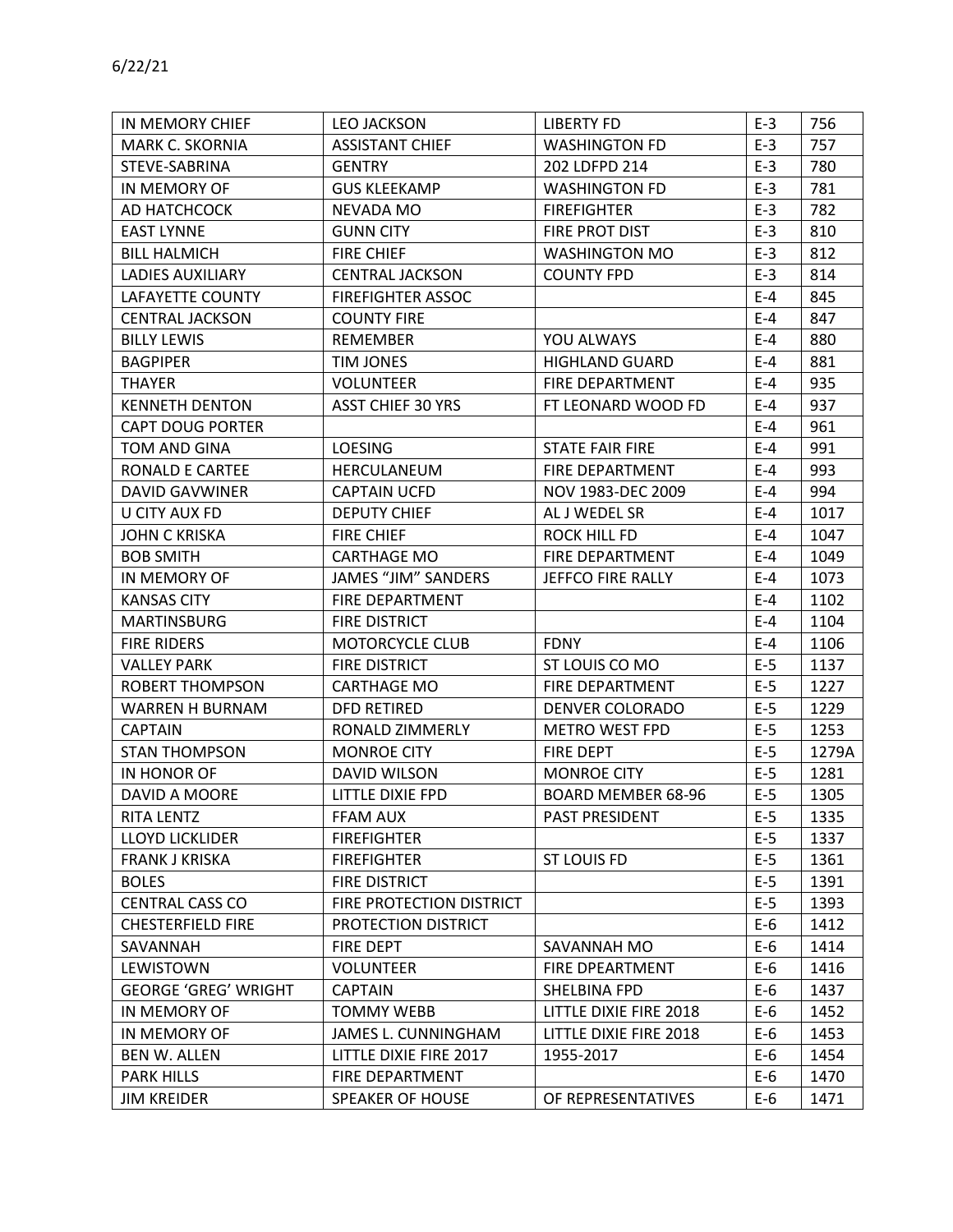| IN MEMORY CHIEF             | <b>LEO JACKSON</b>       | <b>LIBERTY FD</b>      | $E-3$   | 756   |
|-----------------------------|--------------------------|------------------------|---------|-------|
| MARK C. SKORNIA             | <b>ASSISTANT CHIEF</b>   | <b>WASHINGTON FD</b>   | $E-3$   | 757   |
| STEVE-SABRINA               | <b>GENTRY</b>            | 202 LDFPD 214          | $E-3$   | 780   |
| IN MEMORY OF                | <b>GUS KLEEKAMP</b>      | <b>WASHINGTON FD</b>   | $E-3$   | 781   |
| AD HATCHCOCK                | NEVADA MO                | <b>FIREFIGHTER</b>     | $E-3$   | 782   |
| <b>EAST LYNNE</b>           | <b>GUNN CITY</b>         | FIRE PROT DIST         | $E-3$   | 810   |
| <b>BILL HALMICH</b>         | <b>FIRE CHIEF</b>        | <b>WASHINGTON MO</b>   | $E-3$   | 812   |
| <b>LADIES AUXILIARY</b>     | <b>CENTRAL JACKSON</b>   | <b>COUNTY FPD</b>      | $E-3$   | 814   |
| LAFAYETTE COUNTY            | <b>FIREFIGHTER ASSOC</b> |                        | $E - 4$ | 845   |
| <b>CENTRAL JACKSON</b>      | <b>COUNTY FIRE</b>       |                        | $E-4$   | 847   |
| <b>BILLY LEWIS</b>          | <b>REMEMBER</b>          | YOU ALWAYS             | $E-4$   | 880   |
| <b>BAGPIPER</b>             | TIM JONES                | <b>HIGHLAND GUARD</b>  | $E - 4$ | 881   |
| <b>THAYER</b>               | <b>VOLUNTEER</b>         | FIRE DEPARTMENT        | $E - 4$ | 935   |
| <b>KENNETH DENTON</b>       | <b>ASST CHIEF 30 YRS</b> | FT LEONARD WOOD FD     | $E-4$   | 937   |
| <b>CAPT DOUG PORTER</b>     |                          |                        | $E-4$   | 961   |
| TOM AND GINA                | <b>LOESING</b>           | <b>STATE FAIR FIRE</b> | $E-4$   | 991   |
| RONALD E CARTEE             | HERCULANEUM              | FIRE DEPARTMENT        | $E - 4$ | 993   |
| <b>DAVID GAVWINER</b>       | <b>CAPTAIN UCFD</b>      | NOV 1983-DEC 2009      | $E - 4$ | 994   |
| U CITY AUX FD               | <b>DEPUTY CHIEF</b>      | AL J WEDEL SR          | $E-4$   | 1017  |
| <b>JOHN C KRISKA</b>        | <b>FIRE CHIEF</b>        | ROCK HILL FD           | $E-4$   | 1047  |
| <b>BOB SMITH</b>            | CARTHAGE MO              | FIRE DEPARTMENT        | $E-4$   | 1049  |
| IN MEMORY OF                | JAMES "JIM" SANDERS      | JEFFCO FIRE RALLY      | $E-4$   | 1073  |
| <b>KANSAS CITY</b>          | FIRE DEPARTMENT          |                        | $E - 4$ | 1102  |
| <b>MARTINSBURG</b>          | FIRE DISTRICT            |                        | $E-4$   | 1104  |
| <b>FIRE RIDERS</b>          | <b>MOTORCYCLE CLUB</b>   | <b>FDNY</b>            | $E-4$   | 1106  |
| <b>VALLEY PARK</b>          | FIRE DISTRICT            | ST LOUIS CO MO         | $E-5$   | 1137  |
| <b>ROBERT THOMPSON</b>      | <b>CARTHAGE MO</b>       | FIRE DEPARTMENT        | $E-5$   | 1227  |
| WARREN H BURNAM             | <b>DFD RETIRED</b>       | <b>DENVER COLORADO</b> | $E-5$   | 1229  |
| <b>CAPTAIN</b>              | RONALD ZIMMERLY          | <b>METRO WEST FPD</b>  | $E-5$   | 1253  |
| <b>STAN THOMPSON</b>        | <b>MONROE CITY</b>       | <b>FIRE DEPT</b>       | $E-5$   | 1279A |
| IN HONOR OF                 | DAVID WILSON             | <b>MONROE CITY</b>     | $E-5$   | 1281  |
| DAVID A MOORE               | <b>LITTLE DIXIE FPD</b>  | BOARD MEMBER 68-96     | $E-5$   | 1305  |
| <b>RITA LENTZ</b>           | FFAM AUX                 | PAST PRESIDENT         | $E-5$   | 1335  |
| <b>LLOYD LICKLIDER</b>      | <b>FIREFIGHTER</b>       |                        | $E-5$   | 1337  |
| FRANK J KRISKA              | <b>FIREFIGHTER</b>       | <b>ST LOUIS FD</b>     | $E-5$   | 1361  |
| <b>BOLES</b>                | FIRE DISTRICT            |                        | $E-5$   | 1391  |
| <b>CENTRAL CASS CO</b>      | FIRE PROTECTION DISTRICT |                        | $E-5$   | 1393  |
| <b>CHESTERFIELD FIRE</b>    | PROTECTION DISTRICT      |                        | $E-6$   | 1412  |
| SAVANNAH                    | <b>FIRE DEPT</b>         | SAVANNAH MO            | E-6     | 1414  |
| LEWISTOWN                   | <b>VOLUNTEER</b>         | <b>FIRE DPEARTMENT</b> | E-6     | 1416  |
| <b>GEORGE 'GREG' WRIGHT</b> | <b>CAPTAIN</b>           | SHELBINA FPD           | E-6     | 1437  |
| IN MEMORY OF                | <b>TOMMY WEBB</b>        | LITTLE DIXIE FIRE 2018 | E-6     | 1452  |
| IN MEMORY OF                | JAMES L. CUNNINGHAM      | LITTLE DIXIE FIRE 2018 | E-6     | 1453  |
| <b>BEN W. ALLEN</b>         | LITTLE DIXIE FIRE 2017   | 1955-2017              | E-6     | 1454  |
| <b>PARK HILLS</b>           | FIRE DEPARTMENT          |                        | E-6     | 1470  |
| <b>JIM KREIDER</b>          | <b>SPEAKER OF HOUSE</b>  | OF REPRESENTATIVES     | $E-6$   | 1471  |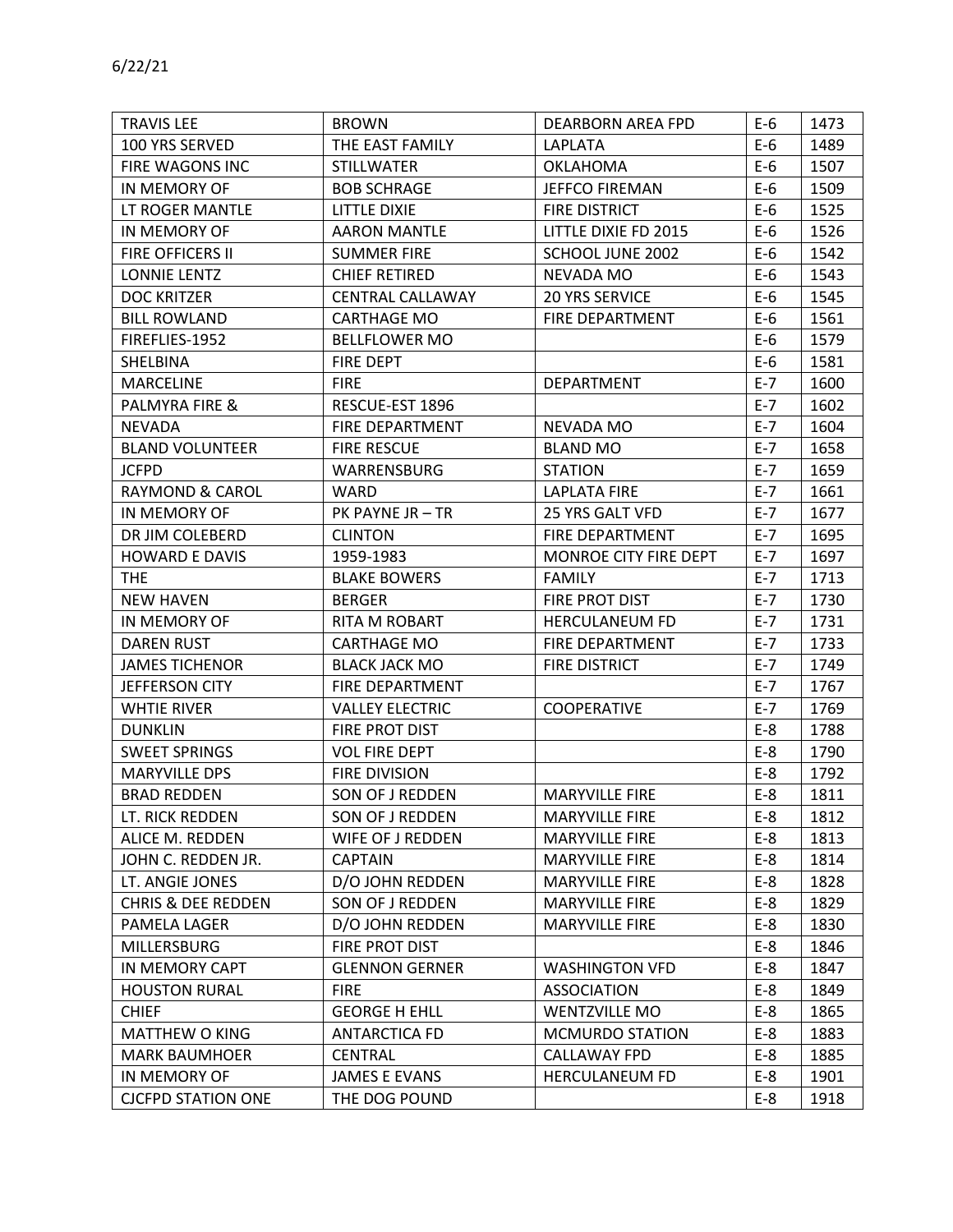| <b>TRAVIS LEE</b>             | <b>BROWN</b>            | DEARBORN AREA FPD      | $E-6$   | 1473 |
|-------------------------------|-------------------------|------------------------|---------|------|
| 100 YRS SERVED                | THE EAST FAMILY         | LAPLATA                | $E-6$   | 1489 |
| FIRE WAGONS INC               | <b>STILLWATER</b>       | <b>OKLAHOMA</b>        | $E-6$   | 1507 |
| IN MEMORY OF                  | <b>BOB SCHRAGE</b>      | <b>JEFFCO FIREMAN</b>  | $E-6$   | 1509 |
| LT ROGER MANTLE               | LITTLE DIXIE            | <b>FIRE DISTRICT</b>   | $E-6$   | 1525 |
| IN MEMORY OF                  | <b>AARON MANTLE</b>     | LITTLE DIXIE FD 2015   | $E-6$   | 1526 |
| FIRE OFFICERS II              | <b>SUMMER FIRE</b>      | SCHOOL JUNE 2002       | $E-6$   | 1542 |
| LONNIE LENTZ                  | <b>CHIEF RETIRED</b>    | NEVADA MO              | $E-6$   | 1543 |
| <b>DOC KRITZER</b>            | <b>CENTRAL CALLAWAY</b> | <b>20 YRS SERVICE</b>  | $E-6$   | 1545 |
| <b>BILL ROWLAND</b>           | <b>CARTHAGE MO</b>      | <b>FIRE DEPARTMENT</b> | $E-6$   | 1561 |
| FIREFLIES-1952                | <b>BELLFLOWER MO</b>    |                        | E-6     | 1579 |
| SHELBINA                      | FIRE DEPT               |                        | $E-6$   | 1581 |
| <b>MARCELINE</b>              | <b>FIRE</b>             | DEPARTMENT             | $E - 7$ | 1600 |
| PALMYRA FIRE &                | RESCUE-EST 1896         |                        | $E - 7$ | 1602 |
| <b>NEVADA</b>                 | <b>FIRE DEPARTMENT</b>  | NEVADA MO              | $E - 7$ | 1604 |
| <b>BLAND VOLUNTEER</b>        | <b>FIRE RESCUE</b>      | <b>BLAND MO</b>        | $E - 7$ | 1658 |
| <b>JCFPD</b>                  | WARRENSBURG             | <b>STATION</b>         | $E - 7$ | 1659 |
| <b>RAYMOND &amp; CAROL</b>    | <b>WARD</b>             | <b>LAPLATA FIRE</b>    | $E - 7$ | 1661 |
| IN MEMORY OF                  | PK PAYNE JR - TR        | 25 YRS GALT VFD        | $E - 7$ | 1677 |
| DR JIM COLEBERD               | <b>CLINTON</b>          | FIRE DEPARTMENT        | $E - 7$ | 1695 |
| <b>HOWARD E DAVIS</b>         | 1959-1983               | MONROE CITY FIRE DEPT  | $E - 7$ | 1697 |
| <b>THE</b>                    | <b>BLAKE BOWERS</b>     | <b>FAMILY</b>          | $E-7$   | 1713 |
| <b>NEW HAVEN</b>              | <b>BERGER</b>           | FIRE PROT DIST         | $E-7$   | 1730 |
| IN MEMORY OF                  | RITA M ROBART           | <b>HERCULANEUM FD</b>  | $E - 7$ | 1731 |
| <b>DAREN RUST</b>             | CARTHAGE MO             | FIRE DEPARTMENT        | $E-7$   | 1733 |
| <b>JAMES TICHENOR</b>         | <b>BLACK JACK MO</b>    | <b>FIRE DISTRICT</b>   | $E - 7$ | 1749 |
| JEFFERSON CITY                | FIRE DEPARTMENT         |                        | $E-7$   | 1767 |
| <b>WHTIE RIVER</b>            | <b>VALLEY ELECTRIC</b>  | <b>COOPERATIVE</b>     | $E-7$   | 1769 |
| <b>DUNKLIN</b>                | FIRE PROT DIST          |                        | $E-8$   | 1788 |
| <b>SWEET SPRINGS</b>          | <b>VOL FIRE DEPT</b>    |                        | $E-8$   | 1790 |
| <b>MARYVILLE DPS</b>          | <b>FIRE DIVISION</b>    |                        | $E-8$   | 1792 |
| <b>BRAD REDDEN</b>            | SON OF J REDDEN         | <b>MARYVILLE FIRE</b>  | $E-8$   | 1811 |
| LT. RICK REDDEN               | SON OF J REDDEN         | <b>MARYVILLE FIRE</b>  | $E-8$   | 1812 |
| ALICE M. REDDEN               | WIFE OF J REDDEN        | <b>MARYVILLE FIRE</b>  | $E-8$   | 1813 |
| JOHN C. REDDEN JR.            | <b>CAPTAIN</b>          | <b>MARYVILLE FIRE</b>  | $E-8$   | 1814 |
| LT. ANGIE JONES               | D/O JOHN REDDEN         | <b>MARYVILLE FIRE</b>  | $E-8$   | 1828 |
| <b>CHRIS &amp; DEE REDDEN</b> | SON OF J REDDEN         | <b>MARYVILLE FIRE</b>  | $E-8$   | 1829 |
| PAMELA LAGER                  | D/O JOHN REDDEN         | <b>MARYVILLE FIRE</b>  | $E-8$   | 1830 |
| MILLERSBURG                   | FIRE PROT DIST          |                        | $E-8$   | 1846 |
| IN MEMORY CAPT                | <b>GLENNON GERNER</b>   | <b>WASHINGTON VFD</b>  | $E-8$   | 1847 |
| <b>HOUSTON RURAL</b>          | <b>FIRE</b>             | ASSOCIATION            | $E-8$   | 1849 |
| <b>CHIEF</b>                  | <b>GEORGE H EHLL</b>    | <b>WENTZVILLE MO</b>   | $E-8$   | 1865 |
| MATTHEW O KING                | <b>ANTARCTICA FD</b>    | <b>MCMURDO STATION</b> | $E-8$   | 1883 |
| <b>MARK BAUMHOER</b>          | <b>CENTRAL</b>          | <b>CALLAWAY FPD</b>    | $E-8$   | 1885 |
| IN MEMORY OF                  | <b>JAMES E EVANS</b>    | <b>HERCULANEUM FD</b>  | $E-8$   | 1901 |
| <b>CJCFPD STATION ONE</b>     | THE DOG POUND           |                        | $E-8$   | 1918 |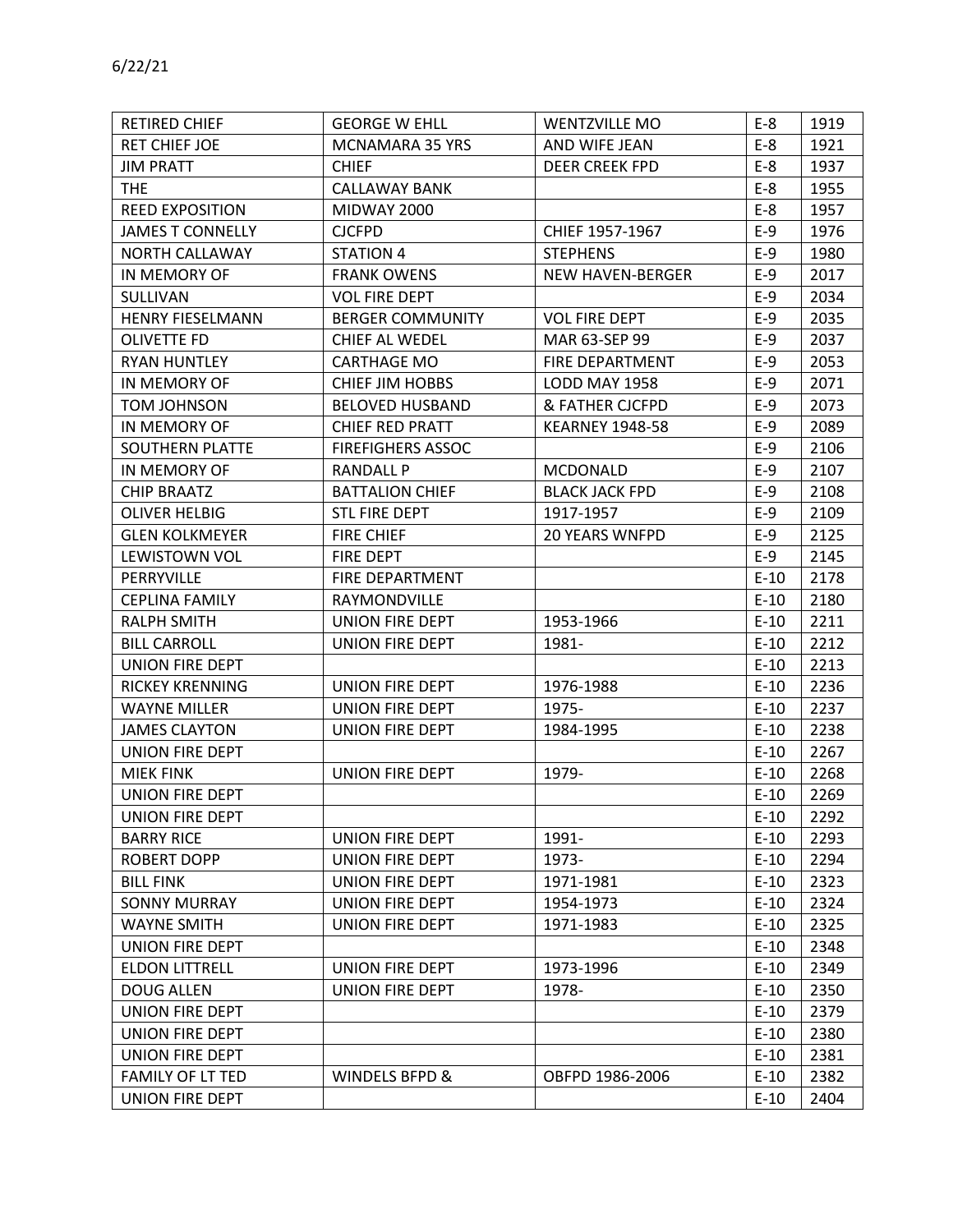| 6/22/21                 |                          |                         |       |      |
|-------------------------|--------------------------|-------------------------|-------|------|
| <b>RETIRED CHIEF</b>    | <b>GEORGE W EHLL</b>     | <b>WENTZVILLE MO</b>    | $E-8$ | 1919 |
| <b>RET CHIEF JOE</b>    | <b>MCNAMARA 35 YRS</b>   | AND WIFE JEAN           | $E-8$ | 1921 |
| <b>JIM PRATT</b>        | <b>CHIEF</b>             | <b>DEER CREEK FPD</b>   | $E-8$ | 1937 |
| <b>THE</b>              | CALLAWAY BANK            |                         | $E-8$ | 1955 |
| <b>REED EXPOSITION</b>  | <b>MIDWAY 2000</b>       |                         | $E-8$ | 1957 |
| <b>JAMES T CONNELLY</b> | <b>CJCFPD</b>            | CHIEF 1957-1967         | $E-9$ | 1976 |
| NORTH CALLAWAY          | STATION 4                | <b>STEPHENS</b>         | $E-9$ | 1980 |
| IN MEMORY OF            | <b>FRANK OWENS</b>       | <b>NEW HAVEN-BERGER</b> | $E-9$ | 2017 |
| <b>SULLIVAN</b>         | <b>VOL FIRE DEPT</b>     |                         | $E-9$ | 2034 |
| <b>HENRY FIESELMANN</b> | <b>BERGER COMMUNITY</b>  | <b>VOL FIRE DEPT</b>    | $E-9$ | 2035 |
| OLIVETTE FD             | CHIEF AL WEDEL           | MAR 63-SEP 99           | $E-9$ | 2037 |
| <b>RYAN HUNTLEY</b>     | <b>CARTHAGE MO</b>       | FIRE DEPARTMENT         | $E-9$ | 2053 |
| IN MEMORY OF            | <b>CHIEF JIM HOBBS</b>   | LODD MAY 1958           | $E-9$ | 2071 |
| TOM JOHNSON             | <b>BELOVED HUSBAND</b>   | & FATHER CJCFPD         | $E-9$ | 2073 |
| IN MEMORY OF            | <b>CHIEF RED PRATT</b>   | <b>KEARNEY 1948-58</b>  | $E-9$ | 2089 |
| SOUTHERN PLATTE         | <b>FIREFIGHERS ASSOC</b> |                         | $E-9$ | 2106 |
| IN MEMORY OF            | RANDAII P                | <b>MCDONALD</b>         | $F-9$ | 2107 |

| <b>JAMES T CONNELLY</b> | <b>CJCFPD</b>            | CHIEF 1957-1967         | $E-9$  | 1976 |
|-------------------------|--------------------------|-------------------------|--------|------|
| NORTH CALLAWAY          | <b>STATION 4</b>         | <b>STEPHENS</b>         | $E-9$  | 1980 |
| IN MEMORY OF            | <b>FRANK OWENS</b>       | <b>NEW HAVEN-BERGER</b> | $E-9$  | 2017 |
| SULLIVAN                | <b>VOL FIRE DEPT</b>     |                         | $E-9$  | 2034 |
| <b>HENRY FIESELMANN</b> | <b>BERGER COMMUNITY</b>  | <b>VOL FIRE DEPT</b>    | $E-9$  | 2035 |
| <b>OLIVETTE FD</b>      | CHIEF AL WEDEL           | MAR 63-SEP 99           | $E-9$  | 2037 |
| <b>RYAN HUNTLEY</b>     | CARTHAGE MO              | FIRE DEPARTMENT         | $E-9$  | 2053 |
| IN MEMORY OF            | <b>CHIEF JIM HOBBS</b>   | LODD MAY 1958           | $E-9$  | 2071 |
| <b>TOM JOHNSON</b>      | <b>BELOVED HUSBAND</b>   | & FATHER CJCFPD         | $E-9$  | 2073 |
| IN MEMORY OF            | <b>CHIEF RED PRATT</b>   | <b>KEARNEY 1948-58</b>  | $E-9$  | 2089 |
| SOUTHERN PLATTE         | <b>FIREFIGHERS ASSOC</b> |                         | $E-9$  | 2106 |
| IN MEMORY OF            | <b>RANDALL P</b>         | <b>MCDONALD</b>         | $E-9$  | 2107 |
| <b>CHIP BRAATZ</b>      | <b>BATTALION CHIEF</b>   | <b>BLACK JACK FPD</b>   | $E-9$  | 2108 |
| <b>OLIVER HELBIG</b>    | <b>STL FIRE DEPT</b>     | 1917-1957               | $E-9$  | 2109 |
| <b>GLEN KOLKMEYER</b>   | <b>FIRE CHIEF</b>        | <b>20 YEARS WNFPD</b>   | $E-9$  | 2125 |
| <b>LEWISTOWN VOL</b>    | FIRE DEPT                |                         | $E-9$  | 2145 |
| PERRYVILLE              | FIRE DEPARTMENT          |                         | $E-10$ | 2178 |
| <b>CEPLINA FAMILY</b>   | RAYMONDVILLE             |                         | $E-10$ | 2180 |
| <b>RALPH SMITH</b>      | UNION FIRE DEPT          | 1953-1966               | $E-10$ | 2211 |
| <b>BILL CARROLL</b>     | UNION FIRE DEPT          | 1981-                   | $E-10$ | 2212 |
| <b>UNION FIRE DEPT</b>  |                          |                         | $E-10$ | 2213 |
| <b>RICKEY KRENNING</b>  | UNION FIRE DEPT          | 1976-1988               | $E-10$ | 2236 |
| <b>WAYNE MILLER</b>     | UNION FIRE DEPT          | 1975-                   | $E-10$ | 2237 |
| <b>JAMES CLAYTON</b>    | UNION FIRE DEPT          | 1984-1995               | $E-10$ | 2238 |
| UNION FIRE DEPT         |                          |                         | $E-10$ | 2267 |
| <b>MIEK FINK</b>        | <b>UNION FIRE DEPT</b>   | 1979-                   | $E-10$ | 2268 |
| UNION FIRE DEPT         |                          |                         | $E-10$ | 2269 |
| <b>UNION FIRE DEPT</b>  |                          |                         | $E-10$ | 2292 |
| <b>BARRY RICE</b>       | UNION FIRE DEPT          | 1991-                   | $E-10$ | 2293 |
| ROBERT DOPP             | UNION FIRE DEPT          | 1973-                   | $E-10$ | 2294 |
| <b>BILL FINK</b>        | <b>UNION FIRE DEPT</b>   | 1971-1981               | $E-10$ | 2323 |
| <b>SONNY MURRAY</b>     | <b>UNION FIRE DEPT</b>   | 1954-1973               | $E-10$ | 2324 |
| <b>WAYNE SMITH</b>      | <b>UNION FIRE DEPT</b>   | 1971-1983               | $E-10$ | 2325 |
| <b>UNION FIRE DEPT</b>  |                          |                         | $E-10$ | 2348 |
| <b>ELDON LITTRELL</b>   | <b>UNION FIRE DEPT</b>   | 1973-1996               | $E-10$ | 2349 |
| <b>DOUG ALLEN</b>       | <b>UNION FIRE DEPT</b>   | 1978-                   | $E-10$ | 2350 |
| UNION FIRE DEPT         |                          |                         | $E-10$ | 2379 |
| UNION FIRE DEPT         |                          |                         | $E-10$ | 2380 |
| <b>UNION FIRE DEPT</b>  |                          |                         | $E-10$ | 2381 |
| FAMILY OF LT TED        | WINDELS BFPD &           | OBFPD 1986-2006         | $E-10$ | 2382 |
| UNION FIRE DEPT         |                          |                         | $E-10$ | 2404 |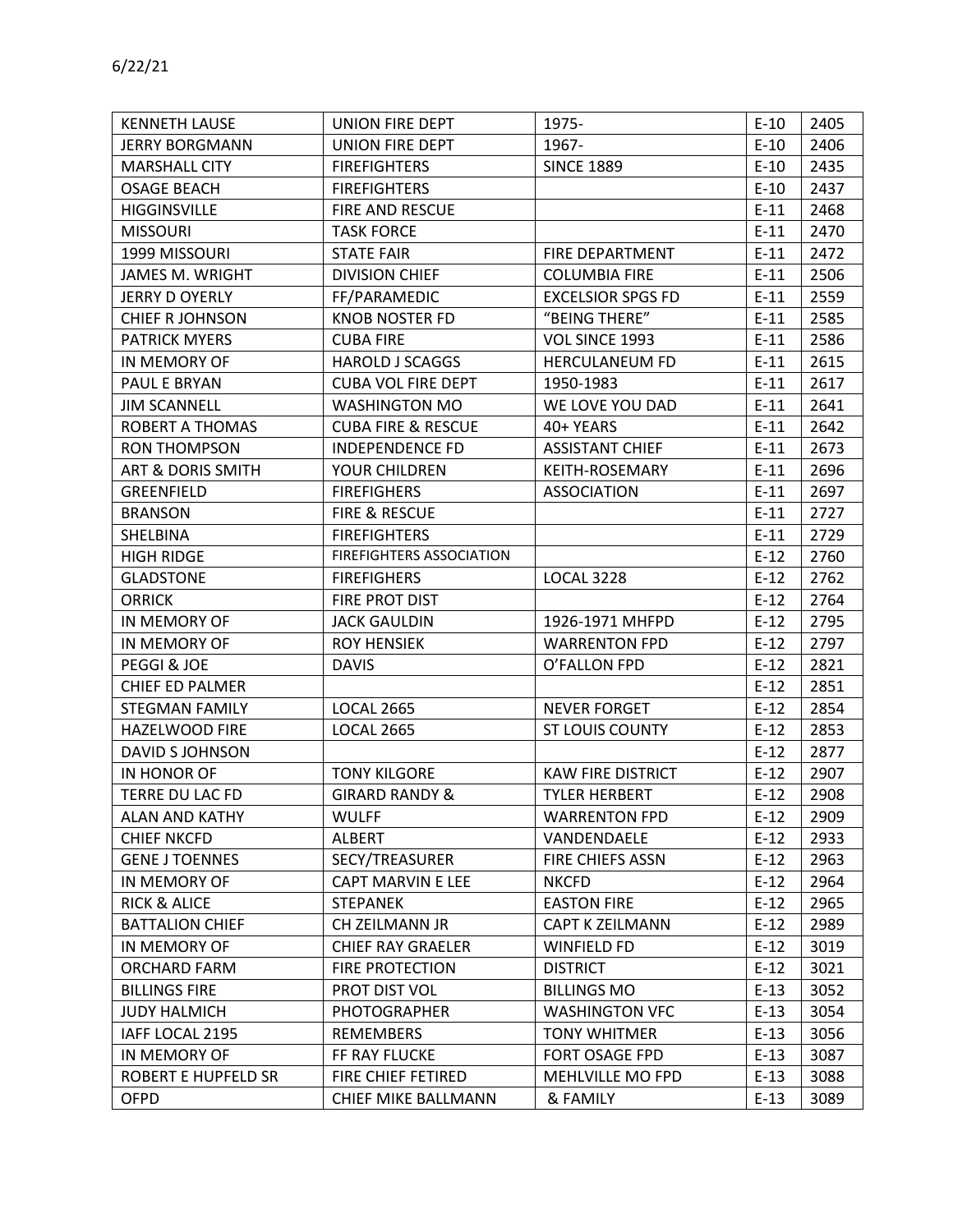| <b>KENNETH LAUSE</b>         | UNION FIRE DEPT                 | 1975-                    | $E-10$ | 2405 |
|------------------------------|---------------------------------|--------------------------|--------|------|
| <b>JERRY BORGMANN</b>        | UNION FIRE DEPT                 | 1967-                    | $E-10$ | 2406 |
| <b>MARSHALL CITY</b>         | <b>FIREFIGHTERS</b>             | <b>SINCE 1889</b>        | $E-10$ | 2435 |
| <b>OSAGE BEACH</b>           | <b>FIREFIGHTERS</b>             |                          | $E-10$ | 2437 |
| <b>HIGGINSVILLE</b>          | FIRE AND RESCUE                 |                          | $E-11$ | 2468 |
| <b>MISSOURI</b>              | <b>TASK FORCE</b>               |                          | $E-11$ | 2470 |
| 1999 MISSOURI                | <b>STATE FAIR</b>               | FIRE DEPARTMENT          | $E-11$ | 2472 |
| JAMES M. WRIGHT              | <b>DIVISION CHIEF</b>           | <b>COLUMBIA FIRE</b>     | $E-11$ | 2506 |
| <b>JERRY D OYERLY</b>        | FF/PARAMEDIC                    | <b>EXCELSIOR SPGS FD</b> | $E-11$ | 2559 |
| <b>CHIEF R JOHNSON</b>       | <b>KNOB NOSTER FD</b>           | "BEING THERE"            | $E-11$ | 2585 |
| <b>PATRICK MYERS</b>         | <b>CUBA FIRE</b>                | VOL SINCE 1993           | $E-11$ | 2586 |
| IN MEMORY OF                 | <b>HAROLD J SCAGGS</b>          | <b>HERCULANEUM FD</b>    | $E-11$ | 2615 |
| PAUL E BRYAN                 | <b>CUBA VOL FIRE DEPT</b>       | 1950-1983                | $E-11$ | 2617 |
| <b>JIM SCANNELL</b>          | <b>WASHINGTON MO</b>            | WE LOVE YOU DAD          | $E-11$ | 2641 |
| ROBERT A THOMAS              | <b>CUBA FIRE &amp; RESCUE</b>   | 40+ YEARS                | $E-11$ | 2642 |
| <b>RON THOMPSON</b>          | <b>INDEPENDENCE FD</b>          | <b>ASSISTANT CHIEF</b>   | $E-11$ | 2673 |
| <b>ART &amp; DORIS SMITH</b> | YOUR CHILDREN                   | <b>KEITH-ROSEMARY</b>    | $E-11$ | 2696 |
| GREENFIELD                   | <b>FIREFIGHERS</b>              | <b>ASSOCIATION</b>       | $E-11$ | 2697 |
| <b>BRANSON</b>               | FIRE & RESCUE                   |                          | $E-11$ | 2727 |
| SHELBINA                     | <b>FIREFIGHTERS</b>             |                          | $E-11$ | 2729 |
| <b>HIGH RIDGE</b>            | <b>FIREFIGHTERS ASSOCIATION</b> |                          | $E-12$ | 2760 |
| <b>GLADSTONE</b>             | <b>FIREFIGHERS</b>              | <b>LOCAL 3228</b>        | $E-12$ | 2762 |
| <b>ORRICK</b>                | FIRE PROT DIST                  |                          | $E-12$ | 2764 |
| IN MEMORY OF                 | <b>JACK GAULDIN</b>             | 1926-1971 MHFPD          | $E-12$ | 2795 |
| IN MEMORY OF                 | <b>ROY HENSIEK</b>              | <b>WARRENTON FPD</b>     | $E-12$ | 2797 |
| PEGGI & JOE                  | <b>DAVIS</b>                    | O'FALLON FPD             | $E-12$ | 2821 |
| CHIEF ED PALMER              |                                 |                          | $E-12$ | 2851 |
| <b>STEGMAN FAMILY</b>        | <b>LOCAL 2665</b>               | <b>NEVER FORGET</b>      | $E-12$ | 2854 |
| HAZELWOOD FIRE               | <b>LOCAL 2665</b>               | <b>ST LOUIS COUNTY</b>   | $E-12$ | 2853 |
| <b>DAVID S JOHNSON</b>       |                                 |                          | $E-12$ | 2877 |
| IN HONOR OF                  | <b>TONY KILGORE</b>             | <b>KAW FIRE DISTRICT</b> | $E-12$ | 2907 |
| TERRE DU LAC FD              | <b>GIRARD RANDY &amp;</b>       | <b>TYLER HERBERT</b>     | $E-12$ | 2908 |
| ALAN AND KATHY               | <b>WULFF</b>                    | <b>WARRENTON FPD</b>     | $E-12$ | 2909 |
| <b>CHIEF NKCFD</b>           | ALBERT                          | VANDENDAELE              | $E-12$ | 2933 |
| <b>GENE J TOENNES</b>        | SECY/TREASURER                  | FIRE CHIEFS ASSN         | $E-12$ | 2963 |
| IN MEMORY OF                 | CAPT MARVIN E LEE               | <b>NKCFD</b>             | $E-12$ | 2964 |
| <b>RICK &amp; ALICE</b>      | <b>STEPANEK</b>                 | <b>EASTON FIRE</b>       | $E-12$ | 2965 |
| <b>BATTALION CHIEF</b>       | CH ZEILMANN JR                  | <b>CAPT K ZEILMANN</b>   | $E-12$ | 2989 |
| IN MEMORY OF                 | <b>CHIEF RAY GRAELER</b>        | <b>WINFIELD FD</b>       | $E-12$ | 3019 |
| ORCHARD FARM                 | FIRE PROTECTION                 | <b>DISTRICT</b>          | $E-12$ | 3021 |
| <b>BILLINGS FIRE</b>         | PROT DIST VOL                   | <b>BILLINGS MO</b>       | $E-13$ | 3052 |
| <b>JUDY HALMICH</b>          | PHOTOGRAPHER                    | <b>WASHINGTON VFC</b>    | $E-13$ | 3054 |
| IAFF LOCAL 2195              | REMEMBERS                       | <b>TONY WHITMER</b>      | $E-13$ | 3056 |
| IN MEMORY OF                 | FF RAY FLUCKE                   | FORT OSAGE FPD           | $E-13$ | 3087 |
| <b>ROBERT E HUPFELD SR</b>   | FIRE CHIEF FETIRED              | MEHLVILLE MO FPD         | $E-13$ | 3088 |
| <b>OFPD</b>                  | CHIEF MIKE BALLMANN             | & FAMILY                 | $E-13$ | 3089 |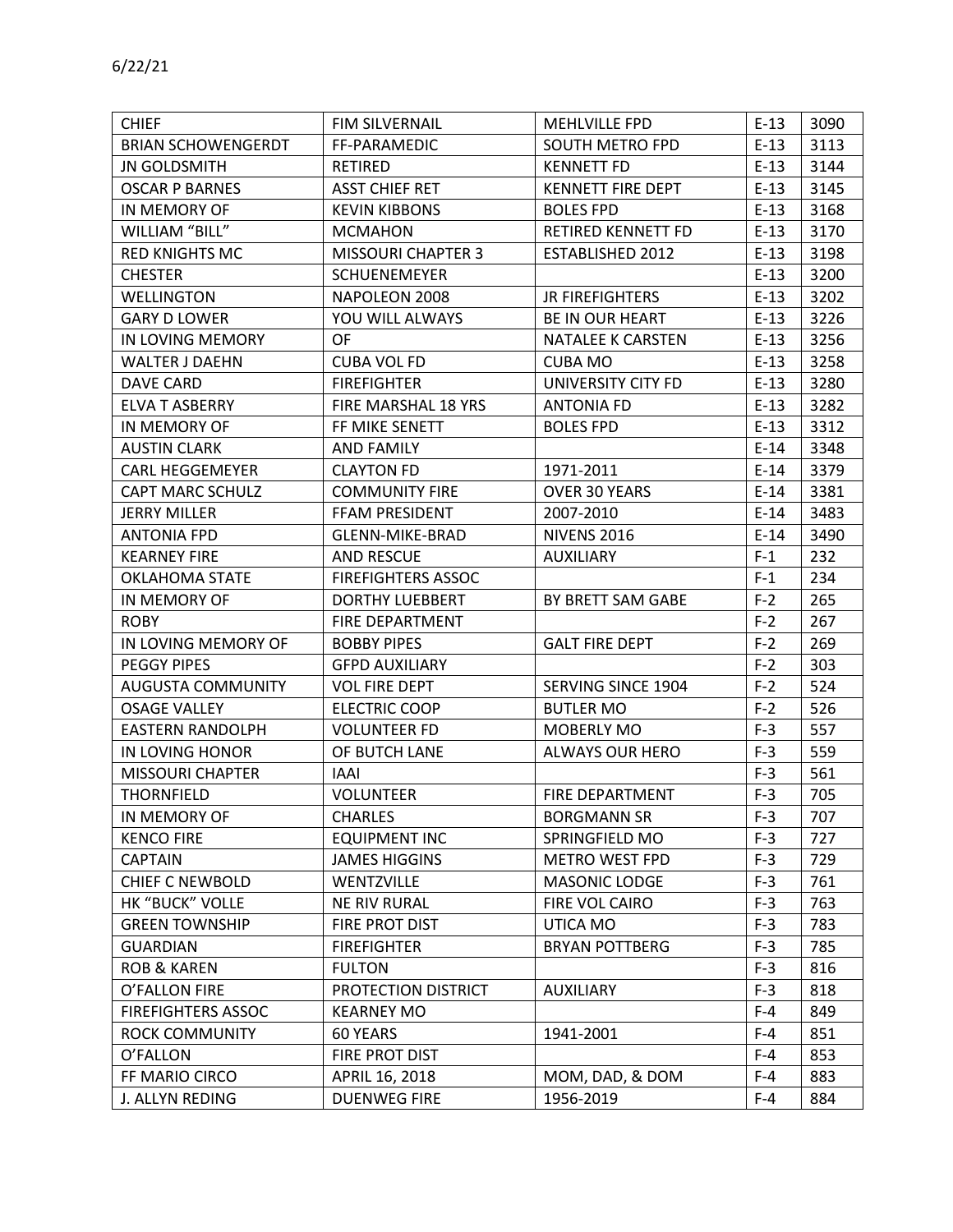| <b>CHIEF</b>              | FIM SILVERNAIL            | MEHLVILLE FPD            | $E-13$ | 3090 |
|---------------------------|---------------------------|--------------------------|--------|------|
| <b>BRIAN SCHOWENGERDT</b> | FF-PARAMEDIC              | SOUTH METRO FPD          | $E-13$ | 3113 |
| <b>JN GOLDSMITH</b>       | RETIRED                   | <b>KENNETT FD</b>        | $E-13$ | 3144 |
| <b>OSCAR P BARNES</b>     | <b>ASST CHIEF RET</b>     | <b>KENNETT FIRE DEPT</b> | $E-13$ | 3145 |
| IN MEMORY OF              | <b>KEVIN KIBBONS</b>      | <b>BOLES FPD</b>         | $E-13$ | 3168 |
| WILLIAM "BILL"            | <b>MCMAHON</b>            | RETIRED KENNETT FD       | $E-13$ | 3170 |
| <b>RED KNIGHTS MC</b>     | <b>MISSOURI CHAPTER 3</b> | ESTABLISHED 2012         | $E-13$ | 3198 |
| <b>CHESTER</b>            | <b>SCHUENEMEYER</b>       |                          | $E-13$ | 3200 |
| <b>WELLINGTON</b>         | NAPOLEON 2008             | <b>JR FIREFIGHTERS</b>   | $E-13$ | 3202 |
| <b>GARY D LOWER</b>       | YOU WILL ALWAYS           | <b>BE IN OUR HEART</b>   | $E-13$ | 3226 |
| IN LOVING MEMORY          | <b>OF</b>                 | NATALEE K CARSTEN        | $E-13$ | 3256 |
| WALTER J DAEHN            | <b>CUBA VOL FD</b>        | <b>CUBA MO</b>           | $E-13$ | 3258 |
| <b>DAVE CARD</b>          | <b>FIREFIGHTER</b>        | UNIVERSITY CITY FD       | $E-13$ | 3280 |
| <b>ELVA T ASBERRY</b>     | FIRE MARSHAL 18 YRS       | <b>ANTONIA FD</b>        | $E-13$ | 3282 |
| IN MEMORY OF              | FF MIKE SENETT            | <b>BOLES FPD</b>         | $E-13$ | 3312 |
| <b>AUSTIN CLARK</b>       | AND FAMILY                |                          | $E-14$ | 3348 |
| CARL HEGGEMEYER           | <b>CLAYTON FD</b>         | 1971-2011                | $E-14$ | 3379 |
| <b>CAPT MARC SCHULZ</b>   | <b>COMMUNITY FIRE</b>     | OVER 30 YEARS            | $E-14$ | 3381 |
| <b>JERRY MILLER</b>       | FFAM PRESIDENT            | 2007-2010                | $E-14$ | 3483 |
| <b>ANTONIA FPD</b>        | GLENN-MIKE-BRAD           | <b>NIVENS 2016</b>       | $E-14$ | 3490 |
| <b>KEARNEY FIRE</b>       | AND RESCUE                | <b>AUXILIARY</b>         | $F-1$  | 232  |
| OKLAHOMA STATE            | <b>FIREFIGHTERS ASSOC</b> |                          | $F-1$  | 234  |
| IN MEMORY OF              | <b>DORTHY LUEBBERT</b>    | BY BRETT SAM GABE        | $F-2$  | 265  |
| <b>ROBY</b>               | FIRE DEPARTMENT           |                          | $F-2$  | 267  |
| IN LOVING MEMORY OF       | <b>BOBBY PIPES</b>        | <b>GALT FIRE DEPT</b>    | $F-2$  | 269  |
| <b>PEGGY PIPES</b>        | <b>GFPD AUXILIARY</b>     |                          | $F-2$  | 303  |
| <b>AUGUSTA COMMUNITY</b>  | <b>VOL FIRE DEPT</b>      | SERVING SINCE 1904       | $F-2$  | 524  |
| <b>OSAGE VALLEY</b>       | <b>ELECTRIC COOP</b>      | <b>BUTLER MO</b>         | $F-2$  | 526  |
| <b>EASTERN RANDOLPH</b>   | <b>VOLUNTEER FD</b>       | MOBERLY MO               | $F-3$  | 557  |
| IN LOVING HONOR           | OF BUTCH LANE             | <b>ALWAYS OUR HERO</b>   | $F-3$  | 559  |
| <b>MISSOURI CHAPTER</b>   | IAAI                      |                          | $F-3$  | 561  |
| <b>THORNFIELD</b>         | <b>VOLUNTEER</b>          | FIRE DEPARTMENT          | $F-3$  | 705  |
| IN MEMORY OF              | <b>CHARLES</b>            | <b>BORGMANN SR</b>       | $F-3$  | 707  |
| <b>KENCO FIRE</b>         | <b>EQUIPMENT INC</b>      | SPRINGFIELD MO           | $F-3$  | 727  |
| <b>CAPTAIN</b>            | <b>JAMES HIGGINS</b>      | <b>METRO WEST FPD</b>    | $F-3$  | 729  |
| <b>CHIEF C NEWBOLD</b>    | WENTZVILLE                | <b>MASONIC LODGE</b>     | $F-3$  | 761  |
| HK "BUCK" VOLLE           | <b>NE RIV RURAL</b>       | FIRE VOL CAIRO           | $F-3$  | 763  |
| <b>GREEN TOWNSHIP</b>     | FIRE PROT DIST            | UTICA MO                 | $F-3$  | 783  |
| <b>GUARDIAN</b>           | <b>FIREFIGHTER</b>        | <b>BRYAN POTTBERG</b>    | $F-3$  | 785  |
| <b>ROB &amp; KAREN</b>    | <b>FULTON</b>             |                          | $F-3$  | 816  |
| O'FALLON FIRE             | PROTECTION DISTRICT       | <b>AUXILIARY</b>         | $F-3$  | 818  |
| <b>FIREFIGHTERS ASSOC</b> | <b>KEARNEY MO</b>         |                          | $F-4$  | 849  |
| <b>ROCK COMMUNITY</b>     | 60 YEARS                  | 1941-2001                | $F-4$  | 851  |
| O'FALLON                  | FIRE PROT DIST            |                          | $F-4$  | 853  |
| FF MARIO CIRCO            | APRIL 16, 2018            | MOM, DAD, & DOM          | $F-4$  | 883  |
| J. ALLYN REDING           | <b>DUENWEG FIRE</b>       | 1956-2019                | $F-4$  | 884  |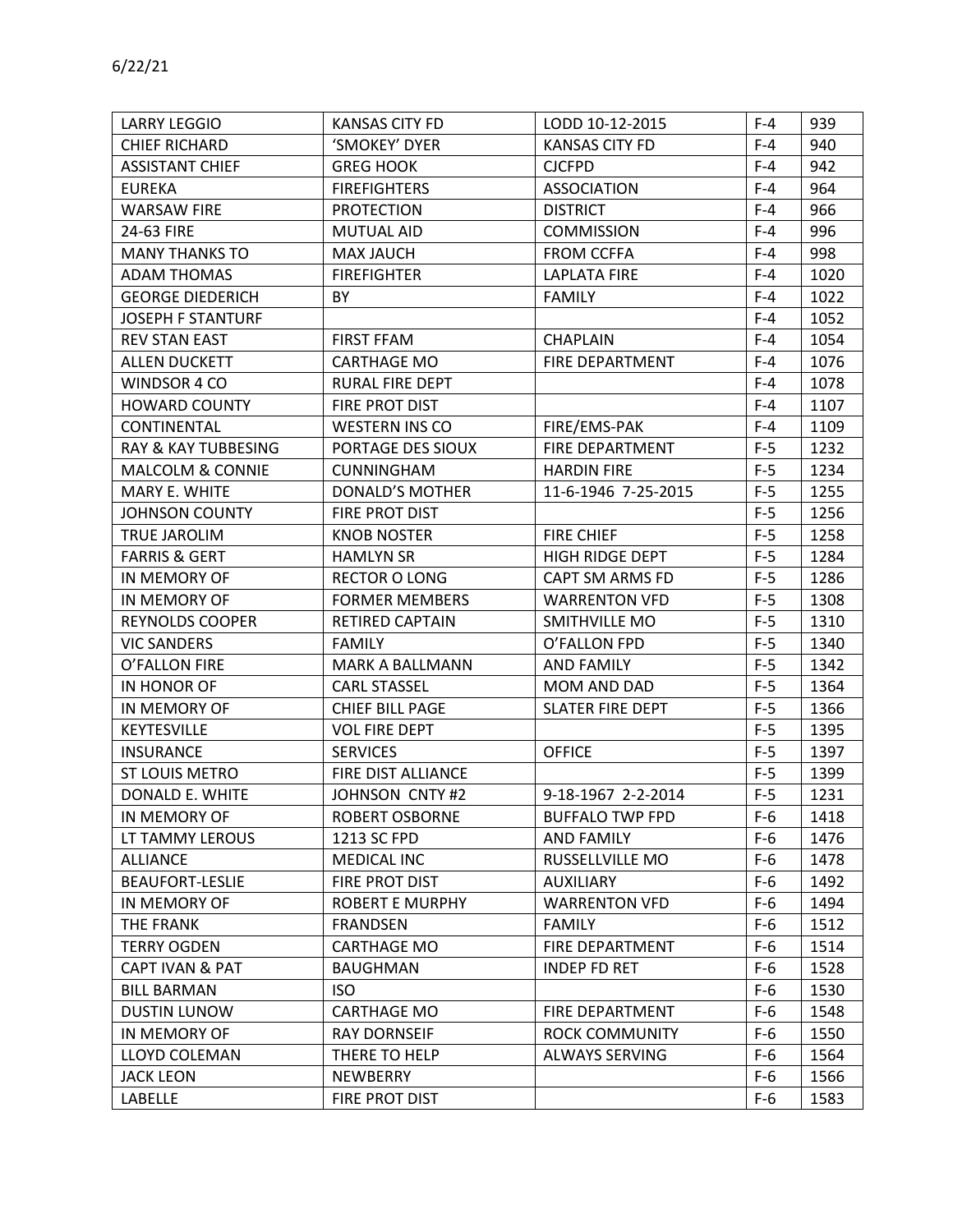| <b>LARRY LEGGIO</b>            | <b>KANSAS CITY FD</b>  | LODD 10-12-2015         | $F-4$ | 939  |
|--------------------------------|------------------------|-------------------------|-------|------|
| <b>CHIEF RICHARD</b>           | 'SMOKEY' DYER          | <b>KANSAS CITY FD</b>   | $F-4$ | 940  |
| <b>ASSISTANT CHIEF</b>         | <b>GREG HOOK</b>       | <b>CJCFPD</b>           | $F-4$ | 942  |
| <b>EUREKA</b>                  | <b>FIREFIGHTERS</b>    | <b>ASSOCIATION</b>      | $F-4$ | 964  |
| <b>WARSAW FIRE</b>             | <b>PROTECTION</b>      | <b>DISTRICT</b>         | $F-4$ | 966  |
| 24-63 FIRE                     | MUTUAL AID             | <b>COMMISSION</b>       | $F-4$ | 996  |
| <b>MANY THANKS TO</b>          | <b>MAX JAUCH</b>       | <b>FROM CCFFA</b>       | $F-4$ | 998  |
| <b>ADAM THOMAS</b>             | <b>FIREFIGHTER</b>     | <b>LAPLATA FIRE</b>     | $F-4$ | 1020 |
| <b>GEORGE DIEDERICH</b>        | BY.                    | <b>FAMILY</b>           | $F-4$ | 1022 |
| <b>JOSEPH F STANTURF</b>       |                        |                         | $F-4$ | 1052 |
| <b>REV STAN EAST</b>           | <b>FIRST FFAM</b>      | <b>CHAPLAIN</b>         | $F-4$ | 1054 |
| <b>ALLEN DUCKETT</b>           | <b>CARTHAGE MO</b>     | FIRE DEPARTMENT         | $F-4$ | 1076 |
| WINDSOR 4 CO                   | RURAL FIRE DEPT        |                         | $F-4$ | 1078 |
| <b>HOWARD COUNTY</b>           | FIRE PROT DIST         |                         | $F-4$ | 1107 |
| CONTINENTAL                    | <b>WESTERN INS CO</b>  | FIRE/EMS-PAK            | $F-4$ | 1109 |
| <b>RAY &amp; KAY TUBBESING</b> | PORTAGE DES SIOUX      | FIRE DEPARTMENT         | $F-5$ | 1232 |
| <b>MALCOLM &amp; CONNIE</b>    | CUNNINGHAM             | <b>HARDIN FIRE</b>      | $F-5$ | 1234 |
| MARY E. WHITE                  | <b>DONALD'S MOTHER</b> | 11-6-1946 7-25-2015     | $F-5$ | 1255 |
| <b>JOHNSON COUNTY</b>          | FIRE PROT DIST         |                         | $F-5$ | 1256 |
| TRUE JAROLIM                   | <b>KNOB NOSTER</b>     | <b>FIRE CHIEF</b>       | $F-5$ | 1258 |
| <b>FARRIS &amp; GERT</b>       | <b>HAMLYN SR</b>       | <b>HIGH RIDGE DEPT</b>  | $F-5$ | 1284 |
| IN MEMORY OF                   | <b>RECTOR O LONG</b>   | CAPT SM ARMS FD         | $F-5$ | 1286 |
| IN MEMORY OF                   | <b>FORMER MEMBERS</b>  | <b>WARRENTON VFD</b>    | $F-5$ | 1308 |
| <b>REYNOLDS COOPER</b>         | RETIRED CAPTAIN        | SMITHVILLE MO           | $F-5$ | 1310 |
| <b>VIC SANDERS</b>             | <b>FAMILY</b>          | O'FALLON FPD            | $F-5$ | 1340 |
| O'FALLON FIRE                  | MARK A BALLMANN        | <b>AND FAMILY</b>       | $F-5$ | 1342 |
| IN HONOR OF                    | <b>CARL STASSEL</b>    | MOM AND DAD             | $F-5$ | 1364 |
| IN MEMORY OF                   | <b>CHIEF BILL PAGE</b> | <b>SLATER FIRE DEPT</b> | $F-5$ | 1366 |
| <b>KEYTESVILLE</b>             | <b>VOL FIRE DEPT</b>   |                         | $F-5$ | 1395 |
| <b>INSURANCE</b>               | <b>SERVICES</b>        | <b>OFFICE</b>           | $F-5$ | 1397 |
| ST LOUIS METRO                 | FIRE DIST ALLIANCE     |                         | $F-5$ | 1399 |
| DONALD E. WHITE                | JOHNSON CNTY #2        | 9-18-1967 2-2-2014      | $F-5$ | 1231 |
| IN MEMORY OF                   | ROBERT OSBORNE         | <b>BUFFALO TWP FPD</b>  | $F-6$ | 1418 |
| LT TAMMY LEROUS                | 1213 SC FPD            | AND FAMILY              | $F-6$ | 1476 |
| <b>ALLIANCE</b>                | MEDICAL INC            | RUSSELLVILLE MO         | $F-6$ | 1478 |
| <b>BEAUFORT-LESLIE</b>         | FIRE PROT DIST         | <b>AUXILIARY</b>        | $F-6$ | 1492 |
| IN MEMORY OF                   | <b>ROBERT E MURPHY</b> | <b>WARRENTON VFD</b>    | $F-6$ | 1494 |
| THE FRANK                      | <b>FRANDSEN</b>        | <b>FAMILY</b>           | $F-6$ | 1512 |
| <b>TERRY OGDEN</b>             | <b>CARTHAGE MO</b>     | FIRE DEPARTMENT         | $F-6$ | 1514 |
| <b>CAPT IVAN &amp; PAT</b>     | <b>BAUGHMAN</b>        | INDEP FD RET            | $F-6$ | 1528 |
| <b>BILL BARMAN</b>             | <b>ISO</b>             |                         | $F-6$ | 1530 |
| <b>DUSTIN LUNOW</b>            | <b>CARTHAGE MO</b>     | FIRE DEPARTMENT         | $F-6$ | 1548 |
| IN MEMORY OF                   | RAY DORNSEIF           | <b>ROCK COMMUNITY</b>   | $F-6$ | 1550 |
| <b>LLOYD COLEMAN</b>           | THERE TO HELP          | <b>ALWAYS SERVING</b>   | $F-6$ | 1564 |
| <b>JACK LEON</b>               | NEWBERRY               |                         | $F-6$ | 1566 |
| LABELLE                        | FIRE PROT DIST         |                         | $F-6$ | 1583 |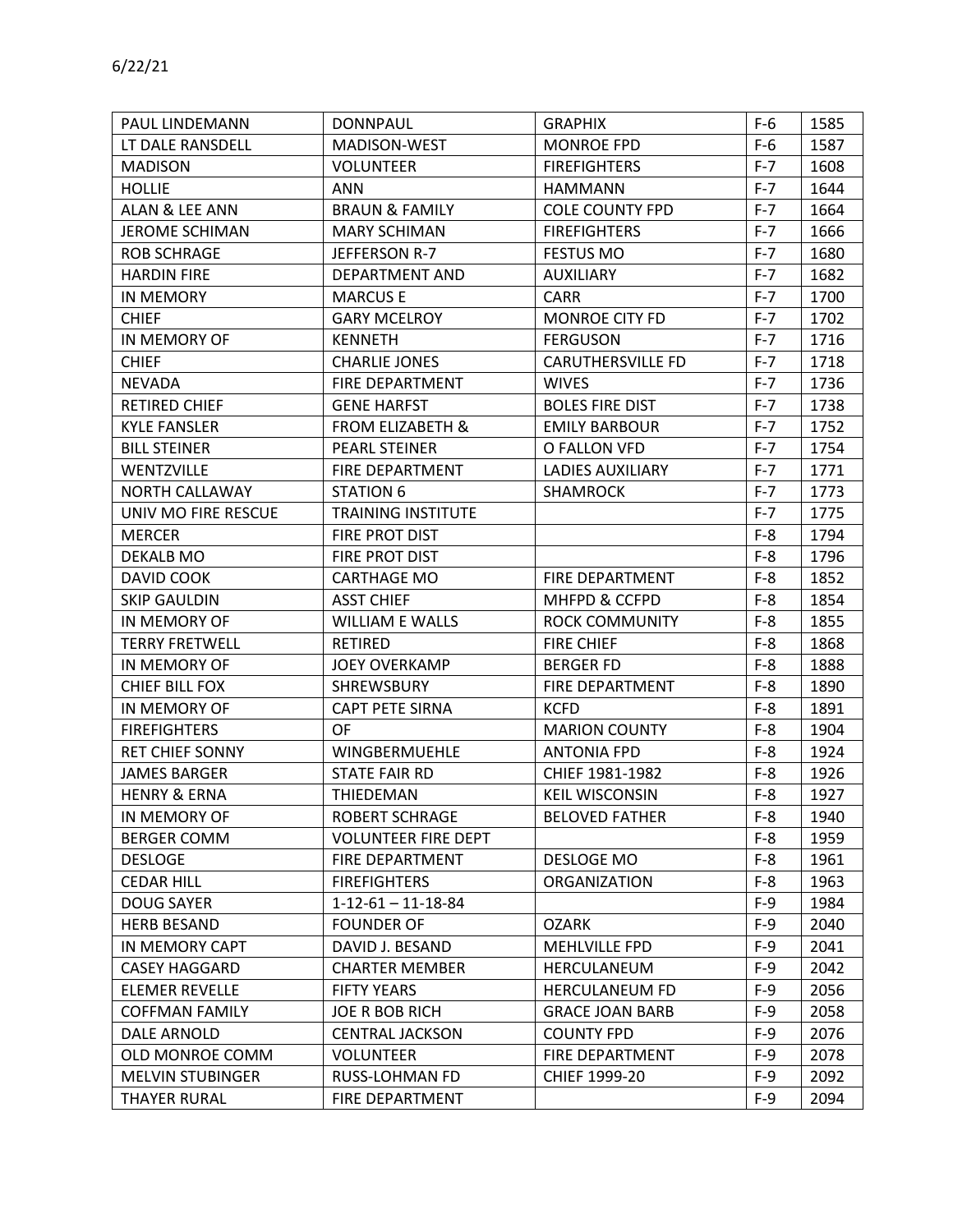| PAUL LINDEMANN          | <b>DONNPAUL</b>              | <b>GRAPHIX</b>           | $F-6$   | 1585 |
|-------------------------|------------------------------|--------------------------|---------|------|
| LT DALE RANSDELL        | MADISON-WEST                 | <b>MONROE FPD</b>        | $F-6$   | 1587 |
| <b>MADISON</b>          | <b>VOLUNTEER</b>             | <b>FIREFIGHTERS</b>      | $F - 7$ | 1608 |
| <b>HOLLIE</b>           | <b>ANN</b>                   | <b>HAMMANN</b>           | $F - 7$ | 1644 |
| ALAN & LEE ANN          | <b>BRAUN &amp; FAMILY</b>    | <b>COLE COUNTY FPD</b>   | $F - 7$ | 1664 |
| <b>JEROME SCHIMAN</b>   | <b>MARY SCHIMAN</b>          | <b>FIREFIGHTERS</b>      | $F-7$   | 1666 |
| <b>ROB SCHRAGE</b>      | JEFFERSON R-7                | <b>FESTUS MO</b>         | $F - 7$ | 1680 |
| <b>HARDIN FIRE</b>      | DEPARTMENT AND               | AUXILIARY                | $F - 7$ | 1682 |
| IN MEMORY               | <b>MARCUSE</b>               | <b>CARR</b>              | $F-7$   | 1700 |
| <b>CHIEF</b>            | <b>GARY MCELROY</b>          | <b>MONROE CITY FD</b>    | $F-7$   | 1702 |
| IN MEMORY OF            | <b>KENNETH</b>               | <b>FERGUSON</b>          | $F - 7$ | 1716 |
| <b>CHIEF</b>            | <b>CHARLIE JONES</b>         | <b>CARUTHERSVILLE FD</b> | $F - 7$ | 1718 |
| <b>NEVADA</b>           | <b>FIRE DEPARTMENT</b>       | <b>WIVES</b>             | $F-7$   | 1736 |
| <b>RETIRED CHIEF</b>    | <b>GENE HARFST</b>           | <b>BOLES FIRE DIST</b>   | $F - 7$ | 1738 |
| <b>KYLE FANSLER</b>     | <b>FROM ELIZABETH &amp;</b>  | <b>EMILY BARBOUR</b>     | $F - 7$ | 1752 |
| <b>BILL STEINER</b>     | PEARL STEINER                | O FALLON VFD             | $F - 7$ | 1754 |
| WENTZVILLE              | FIRE DEPARTMENT              | <b>LADIES AUXILIARY</b>  | $F - 7$ | 1771 |
| NORTH CALLAWAY          | <b>STATION 6</b>             | <b>SHAMROCK</b>          | $F - 7$ | 1773 |
| UNIV MO FIRE RESCUE     | <b>TRAINING INSTITUTE</b>    |                          | $F - 7$ | 1775 |
| <b>MERCER</b>           | FIRE PROT DIST               |                          | $F-8$   | 1794 |
| DEKALB MO               | FIRE PROT DIST               |                          | $F-8$   | 1796 |
| DAVID COOK              | <b>CARTHAGE MO</b>           | FIRE DEPARTMENT          | $F-8$   | 1852 |
| <b>SKIP GAULDIN</b>     | <b>ASST CHIEF</b>            | MHFPD & CCFPD            | $F-8$   | 1854 |
| IN MEMORY OF            | <b>WILLIAM E WALLS</b>       | <b>ROCK COMMUNITY</b>    | $F-8$   | 1855 |
| <b>TERRY FRETWELL</b>   | <b>RETIRED</b>               | <b>FIRE CHIEF</b>        | $F-8$   | 1868 |
| IN MEMORY OF            | <b>JOEY OVERKAMP</b>         | <b>BERGER FD</b>         | $F-8$   | 1888 |
| <b>CHIEF BILL FOX</b>   | SHREWSBURY                   | FIRE DEPARTMENT          | $F-8$   | 1890 |
| IN MEMORY OF            | <b>CAPT PETE SIRNA</b>       | <b>KCFD</b>              | $F-8$   | 1891 |
| <b>FIREFIGHTERS</b>     | OF                           | <b>MARION COUNTY</b>     | $F-8$   | 1904 |
| <b>RET CHIEF SONNY</b>  | WINGBERMUEHLE                | <b>ANTONIA FPD</b>       | $F-8$   | 1924 |
| <b>JAMES BARGER</b>     | <b>STATE FAIR RD</b>         | CHIEF 1981-1982          | $F-8$   | 1926 |
| <b>HENRY &amp; ERNA</b> | THIEDEMAN                    | <b>KEIL WISCONSIN</b>    | $F-8$   | 1927 |
| IN MEMORY OF            | <b>ROBERT SCHRAGE</b>        | <b>BELOVED FATHER</b>    | $F-8$   | 1940 |
| <b>BERGER COMM</b>      | <b>VOLUNTEER FIRE DEPT</b>   |                          | $F-8$   | 1959 |
| <b>DESLOGE</b>          | FIRE DEPARTMENT              | DESLOGE MO               | $F-8$   | 1961 |
| <b>CEDAR HILL</b>       | <b>FIREFIGHTERS</b>          | <b>ORGANIZATION</b>      | $F-8$   | 1963 |
| <b>DOUG SAYER</b>       | $1 - 12 - 61 - 11 - 18 - 84$ |                          | $F-9$   | 1984 |
| <b>HERB BESAND</b>      | <b>FOUNDER OF</b>            | <b>OZARK</b>             | $F-9$   | 2040 |
| IN MEMORY CAPT          | DAVID J. BESAND              | MEHLVILLE FPD            | $F-9$   | 2041 |
| <b>CASEY HAGGARD</b>    | <b>CHARTER MEMBER</b>        | HERCULANEUM              | $F-9$   | 2042 |
| <b>ELEMER REVELLE</b>   | <b>FIFTY YEARS</b>           | <b>HERCULANEUM FD</b>    | $F-9$   | 2056 |
| <b>COFFMAN FAMILY</b>   | <b>JOE R BOB RICH</b>        | <b>GRACE JOAN BARB</b>   | $F-9$   | 2058 |
| <b>DALE ARNOLD</b>      | <b>CENTRAL JACKSON</b>       | <b>COUNTY FPD</b>        | $F-9$   | 2076 |
| OLD MONROE COMM         | <b>VOLUNTEER</b>             | FIRE DEPARTMENT          | $F-9$   | 2078 |
| <b>MELVIN STUBINGER</b> | <b>RUSS-LOHMAN FD</b>        | CHIEF 1999-20            | $F-9$   | 2092 |
| <b>THAYER RURAL</b>     | FIRE DEPARTMENT              |                          | $F-9$   | 2094 |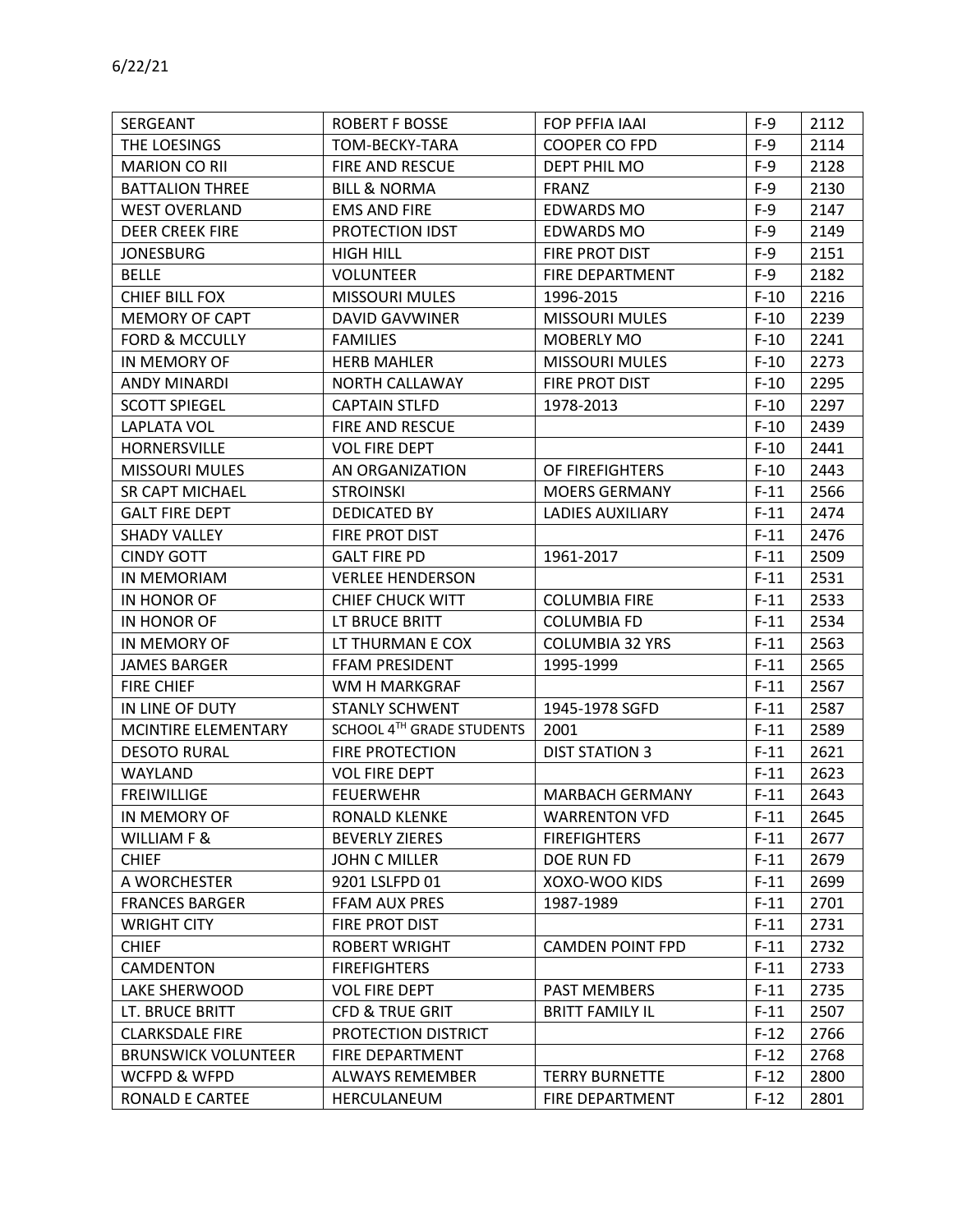| SERGEANT                   | <b>ROBERT F BOSSE</b>      | FOP PFFIA IAAI          | $F-9$  | 2112 |
|----------------------------|----------------------------|-------------------------|--------|------|
| THE LOESINGS               | TOM-BECKY-TARA             | COOPER CO FPD           | $F-9$  | 2114 |
| <b>MARION CO RII</b>       | FIRE AND RESCUE            | DEPT PHIL MO            | $F-9$  | 2128 |
| <b>BATTALION THREE</b>     | <b>BILL &amp; NORMA</b>    | <b>FRANZ</b>            | $F-9$  | 2130 |
| <b>WEST OVERLAND</b>       | <b>EMS AND FIRE</b>        | <b>EDWARDS MO</b>       | $F-9$  | 2147 |
| <b>DEER CREEK FIRE</b>     | <b>PROTECTION IDST</b>     | EDWARDS MO              | $F-9$  | 2149 |
| <b>JONESBURG</b>           | <b>HIGH HILL</b>           | FIRE PROT DIST          | $F-9$  | 2151 |
| <b>BELLE</b>               | <b>VOLUNTEER</b>           | FIRE DEPARTMENT         | $F-9$  | 2182 |
| <b>CHIEF BILL FOX</b>      | <b>MISSOURI MULES</b>      | 1996-2015               | $F-10$ | 2216 |
| <b>MEMORY OF CAPT</b>      | <b>DAVID GAVWINER</b>      | <b>MISSOURI MULES</b>   | $F-10$ | 2239 |
| <b>FORD &amp; MCCULLY</b>  | <b>FAMILIES</b>            | MOBERLY MO              | $F-10$ | 2241 |
| IN MEMORY OF               | <b>HERB MAHLER</b>         | <b>MISSOURI MULES</b>   | $F-10$ | 2273 |
| <b>ANDY MINARDI</b>        | <b>NORTH CALLAWAY</b>      | FIRE PROT DIST          | $F-10$ | 2295 |
| <b>SCOTT SPIEGEL</b>       | <b>CAPTAIN STLFD</b>       | 1978-2013               | $F-10$ | 2297 |
| <b>LAPLATA VOL</b>         | FIRE AND RESCUE            |                         | $F-10$ | 2439 |
| HORNERSVILLE               | <b>VOL FIRE DEPT</b>       |                         | $F-10$ | 2441 |
| <b>MISSOURI MULES</b>      | AN ORGANIZATION            | OF FIREFIGHTERS         | $F-10$ | 2443 |
| SR CAPT MICHAEL            | <b>STROINSKI</b>           | <b>MOERS GERMANY</b>    | $F-11$ | 2566 |
| <b>GALT FIRE DEPT</b>      | <b>DEDICATED BY</b>        | <b>LADIES AUXILIARY</b> | $F-11$ | 2474 |
| <b>SHADY VALLEY</b>        | FIRE PROT DIST             |                         | $F-11$ | 2476 |
| <b>CINDY GOTT</b>          | <b>GALT FIRE PD</b>        | 1961-2017               | $F-11$ | 2509 |
| IN MEMORIAM                | <b>VERLEE HENDERSON</b>    |                         | $F-11$ | 2531 |
| IN HONOR OF                | <b>CHIEF CHUCK WITT</b>    | <b>COLUMBIA FIRE</b>    | $F-11$ | 2533 |
| IN HONOR OF                | LT BRUCE BRITT             | <b>COLUMBIA FD</b>      | $F-11$ | 2534 |
| IN MEMORY OF               | LT THURMAN E COX           | <b>COLUMBIA 32 YRS</b>  | $F-11$ | 2563 |
| <b>JAMES BARGER</b>        | FFAM PRESIDENT             | 1995-1999               | $F-11$ | 2565 |
| FIRE CHIEF                 | WM H MARKGRAF              |                         | $F-11$ | 2567 |
| IN LINE OF DUTY            | <b>STANLY SCHWENT</b>      | 1945-1978 SGFD          | $F-11$ | 2587 |
| MCINTIRE ELEMENTARY        | SCHOOL 4TH GRADE STUDENTS  | 2001                    | $F-11$ | 2589 |
| <b>DESOTO RURAL</b>        | <b>FIRE PROTECTION</b>     | <b>DIST STATION 3</b>   | $F-11$ | 2621 |
| <b>WAYLAND</b>             | <b>VOL FIRE DEPT</b>       |                         | $F-11$ | 2623 |
| <b>FREIWILLIGE</b>         | <b>FEUERWEHR</b>           | <b>MARBACH GERMANY</b>  | $F-11$ | 2643 |
| IN MEMORY OF               | RONALD KLENKE              | <b>WARRENTON VFD</b>    | $F-11$ | 2645 |
| <b>WILLIAM F &amp;</b>     | <b>BEVERLY ZIERES</b>      | <b>FIREFIGHTERS</b>     | $F-11$ | 2677 |
| <b>CHIEF</b>               | JOHN C MILLER              | DOE RUN FD              | $F-11$ | 2679 |
| A WORCHESTER               | 9201 LSLFPD 01             | XOXO-WOO KIDS           | $F-11$ | 2699 |
| <b>FRANCES BARGER</b>      | FFAM AUX PRES              | 1987-1989               | $F-11$ | 2701 |
| <b>WRIGHT CITY</b>         | FIRE PROT DIST             |                         | $F-11$ | 2731 |
| <b>CHIEF</b>               | <b>ROBERT WRIGHT</b>       | <b>CAMDEN POINT FPD</b> | $F-11$ | 2732 |
| CAMDENTON                  | <b>FIREFIGHTERS</b>        |                         | $F-11$ | 2733 |
| LAKE SHERWOOD              | <b>VOL FIRE DEPT</b>       | PAST MEMBERS            | $F-11$ | 2735 |
| LT. BRUCE BRITT            | <b>CFD &amp; TRUE GRIT</b> | <b>BRITT FAMILY IL</b>  | $F-11$ | 2507 |
| <b>CLARKSDALE FIRE</b>     | PROTECTION DISTRICT        |                         | $F-12$ | 2766 |
| <b>BRUNSWICK VOLUNTEER</b> | FIRE DEPARTMENT            |                         | $F-12$ | 2768 |
| WCFPD & WFPD               | <b>ALWAYS REMEMBER</b>     | <b>TERRY BURNETTE</b>   | $F-12$ | 2800 |
| RONALD E CARTEE            | HERCULANEUM                | FIRE DEPARTMENT         | $F-12$ | 2801 |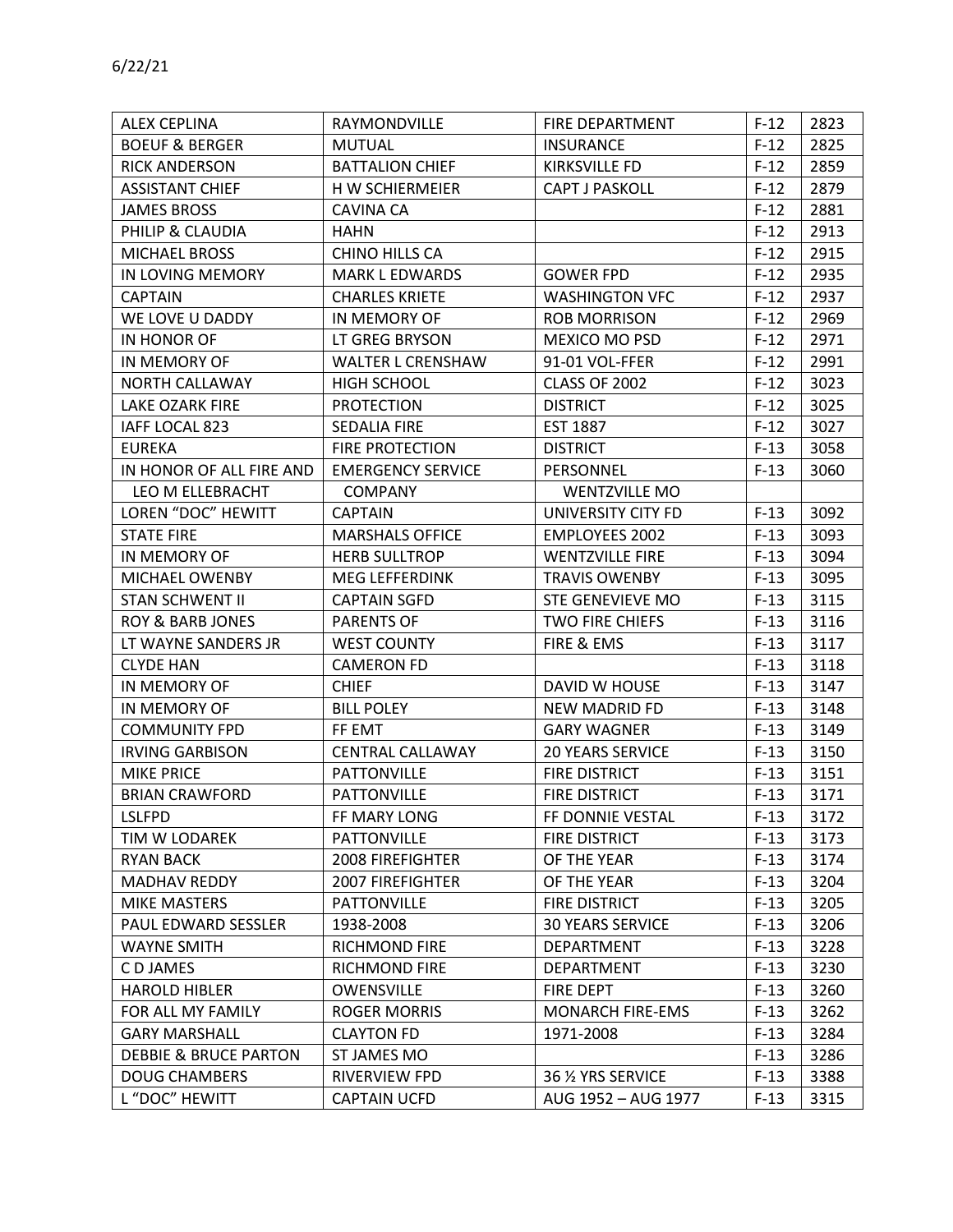| <b>ALEX CEPLINA</b>              | RAYMONDVILLE             | FIRE DEPARTMENT         | $F-12$ | 2823 |
|----------------------------------|--------------------------|-------------------------|--------|------|
| <b>BOEUF &amp; BERGER</b>        | <b>MUTUAL</b>            | <b>INSURANCE</b>        | $F-12$ | 2825 |
| <b>RICK ANDERSON</b>             | <b>BATTALION CHIEF</b>   | <b>KIRKSVILLE FD</b>    | $F-12$ | 2859 |
| <b>ASSISTANT CHIEF</b>           | H W SCHIERMEIER          | <b>CAPT J PASKOLL</b>   | $F-12$ | 2879 |
| <b>JAMES BROSS</b>               | <b>CAVINA CA</b>         |                         | $F-12$ | 2881 |
| PHILIP & CLAUDIA                 | <b>HAHN</b>              |                         | $F-12$ | 2913 |
| <b>MICHAEL BROSS</b>             | CHINO HILLS CA           |                         | $F-12$ | 2915 |
| IN LOVING MEMORY                 | <b>MARK L EDWARDS</b>    | <b>GOWER FPD</b>        | $F-12$ | 2935 |
| <b>CAPTAIN</b>                   | <b>CHARLES KRIETE</b>    | <b>WASHINGTON VFC</b>   | $F-12$ | 2937 |
| WE LOVE U DADDY                  | IN MEMORY OF             | <b>ROB MORRISON</b>     | $F-12$ | 2969 |
| IN HONOR OF                      | LT GREG BRYSON           | MEXICO MO PSD           | $F-12$ | 2971 |
| IN MEMORY OF                     | <b>WALTER L CRENSHAW</b> | 91-01 VOL-FFER          | $F-12$ | 2991 |
| NORTH CALLAWAY                   | HIGH SCHOOL              | CLASS OF 2002           | $F-12$ | 3023 |
| LAKE OZARK FIRE                  | <b>PROTECTION</b>        | <b>DISTRICT</b>         | $F-12$ | 3025 |
| IAFF LOCAL 823                   | <b>SEDALIA FIRE</b>      | <b>EST 1887</b>         | $F-12$ | 3027 |
| <b>EUREKA</b>                    | <b>FIRE PROTECTION</b>   | <b>DISTRICT</b>         | $F-13$ | 3058 |
| IN HONOR OF ALL FIRE AND         | <b>EMERGENCY SERVICE</b> | PERSONNEL               | $F-13$ | 3060 |
| LEO M ELLEBRACHT                 | <b>COMPANY</b>           | <b>WENTZVILLE MO</b>    |        |      |
| LOREN "DOC" HEWITT               | <b>CAPTAIN</b>           | UNIVERSITY CITY FD      | $F-13$ | 3092 |
| <b>STATE FIRE</b>                | <b>MARSHALS OFFICE</b>   | <b>EMPLOYEES 2002</b>   | $F-13$ | 3093 |
| IN MEMORY OF                     | <b>HERB SULLTROP</b>     | <b>WENTZVILLE FIRE</b>  | $F-13$ | 3094 |
| MICHAEL OWENBY                   | <b>MEG LEFFERDINK</b>    | <b>TRAVIS OWENBY</b>    | $F-13$ | 3095 |
| <b>STAN SCHWENT II</b>           | <b>CAPTAIN SGFD</b>      | STE GENEVIEVE MO        | $F-13$ | 3115 |
| <b>ROY &amp; BARB JONES</b>      | <b>PARENTS OF</b>        | <b>TWO FIRE CHIEFS</b>  | $F-13$ | 3116 |
| LT WAYNE SANDERS JR              | <b>WEST COUNTY</b>       | FIRE & EMS              | $F-13$ | 3117 |
| <b>CLYDE HAN</b>                 | <b>CAMERON FD</b>        |                         | $F-13$ | 3118 |
| IN MEMORY OF                     | <b>CHIEF</b>             | DAVID W HOUSE           | $F-13$ | 3147 |
| IN MEMORY OF                     | <b>BILL POLEY</b>        | <b>NEW MADRID FD</b>    | $F-13$ | 3148 |
| <b>COMMUNITY FPD</b>             | FF EMT                   | <b>GARY WAGNER</b>      | $F-13$ | 3149 |
| <b>IRVING GARBISON</b>           | <b>CENTRAL CALLAWAY</b>  | <b>20 YEARS SERVICE</b> | $F-13$ | 3150 |
| <b>MIKE PRICE</b>                | <b>PATTONVILLE</b>       | <b>FIRE DISTRICT</b>    | $F-13$ | 3151 |
| <b>BRIAN CRAWFORD</b>            | <b>PATTONVILLE</b>       | <b>FIRE DISTRICT</b>    | $F-13$ | 3171 |
| <b>LSLFPD</b>                    | FF MARY LONG             | FF DONNIE VESTAL        | $F-13$ | 3172 |
| TIM W LODAREK                    | <b>PATTONVILLE</b>       | <b>FIRE DISTRICT</b>    | $F-13$ | 3173 |
| <b>RYAN BACK</b>                 | <b>2008 FIREFIGHTER</b>  | OF THE YEAR             | $F-13$ | 3174 |
| MADHAV REDDY                     | <b>2007 FIREFIGHTER</b>  | OF THE YEAR             | $F-13$ | 3204 |
| MIKE MASTERS                     | <b>PATTONVILLE</b>       | FIRE DISTRICT           | $F-13$ | 3205 |
| PAUL EDWARD SESSLER              | 1938-2008                | <b>30 YEARS SERVICE</b> | $F-13$ | 3206 |
| <b>WAYNE SMITH</b>               | <b>RICHMOND FIRE</b>     | DEPARTMENT              | $F-13$ | 3228 |
| C D JAMES                        | <b>RICHMOND FIRE</b>     | DEPARTMENT              | $F-13$ | 3230 |
| <b>HAROLD HIBLER</b>             | OWENSVILLE               | FIRE DEPT               | $F-13$ | 3260 |
| FOR ALL MY FAMILY                | <b>ROGER MORRIS</b>      | <b>MONARCH FIRE-EMS</b> | $F-13$ | 3262 |
| <b>GARY MARSHALL</b>             | <b>CLAYTON FD</b>        | 1971-2008               | $F-13$ | 3284 |
| <b>DEBBIE &amp; BRUCE PARTON</b> | ST JAMES MO              |                         | $F-13$ | 3286 |
| <b>DOUG CHAMBERS</b>             | RIVERVIEW FPD            | 36 1/2 YRS SERVICE      | $F-13$ | 3388 |
| L "DOC" HEWITT                   | <b>CAPTAIN UCFD</b>      | AUG 1952 - AUG 1977     | $F-13$ | 3315 |